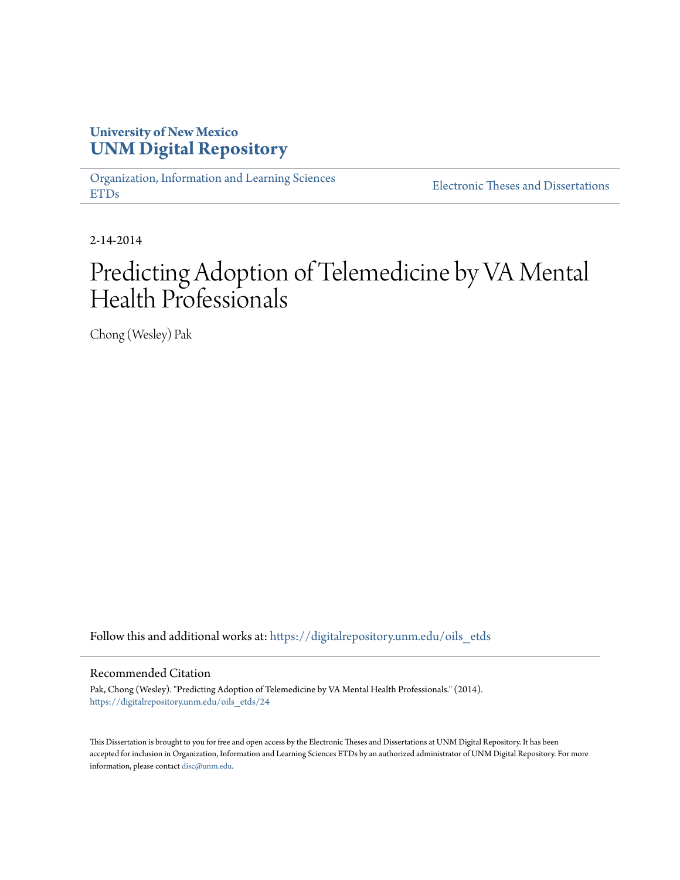## **University of New Mexico [UNM Digital Repository](https://digitalrepository.unm.edu?utm_source=digitalrepository.unm.edu%2Foils_etds%2F24&utm_medium=PDF&utm_campaign=PDFCoverPages)**

[Organization, Information and Learning Sciences](https://digitalrepository.unm.edu/oils_etds?utm_source=digitalrepository.unm.edu%2Foils_etds%2F24&utm_medium=PDF&utm_campaign=PDFCoverPages) [ETDs](https://digitalrepository.unm.edu/oils_etds?utm_source=digitalrepository.unm.edu%2Foils_etds%2F24&utm_medium=PDF&utm_campaign=PDFCoverPages)

[Electronic Theses and Dissertations](https://digitalrepository.unm.edu/etds?utm_source=digitalrepository.unm.edu%2Foils_etds%2F24&utm_medium=PDF&utm_campaign=PDFCoverPages)

2-14-2014

# Predicting Adoption of Telemedicine by VA Mental Health Professionals

Chong (Wesley) Pak

Follow this and additional works at: [https://digitalrepository.unm.edu/oils\\_etds](https://digitalrepository.unm.edu/oils_etds?utm_source=digitalrepository.unm.edu%2Foils_etds%2F24&utm_medium=PDF&utm_campaign=PDFCoverPages)

#### Recommended Citation

Pak, Chong (Wesley). "Predicting Adoption of Telemedicine by VA Mental Health Professionals." (2014). [https://digitalrepository.unm.edu/oils\\_etds/24](https://digitalrepository.unm.edu/oils_etds/24?utm_source=digitalrepository.unm.edu%2Foils_etds%2F24&utm_medium=PDF&utm_campaign=PDFCoverPages)

This Dissertation is brought to you for free and open access by the Electronic Theses and Dissertations at UNM Digital Repository. It has been accepted for inclusion in Organization, Information and Learning Sciences ETDs by an authorized administrator of UNM Digital Repository. For more information, please contact [disc@unm.edu.](mailto:disc@unm.edu)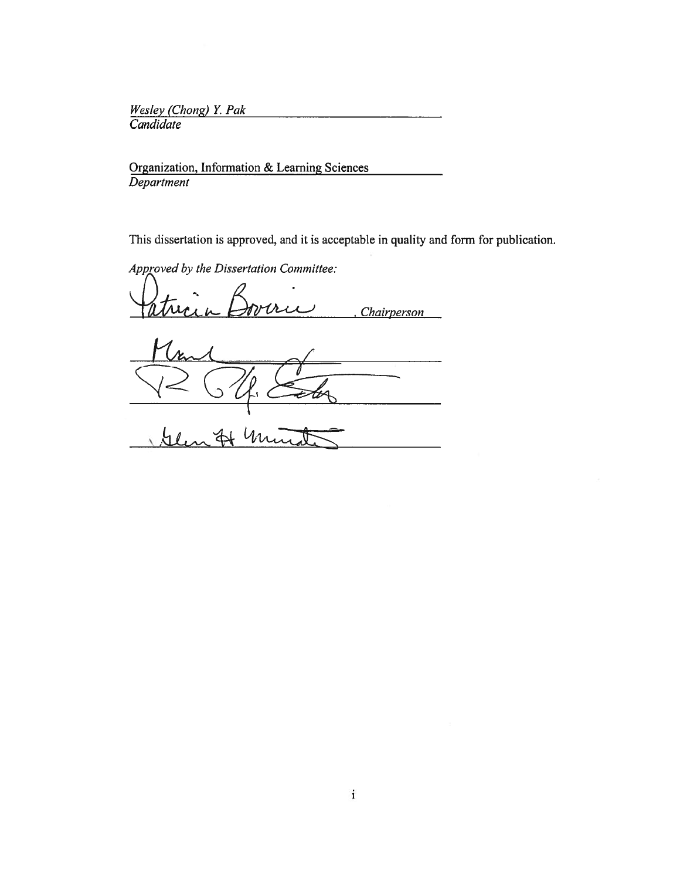Wesley (Chong) Y. Pak<br>Candidate

Organization, Information & Learning Sciences Department

This dissertation is approved, and it is acceptable in quality and form for publication.

Approved by the Dissertation Committee:

mau **Chairperson** 

 $u_{\rm u}$  $\mathcal{A}$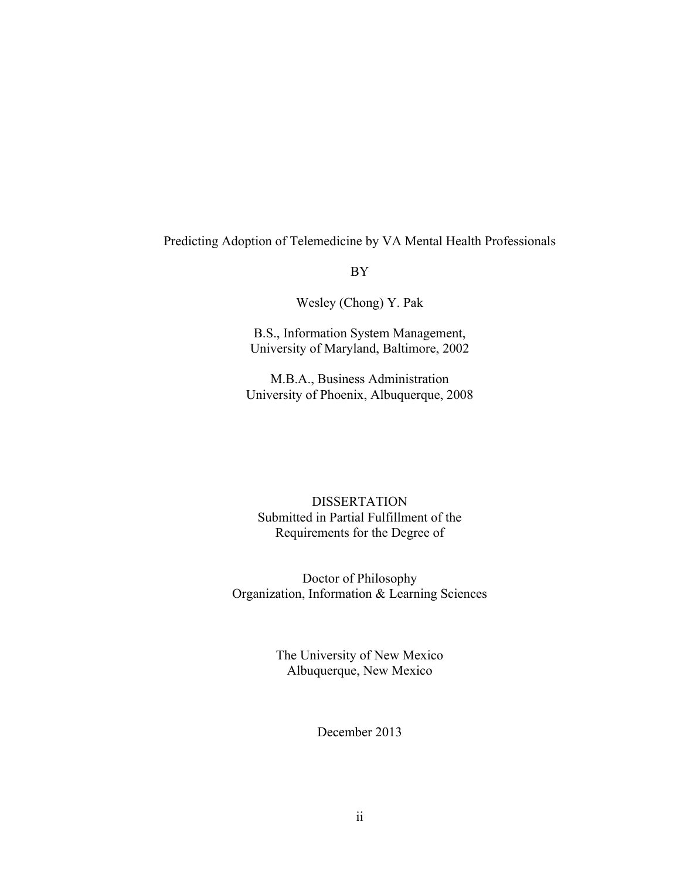## Predicting Adoption of Telemedicine by VA Mental Health Professionals

BY

Wesley (Chong) Y. Pak

B.S., Information System Management, University of Maryland, Baltimore, 2002

M.B.A., Business Administration University of Phoenix, Albuquerque, 2008

## DISSERTATION Submitted in Partial Fulfillment of the Requirements for the Degree of

Doctor of Philosophy Organization, Information & Learning Sciences

> The University of New Mexico Albuquerque, New Mexico

> > December 2013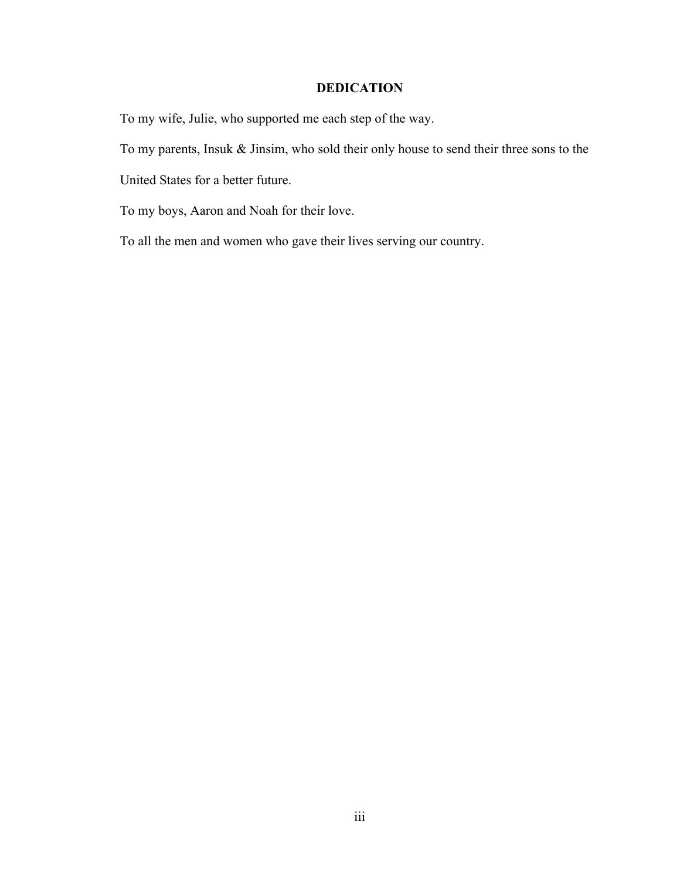## **DEDICATION**

To my wife, Julie, who supported me each step of the way.

To my parents, Insuk & Jinsim, who sold their only house to send their three sons to the

United States for a better future.

To my boys, Aaron and Noah for their love.

To all the men and women who gave their lives serving our country.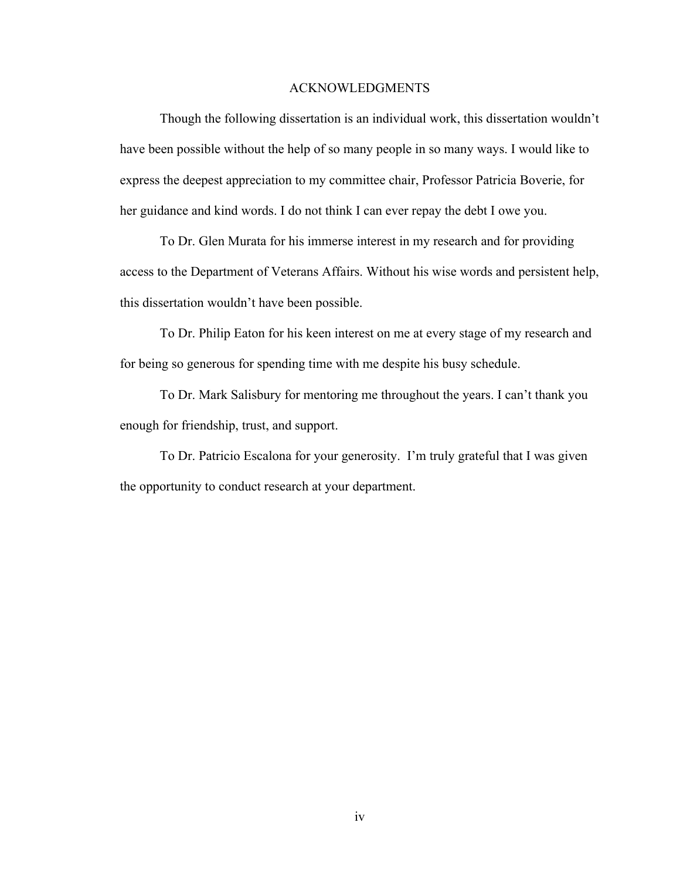#### ACKNOWLEDGMENTS

Though the following dissertation is an individual work, this dissertation wouldn't have been possible without the help of so many people in so many ways. I would like to express the deepest appreciation to my committee chair, Professor Patricia Boverie, for her guidance and kind words. I do not think I can ever repay the debt I owe you.

To Dr. Glen Murata for his immerse interest in my research and for providing access to the Department of Veterans Affairs. Without his wise words and persistent help, this dissertation wouldn't have been possible.

To Dr. Philip Eaton for his keen interest on me at every stage of my research and for being so generous for spending time with me despite his busy schedule.

To Dr. Mark Salisbury for mentoring me throughout the years. I can't thank you enough for friendship, trust, and support.

To Dr. Patricio Escalona for your generosity. I'm truly grateful that I was given the opportunity to conduct research at your department.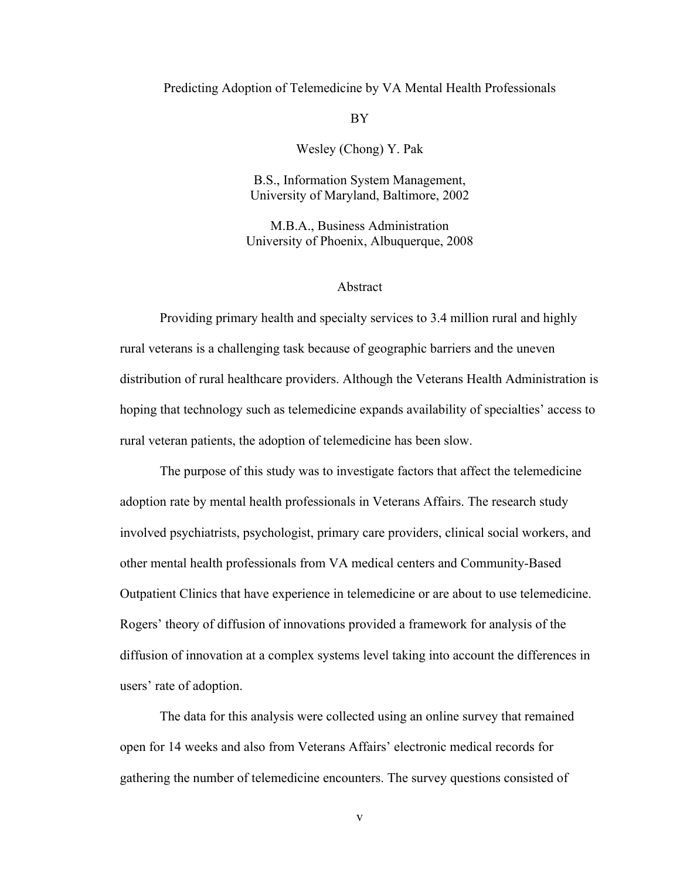#### Predicting Adoption of Telemedicine by VA Mental Health Professionals

#### BY

Wesley (Chong) Y. Pak

B.S., Information System Management, University of Maryland, Baltimore, 2002

M.B.A., Business Administration University of Phoenix, Albuquerque, 2008

#### Abstract

Providing primary health and specialty services to 3.4 million rural and highly rural veterans is a challenging task because of geographic barriers and the uneven distribution of rural healthcare providers. Although the Veterans Health Administration is hoping that technology such as telemedicine expands availability of specialties' access to rural veteran patients, the adoption of telemedicine has been slow.

The purpose of this study was to investigate factors that affect the telemedicine adoption rate by mental health professionals in Veterans Affairs. The research study involved psychiatrists, psychologist, primary care providers, clinical social workers, and other mental health professionals from VA medical centers and Community-Based Outpatient Clinics that have experience in telemedicine or are about to use telemedicine. Rogers' theory of diffusion of innovations provided a framework for analysis of the diffusion of innovation at a complex systems level taking into account the differences in users' rate of adoption.

The data for this analysis were collected using an online survey that remained open for 14 weeks and also from Veterans Affairs' electronic medical records for gathering the number of telemedicine encounters. The survey questions consisted of

v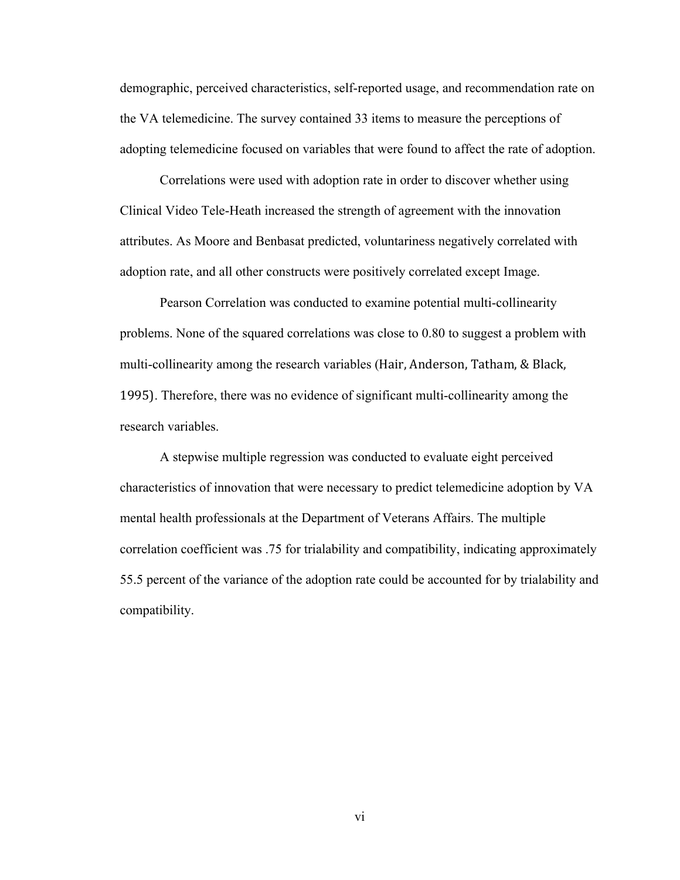demographic, perceived characteristics, self-reported usage, and recommendation rate on the VA telemedicine. The survey contained 33 items to measure the perceptions of adopting telemedicine focused on variables that were found to affect the rate of adoption.

Correlations were used with adoption rate in order to discover whether using Clinical Video Tele-Heath increased the strength of agreement with the innovation attributes. As Moore and Benbasat predicted, voluntariness negatively correlated with adoption rate, and all other constructs were positively correlated except Image.

Pearson Correlation was conducted to examine potential multi-collinearity problems. None of the squared correlations was close to 0.80 to suggest a problem with multi-collinearity among the research variables (Hair, Anderson, Tatham, & Black, 1995). Therefore, there was no evidence of significant multi-collinearity among the research variables.

A stepwise multiple regression was conducted to evaluate eight perceived characteristics of innovation that were necessary to predict telemedicine adoption by VA mental health professionals at the Department of Veterans Affairs. The multiple correlation coefficient was .75 for trialability and compatibility, indicating approximately 55.5 percent of the variance of the adoption rate could be accounted for by trialability and compatibility.

vi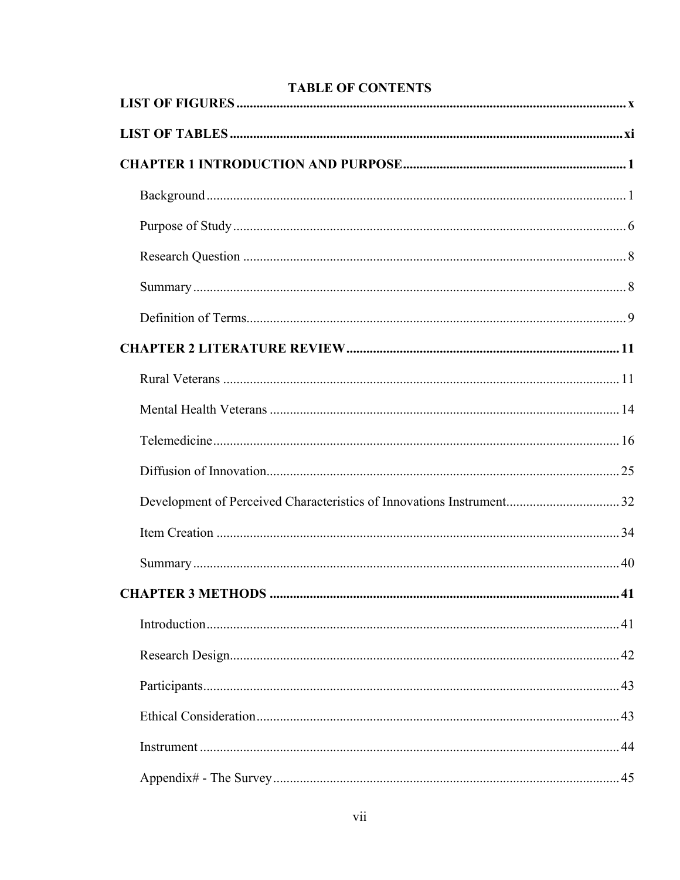| <b>TABLE OF CONTENTS</b>                                             |  |
|----------------------------------------------------------------------|--|
|                                                                      |  |
|                                                                      |  |
|                                                                      |  |
|                                                                      |  |
|                                                                      |  |
|                                                                      |  |
|                                                                      |  |
|                                                                      |  |
|                                                                      |  |
|                                                                      |  |
|                                                                      |  |
|                                                                      |  |
| Development of Perceived Characteristics of Innovations Instrument32 |  |
|                                                                      |  |
|                                                                      |  |
|                                                                      |  |
|                                                                      |  |
|                                                                      |  |
|                                                                      |  |
|                                                                      |  |
|                                                                      |  |
|                                                                      |  |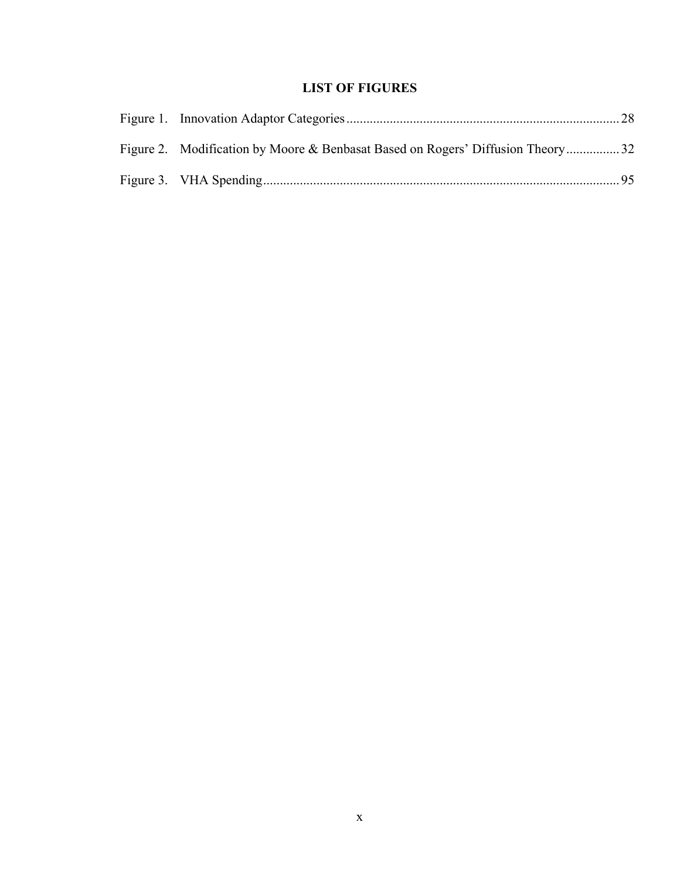## **LIST OF FIGURES**

| Figure 2. Modification by Moore & Benbasat Based on Rogers' Diffusion Theory32 |  |
|--------------------------------------------------------------------------------|--|
|                                                                                |  |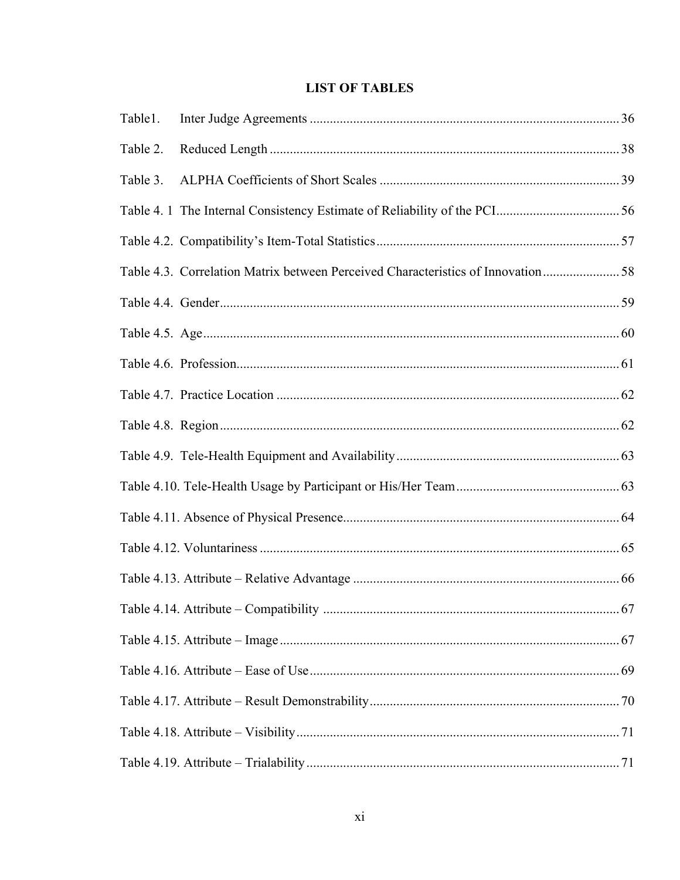## **LIST OF TABLES**

| Table1.                                                                       |  |
|-------------------------------------------------------------------------------|--|
| Table 2.                                                                      |  |
| Table 3.                                                                      |  |
|                                                                               |  |
|                                                                               |  |
| Table 4.3. Correlation Matrix between Perceived Characteristics of Innovation |  |
|                                                                               |  |
|                                                                               |  |
|                                                                               |  |
|                                                                               |  |
|                                                                               |  |
|                                                                               |  |
|                                                                               |  |
|                                                                               |  |
|                                                                               |  |
|                                                                               |  |
|                                                                               |  |
|                                                                               |  |
|                                                                               |  |
|                                                                               |  |
|                                                                               |  |
|                                                                               |  |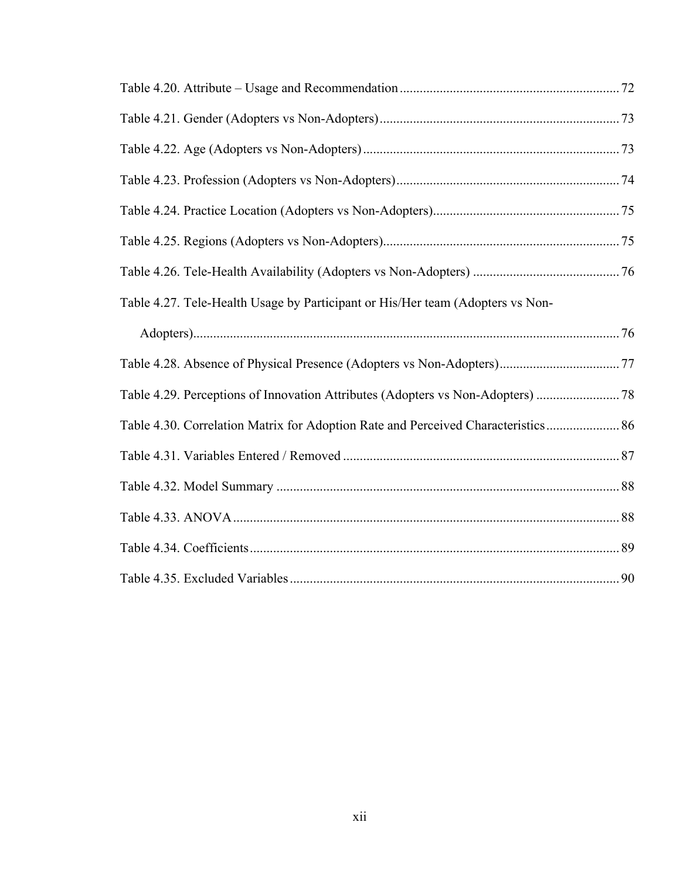| Table 4.27. Tele-Health Usage by Participant or His/Her team (Adopters vs Non-    |  |
|-----------------------------------------------------------------------------------|--|
|                                                                                   |  |
|                                                                                   |  |
| Table 4.29. Perceptions of Innovation Attributes (Adopters vs Non-Adopters)       |  |
| Table 4.30. Correlation Matrix for Adoption Rate and Perceived Characteristics 86 |  |
|                                                                                   |  |
|                                                                                   |  |
|                                                                                   |  |
|                                                                                   |  |
|                                                                                   |  |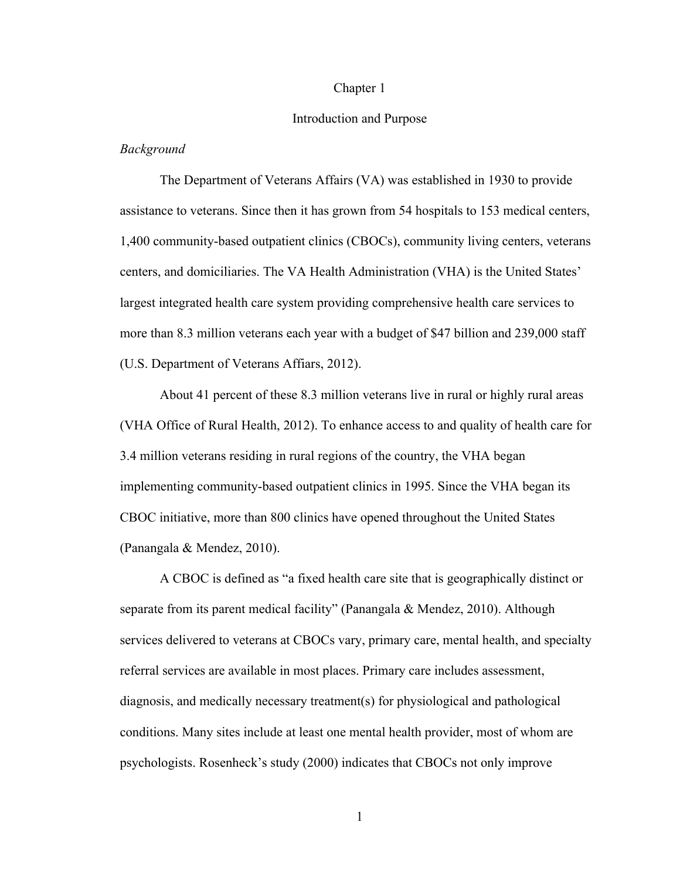#### Chapter 1

#### Introduction and Purpose

#### *Background*

The Department of Veterans Affairs (VA) was established in 1930 to provide assistance to veterans. Since then it has grown from 54 hospitals to 153 medical centers, 1,400 community-based outpatient clinics (CBOCs), community living centers, veterans centers, and domiciliaries. The VA Health Administration (VHA) is the United States' largest integrated health care system providing comprehensive health care services to more than 8.3 million veterans each year with a budget of \$47 billion and 239,000 staff (U.S. Department of Veterans Affiars, 2012).

About 41 percent of these 8.3 million veterans live in rural or highly rural areas (VHA Office of Rural Health, 2012). To enhance access to and quality of health care for 3.4 million veterans residing in rural regions of the country, the VHA began implementing community-based outpatient clinics in 1995. Since the VHA began its CBOC initiative, more than 800 clinics have opened throughout the United States (Panangala & Mendez, 2010).

A CBOC is defined as "a fixed health care site that is geographically distinct or separate from its parent medical facility" (Panangala & Mendez, 2010). Although services delivered to veterans at CBOCs vary, primary care, mental health, and specialty referral services are available in most places. Primary care includes assessment, diagnosis, and medically necessary treatment(s) for physiological and pathological conditions. Many sites include at least one mental health provider, most of whom are psychologists. Rosenheck's study (2000) indicates that CBOCs not only improve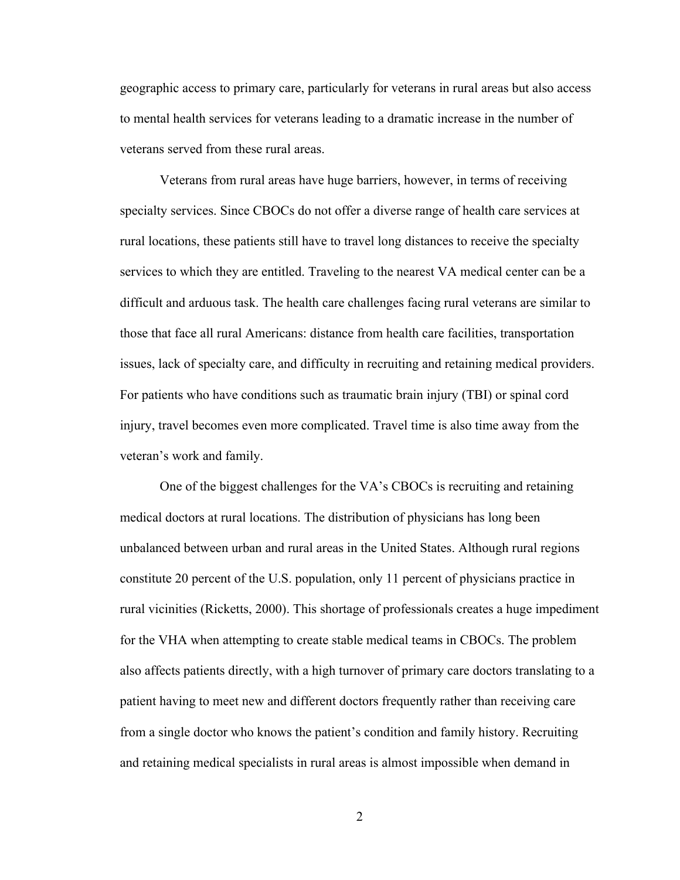geographic access to primary care, particularly for veterans in rural areas but also access to mental health services for veterans leading to a dramatic increase in the number of veterans served from these rural areas.

Veterans from rural areas have huge barriers, however, in terms of receiving specialty services. Since CBOCs do not offer a diverse range of health care services at rural locations, these patients still have to travel long distances to receive the specialty services to which they are entitled. Traveling to the nearest VA medical center can be a difficult and arduous task. The health care challenges facing rural veterans are similar to those that face all rural Americans: distance from health care facilities, transportation issues, lack of specialty care, and difficulty in recruiting and retaining medical providers. For patients who have conditions such as traumatic brain injury (TBI) or spinal cord injury, travel becomes even more complicated. Travel time is also time away from the veteran's work and family.

One of the biggest challenges for the VA's CBOCs is recruiting and retaining medical doctors at rural locations. The distribution of physicians has long been unbalanced between urban and rural areas in the United States. Although rural regions constitute 20 percent of the U.S. population, only 11 percent of physicians practice in rural vicinities (Ricketts, 2000). This shortage of professionals creates a huge impediment for the VHA when attempting to create stable medical teams in CBOCs. The problem also affects patients directly, with a high turnover of primary care doctors translating to a patient having to meet new and different doctors frequently rather than receiving care from a single doctor who knows the patient's condition and family history. Recruiting and retaining medical specialists in rural areas is almost impossible when demand in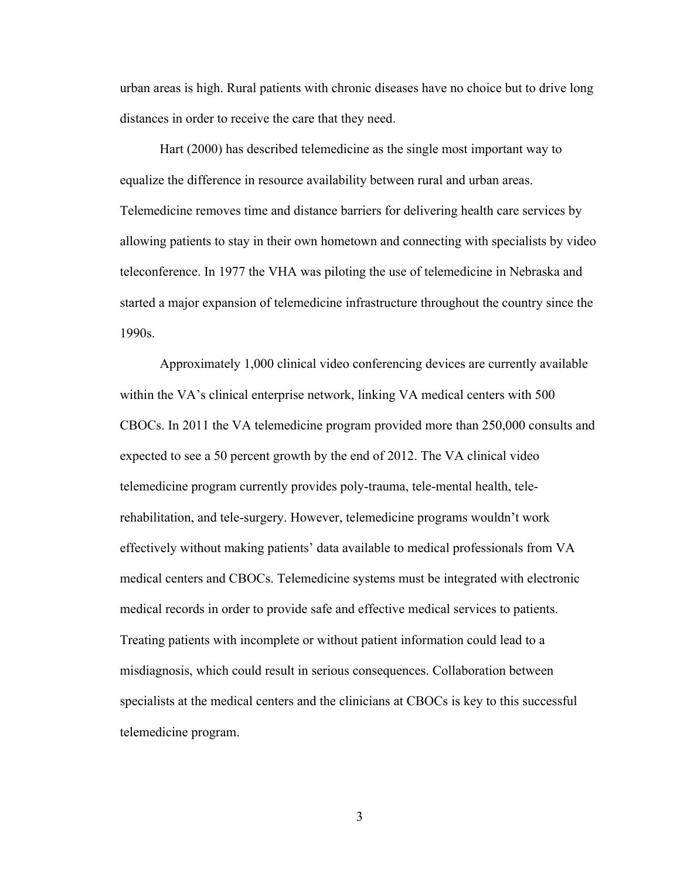urban areas is high. Rural patients with chronic diseases have no choice but to drive long distances in order to receive the care that they need.

Hart (2000) has described telemedicine as the single most important way to equalize the difference in resource availability between rural and urban areas. Telemedicine removes time and distance barriers for delivering health care services by allowing patients to stay in their own hometown and connecting with specialists by video teleconference. In 1977 the VHA was piloting the use of telemedicine in Nebraska and started a major expansion of telemedicine infrastructure throughout the country since the 1990s.

Approximately 1,000 clinical video conferencing devices are currently available within the VA's clinical enterprise network, linking VA medical centers with 500 CBOCs. In 2011 the VA telemedicine program provided more than 250,000 consults and expected to see a 50 percent growth by the end of 2012. The VA clinical video telemedicine program currently provides poly-trauma, tele-mental health, telerehabilitation, and tele-surgery. However, telemedicine programs wouldn't work effectively without making patients' data available to medical professionals from VA medical centers and CBOCs. Telemedicine systems must be integrated with electronic medical records in order to provide safe and effective medical services to patients. Treating patients with incomplete or without patient information could lead to a misdiagnosis, which could result in serious consequences. Collaboration between specialists at the medical centers and the clinicians at CBOCs is key to this successful telemedicine program.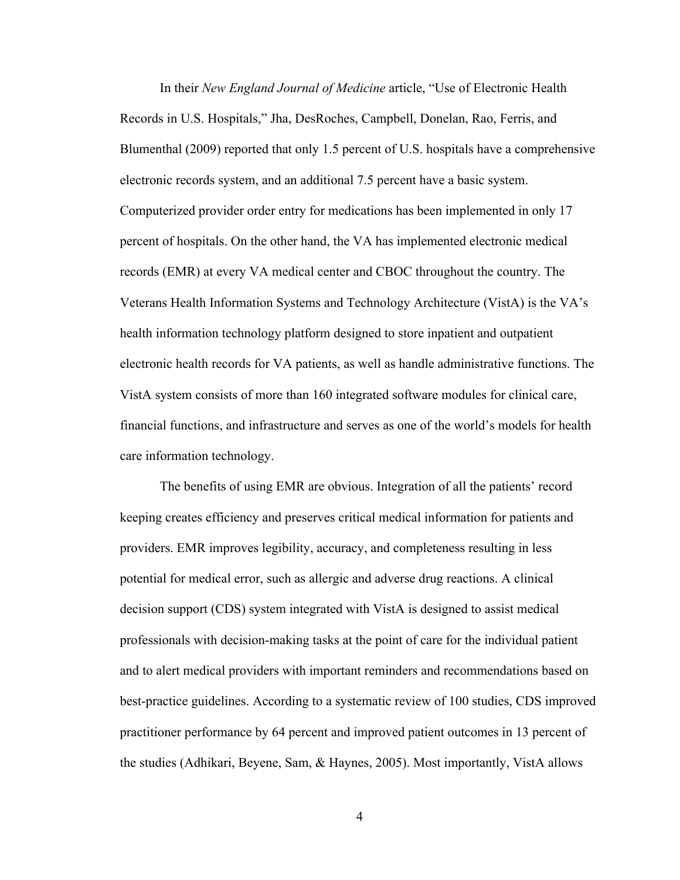In their *New England Journal of Medicine* article, "Use of Electronic Health Records in U.S. Hospitals," Jha, DesRoches, Campbell, Donelan, Rao, Ferris, and Blumenthal (2009) reported that only 1.5 percent of U.S. hospitals have a comprehensive electronic records system, and an additional 7.5 percent have a basic system. Computerized provider order entry for medications has been implemented in only 17 percent of hospitals. On the other hand, the VA has implemented electronic medical records (EMR) at every VA medical center and CBOC throughout the country. The Veterans Health Information Systems and Technology Architecture (VistA) is the VA's health information technology platform designed to store inpatient and outpatient electronic health records for VA patients, as well as handle administrative functions. The VistA system consists of more than 160 integrated software modules for clinical care, financial functions, and infrastructure and serves as one of the world's models for health care information technology.

The benefits of using EMR are obvious. Integration of all the patients' record keeping creates efficiency and preserves critical medical information for patients and providers. EMR improves legibility, accuracy, and completeness resulting in less potential for medical error, such as allergic and adverse drug reactions. A clinical decision support (CDS) system integrated with VistA is designed to assist medical professionals with decision-making tasks at the point of care for the individual patient and to alert medical providers with important reminders and recommendations based on best-practice guidelines. According to a systematic review of 100 studies, CDS improved practitioner performance by 64 percent and improved patient outcomes in 13 percent of the studies (Adhikari, Beyene, Sam, & Haynes, 2005). Most importantly, VistA allows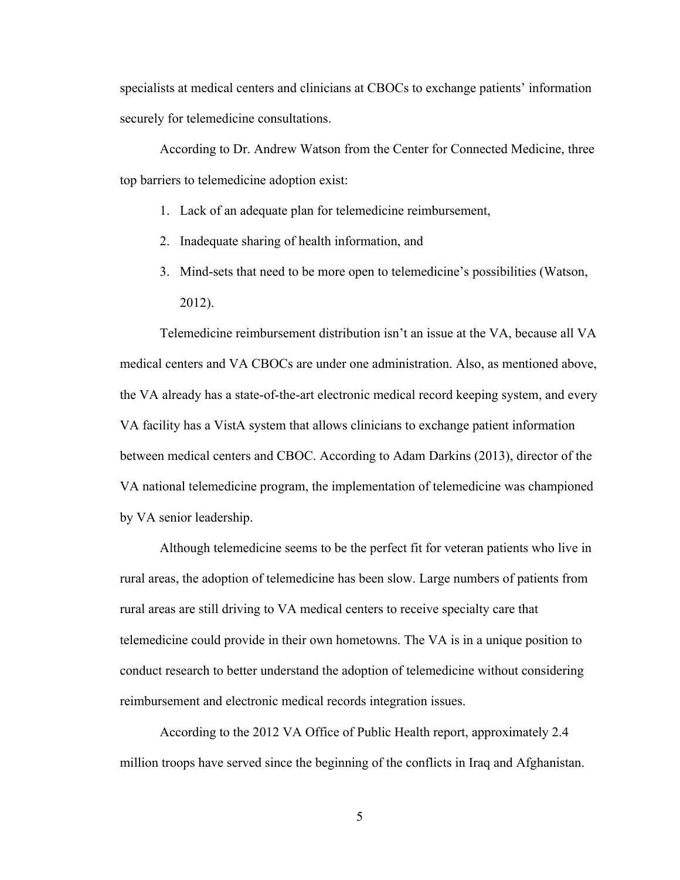specialists at medical centers and clinicians at CBOCs to exchange patients' information securely for telemedicine consultations.

According to Dr. Andrew Watson from the Center for Connected Medicine, three top barriers to telemedicine adoption exist:

- 1. Lack of an adequate plan for telemedicine reimbursement,
- 2. Inadequate sharing of health information, and
- 3. Mind-sets that need to be more open to telemedicine's possibilities (Watson, 2012).

Telemedicine reimbursement distribution isn't an issue at the VA, because all VA medical centers and VA CBOCs are under one administration. Also, as mentioned above, the VA already has a state-of-the-art electronic medical record keeping system, and every VA facility has a VistA system that allows clinicians to exchange patient information between medical centers and CBOC. According to Adam Darkins (2013), director of the VA national telemedicine program, the implementation of telemedicine was championed by VA senior leadership.

Although telemedicine seems to be the perfect fit for veteran patients who live in rural areas, the adoption of telemedicine has been slow. Large numbers of patients from rural areas are still driving to VA medical centers to receive specialty care that telemedicine could provide in their own hometowns. The VA is in a unique position to conduct research to better understand the adoption of telemedicine without considering reimbursement and electronic medical records integration issues.

According to the 2012 VA Office of Public Health report, approximately 2.4 million troops have served since the beginning of the conflicts in Iraq and Afghanistan.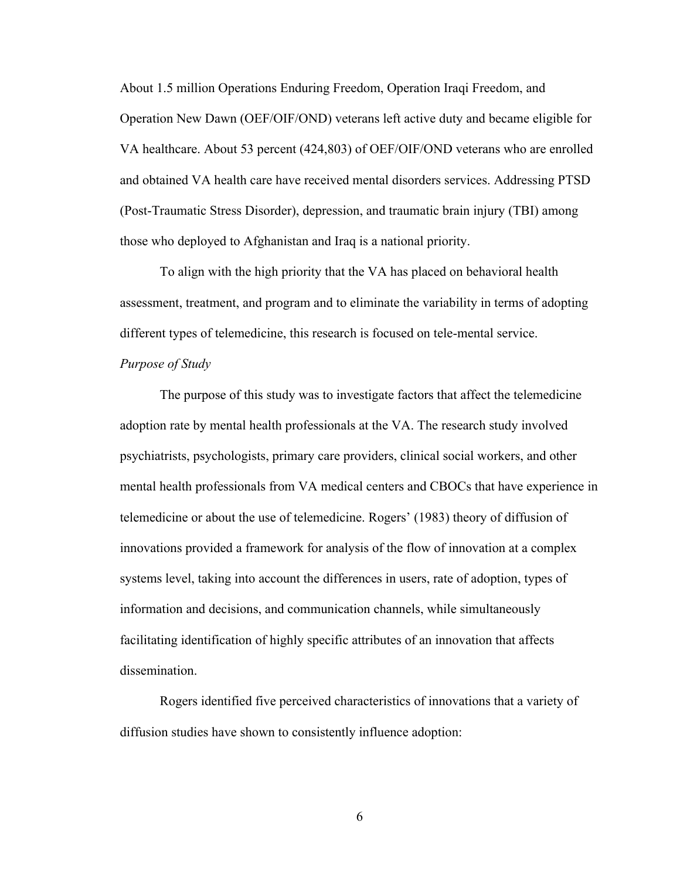About 1.5 million Operations Enduring Freedom, Operation Iraqi Freedom, and Operation New Dawn (OEF/OIF/OND) veterans left active duty and became eligible for VA healthcare. About 53 percent (424,803) of OEF/OIF/OND veterans who are enrolled and obtained VA health care have received mental disorders services. Addressing PTSD (Post-Traumatic Stress Disorder), depression, and traumatic brain injury (TBI) among those who deployed to Afghanistan and Iraq is a national priority.

To align with the high priority that the VA has placed on behavioral health assessment, treatment, and program and to eliminate the variability in terms of adopting different types of telemedicine, this research is focused on tele-mental service. *Purpose of Study*

The purpose of this study was to investigate factors that affect the telemedicine adoption rate by mental health professionals at the VA. The research study involved psychiatrists, psychologists, primary care providers, clinical social workers, and other mental health professionals from VA medical centers and CBOCs that have experience in telemedicine or about the use of telemedicine. Rogers' (1983) theory of diffusion of innovations provided a framework for analysis of the flow of innovation at a complex systems level, taking into account the differences in users, rate of adoption, types of information and decisions, and communication channels, while simultaneously facilitating identification of highly specific attributes of an innovation that affects dissemination.

Rogers identified five perceived characteristics of innovations that a variety of diffusion studies have shown to consistently influence adoption: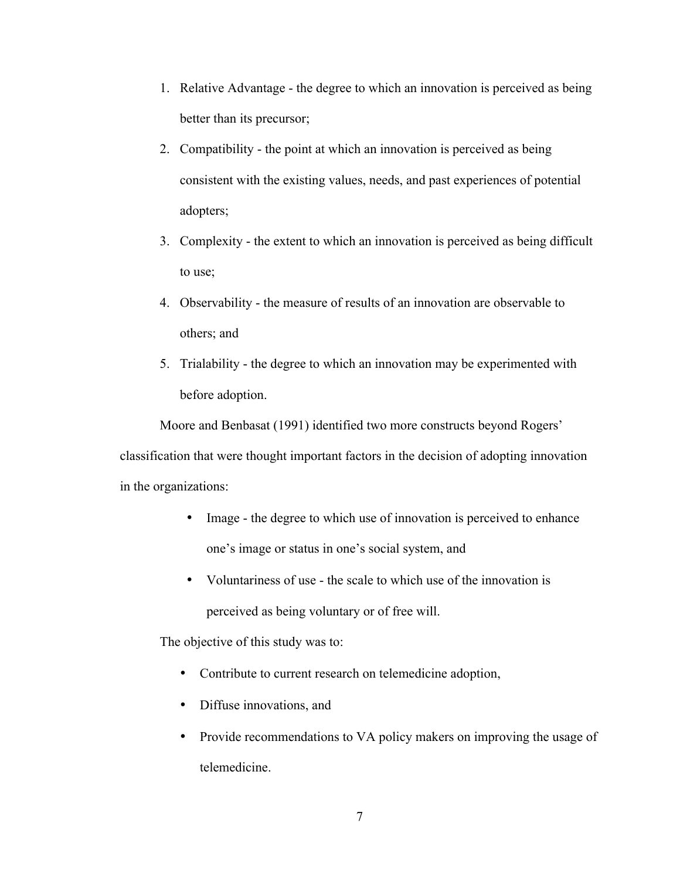- 1. Relative Advantage the degree to which an innovation is perceived as being better than its precursor;
- 2. Compatibility the point at which an innovation is perceived as being consistent with the existing values, needs, and past experiences of potential adopters;
- 3. Complexity the extent to which an innovation is perceived as being difficult to use;
- 4. Observability the measure of results of an innovation are observable to others; and
- 5. Trialability the degree to which an innovation may be experimented with before adoption.

Moore and Benbasat (1991) identified two more constructs beyond Rogers' classification that were thought important factors in the decision of adopting innovation in the organizations:

- Image the degree to which use of innovation is perceived to enhance one's image or status in one's social system, and
- Voluntariness of use the scale to which use of the innovation is perceived as being voluntary or of free will.

The objective of this study was to:

- Contribute to current research on telemedicine adoption,
- Diffuse innovations, and
- Provide recommendations to VA policy makers on improving the usage of telemedicine.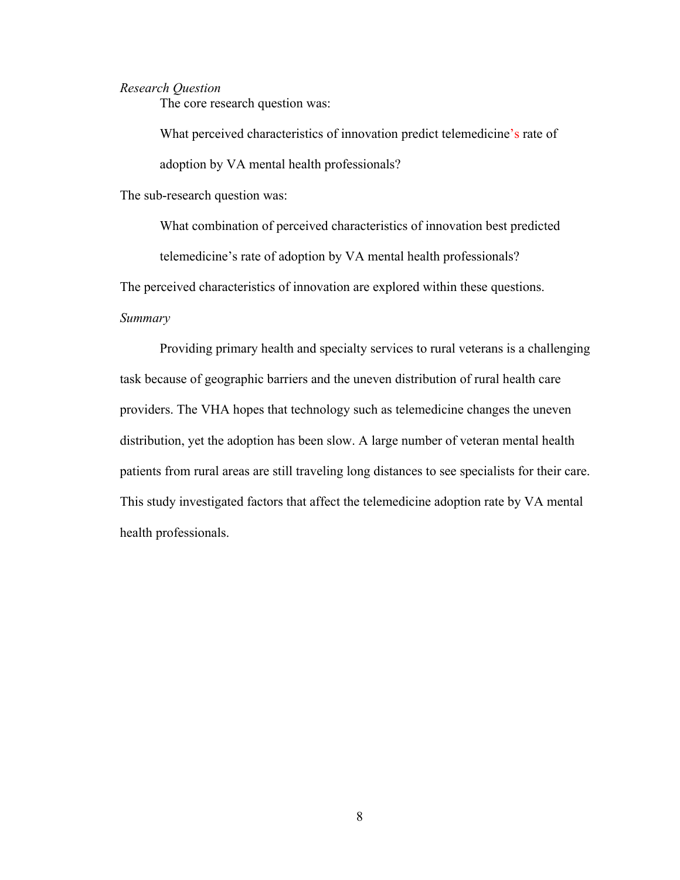#### *Research Question*

The core research question was:

What perceived characteristics of innovation predict telemedicine's rate of adoption by VA mental health professionals?

The sub-research question was:

What combination of perceived characteristics of innovation best predicted telemedicine's rate of adoption by VA mental health professionals?

The perceived characteristics of innovation are explored within these questions.

#### *Summary*

Providing primary health and specialty services to rural veterans is a challenging task because of geographic barriers and the uneven distribution of rural health care providers. The VHA hopes that technology such as telemedicine changes the uneven distribution, yet the adoption has been slow. A large number of veteran mental health patients from rural areas are still traveling long distances to see specialists for their care. This study investigated factors that affect the telemedicine adoption rate by VA mental health professionals.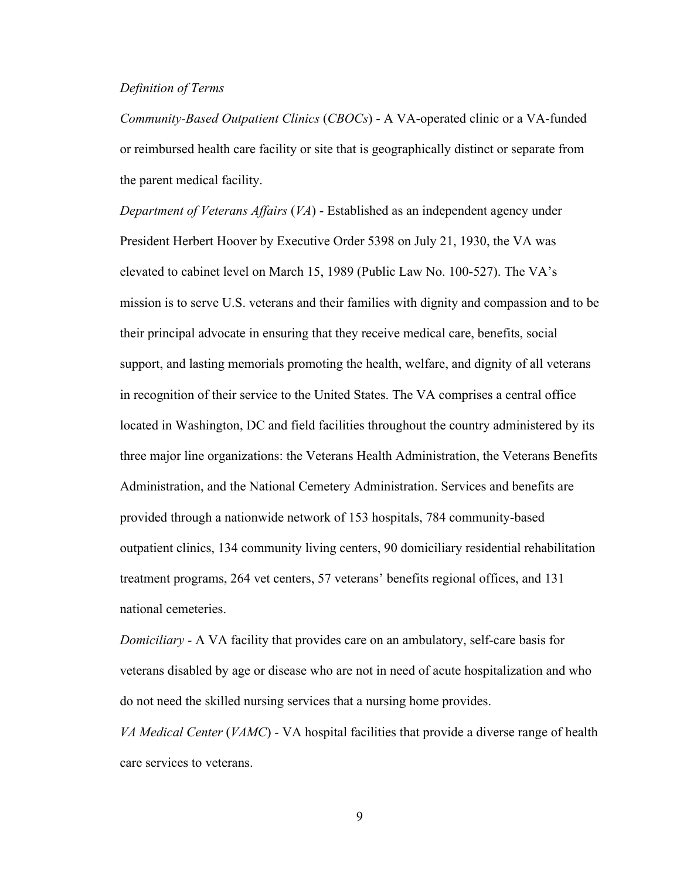#### *Definition of Terms*

*Community-Based Outpatient Clinics* (*CBOCs*) - A VA-operated clinic or a VA-funded or reimbursed health care facility or site that is geographically distinct or separate from the parent medical facility.

*Department of Veterans Affairs* (*VA*) - Established as an independent agency under President Herbert Hoover by Executive Order 5398 on July 21, 1930, the VA was elevated to cabinet level on March 15, 1989 (Public Law No. 100-527). The VA's mission is to serve U.S. veterans and their families with dignity and compassion and to be their principal advocate in ensuring that they receive medical care, benefits, social support, and lasting memorials promoting the health, welfare, and dignity of all veterans in recognition of their service to the United States. The VA comprises a central office located in Washington, DC and field facilities throughout the country administered by its three major line organizations: the Veterans Health Administration, the Veterans Benefits Administration, and the National Cemetery Administration. Services and benefits are provided through a nationwide network of 153 hospitals, 784 community-based outpatient clinics, 134 community living centers, 90 domiciliary residential rehabilitation treatment programs, 264 vet centers, 57 veterans' benefits regional offices, and 131 national cemeteries.

*Domiciliary -* A VA facility that provides care on an ambulatory, self-care basis for veterans disabled by age or disease who are not in need of acute hospitalization and who do not need the skilled nursing services that a nursing home provides.

*VA Medical Center* (*VAMC*) - VA hospital facilities that provide a diverse range of health care services to veterans.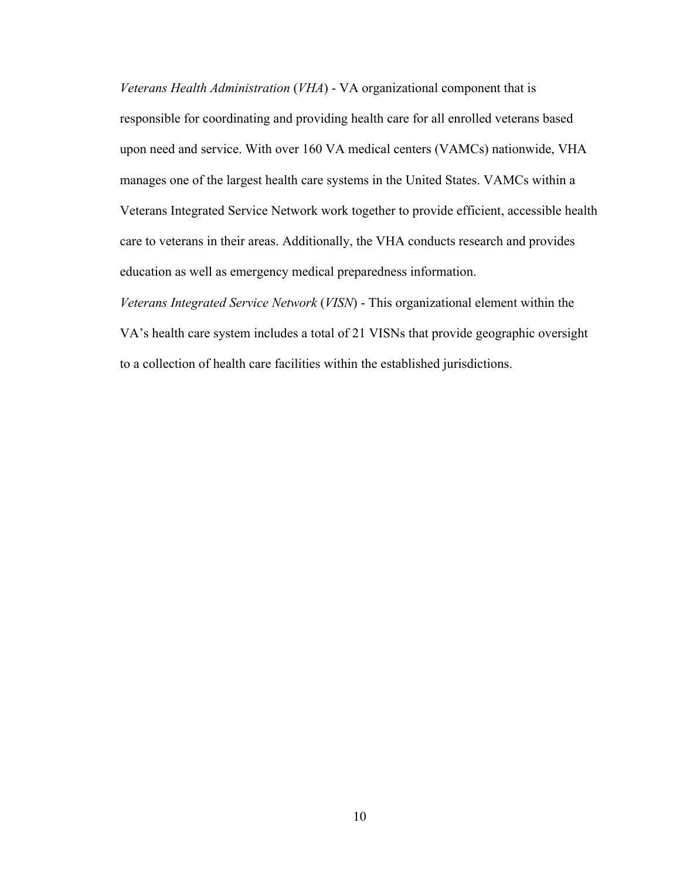*Veterans Health Administration* (*VHA*) - VA organizational component that is responsible for coordinating and providing health care for all enrolled veterans based upon need and service. With over 160 VA medical centers (VAMCs) nationwide, VHA manages one of the largest health care systems in the United States. VAMCs within a Veterans Integrated Service Network work together to provide efficient, accessible health care to veterans in their areas. Additionally, the VHA conducts research and provides education as well as emergency medical preparedness information.

*Veterans Integrated Service Network* (*VISN*) - This organizational element within the VA's health care system includes a total of 21 VISNs that provide geographic oversight to a collection of health care facilities within the established jurisdictions.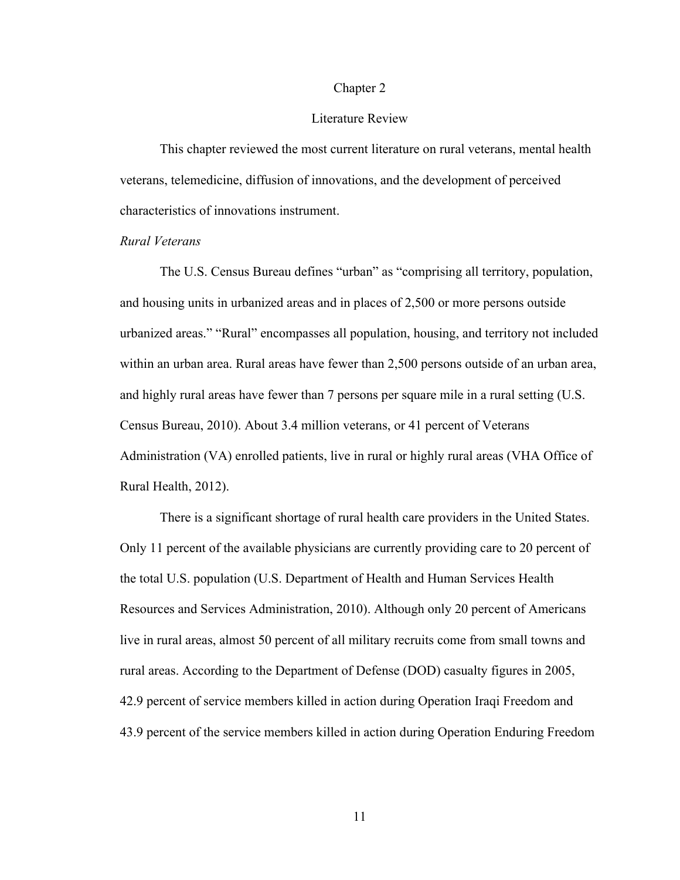#### Chapter 2

#### Literature Review

This chapter reviewed the most current literature on rural veterans, mental health veterans, telemedicine, diffusion of innovations, and the development of perceived characteristics of innovations instrument.

#### *Rural Veterans*

The U.S. Census Bureau defines "urban" as "comprising all territory, population, and housing units in urbanized areas and in places of 2,500 or more persons outside urbanized areas." "Rural" encompasses all population, housing, and territory not included within an urban area. Rural areas have fewer than 2,500 persons outside of an urban area, and highly rural areas have fewer than 7 persons per square mile in a rural setting (U.S. Census Bureau, 2010). About 3.4 million veterans, or 41 percent of Veterans Administration (VA) enrolled patients, live in rural or highly rural areas (VHA Office of Rural Health, 2012).

There is a significant shortage of rural health care providers in the United States. Only 11 percent of the available physicians are currently providing care to 20 percent of the total U.S. population (U.S. Department of Health and Human Services Health Resources and Services Administration, 2010). Although only 20 percent of Americans live in rural areas, almost 50 percent of all military recruits come from small towns and rural areas. According to the Department of Defense (DOD) casualty figures in 2005, 42.9 percent of service members killed in action during Operation Iraqi Freedom and 43.9 percent of the service members killed in action during Operation Enduring Freedom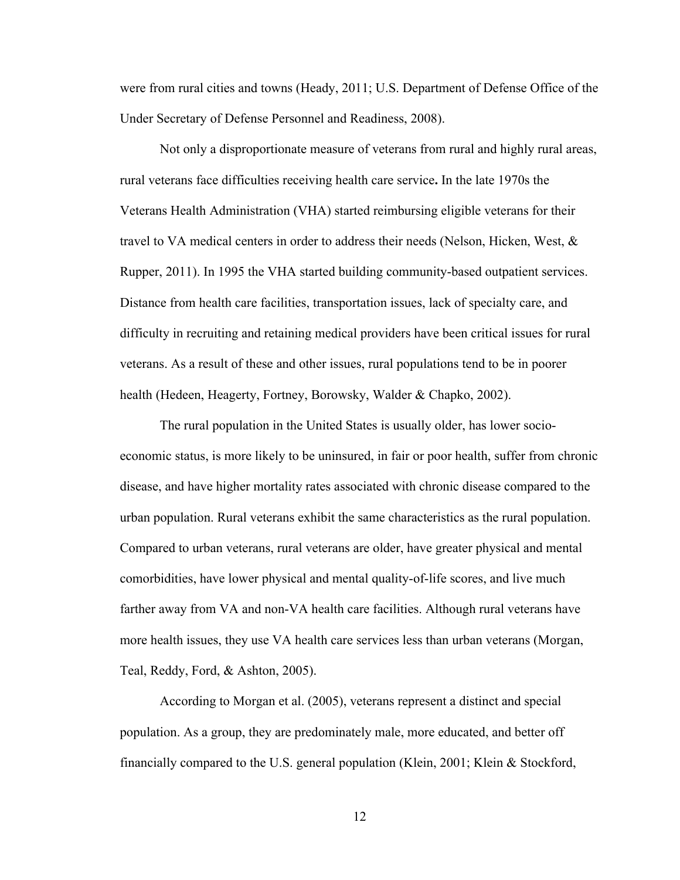were from rural cities and towns (Heady, 2011; U.S. Department of Defense Office of the Under Secretary of Defense Personnel and Readiness, 2008).

Not only a disproportionate measure of veterans from rural and highly rural areas, rural veterans face difficulties receiving health care service**.** In the late 1970s the Veterans Health Administration (VHA) started reimbursing eligible veterans for their travel to VA medical centers in order to address their needs (Nelson, Hicken, West, & Rupper, 2011). In 1995 the VHA started building community-based outpatient services. Distance from health care facilities, transportation issues, lack of specialty care, and difficulty in recruiting and retaining medical providers have been critical issues for rural veterans. As a result of these and other issues, rural populations tend to be in poorer health (Hedeen, Heagerty, Fortney, Borowsky, Walder & Chapko, 2002).

The rural population in the United States is usually older, has lower socioeconomic status, is more likely to be uninsured, in fair or poor health, suffer from chronic disease, and have higher mortality rates associated with chronic disease compared to the urban population. Rural veterans exhibit the same characteristics as the rural population. Compared to urban veterans, rural veterans are older, have greater physical and mental comorbidities, have lower physical and mental quality-of-life scores, and live much farther away from VA and non-VA health care facilities. Although rural veterans have more health issues, they use VA health care services less than urban veterans (Morgan, Teal, Reddy, Ford, & Ashton, 2005).

According to Morgan et al. (2005), veterans represent a distinct and special population. As a group, they are predominately male, more educated, and better off financially compared to the U.S. general population (Klein, 2001; Klein & Stockford,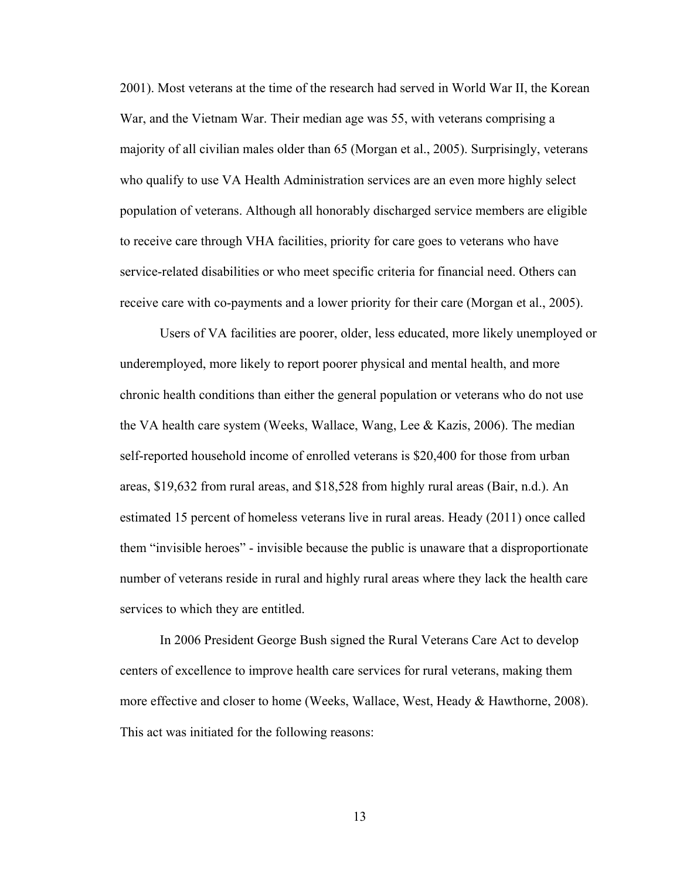2001). Most veterans at the time of the research had served in World War II, the Korean War, and the Vietnam War. Their median age was 55, with veterans comprising a majority of all civilian males older than 65 (Morgan et al., 2005). Surprisingly, veterans who qualify to use VA Health Administration services are an even more highly select population of veterans. Although all honorably discharged service members are eligible to receive care through VHA facilities, priority for care goes to veterans who have service-related disabilities or who meet specific criteria for financial need. Others can receive care with co-payments and a lower priority for their care (Morgan et al., 2005).

Users of VA facilities are poorer, older, less educated, more likely unemployed or underemployed, more likely to report poorer physical and mental health, and more chronic health conditions than either the general population or veterans who do not use the VA health care system (Weeks, Wallace, Wang, Lee  $\&$  Kazis, 2006). The median self-reported household income of enrolled veterans is \$20,400 for those from urban areas, \$19,632 from rural areas, and \$18,528 from highly rural areas (Bair, n.d.). An estimated 15 percent of homeless veterans live in rural areas. Heady (2011) once called them "invisible heroes" - invisible because the public is unaware that a disproportionate number of veterans reside in rural and highly rural areas where they lack the health care services to which they are entitled.

In 2006 President George Bush signed the Rural Veterans Care Act to develop centers of excellence to improve health care services for rural veterans, making them more effective and closer to home (Weeks, Wallace, West, Heady & Hawthorne, 2008). This act was initiated for the following reasons: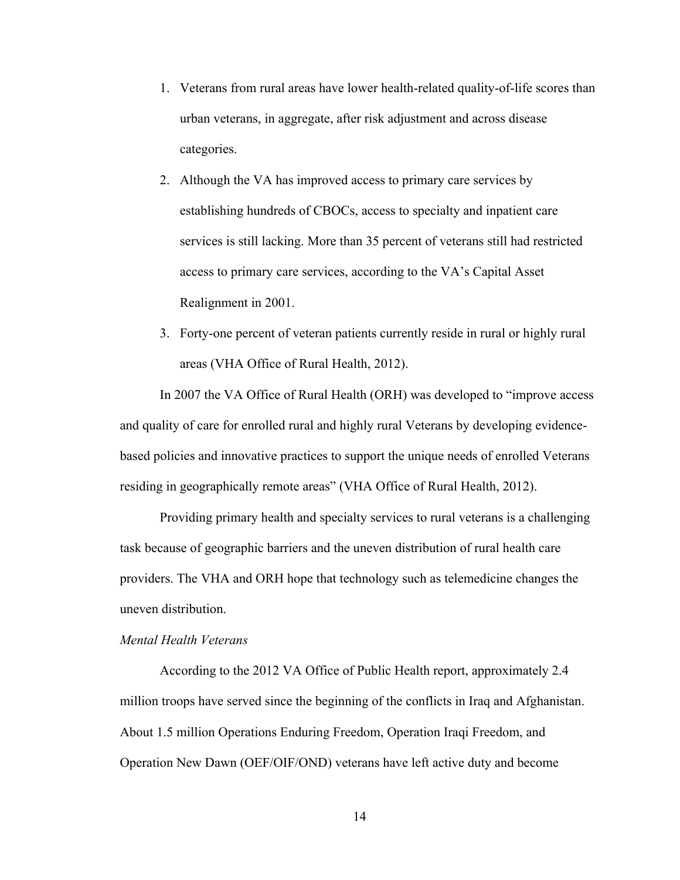- 1. Veterans from rural areas have lower health-related quality-of-life scores than urban veterans, in aggregate, after risk adjustment and across disease categories.
- 2. Although the VA has improved access to primary care services by establishing hundreds of CBOCs, access to specialty and inpatient care services is still lacking. More than 35 percent of veterans still had restricted access to primary care services, according to the VA's Capital Asset Realignment in 2001.
- 3. Forty-one percent of veteran patients currently reside in rural or highly rural areas (VHA Office of Rural Health, 2012).

In 2007 the VA Office of Rural Health (ORH) was developed to "improve access and quality of care for enrolled rural and highly rural Veterans by developing evidencebased policies and innovative practices to support the unique needs of enrolled Veterans residing in geographically remote areas" (VHA Office of Rural Health, 2012).

Providing primary health and specialty services to rural veterans is a challenging task because of geographic barriers and the uneven distribution of rural health care providers. The VHA and ORH hope that technology such as telemedicine changes the uneven distribution.

#### *Mental Health Veterans*

According to the 2012 VA Office of Public Health report, approximately 2.4 million troops have served since the beginning of the conflicts in Iraq and Afghanistan. About 1.5 million Operations Enduring Freedom, Operation Iraqi Freedom, and Operation New Dawn (OEF/OIF/OND) veterans have left active duty and become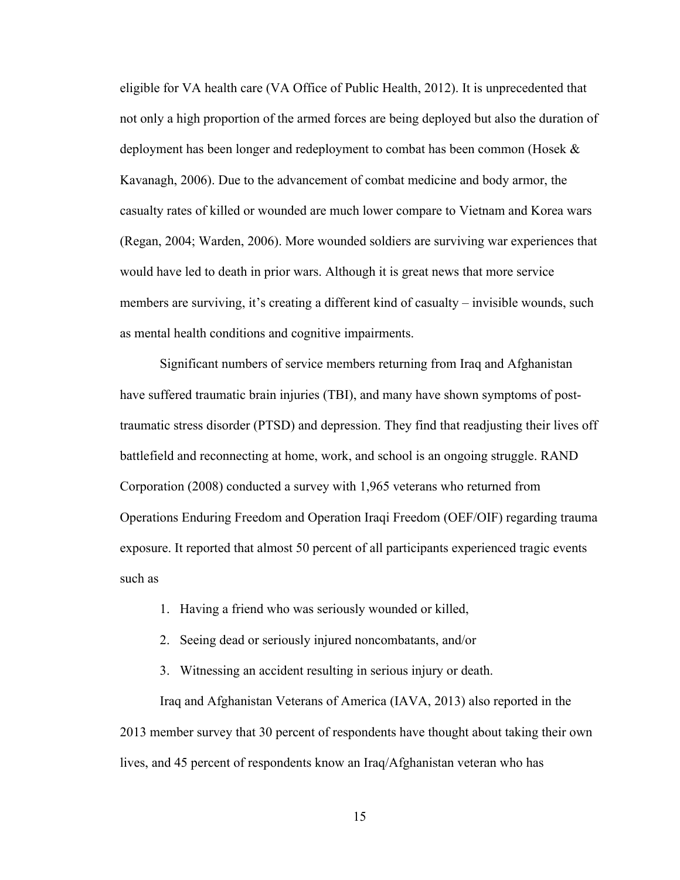eligible for VA health care (VA Office of Public Health, 2012). It is unprecedented that not only a high proportion of the armed forces are being deployed but also the duration of deployment has been longer and redeployment to combat has been common (Hosek & Kavanagh, 2006). Due to the advancement of combat medicine and body armor, the casualty rates of killed or wounded are much lower compare to Vietnam and Korea wars (Regan, 2004; Warden, 2006). More wounded soldiers are surviving war experiences that would have led to death in prior wars. Although it is great news that more service members are surviving, it's creating a different kind of casualty – invisible wounds, such as mental health conditions and cognitive impairments.

Significant numbers of service members returning from Iraq and Afghanistan have suffered traumatic brain injuries (TBI), and many have shown symptoms of posttraumatic stress disorder (PTSD) and depression. They find that readjusting their lives off battlefield and reconnecting at home, work, and school is an ongoing struggle. RAND Corporation (2008) conducted a survey with 1,965 veterans who returned from Operations Enduring Freedom and Operation Iraqi Freedom (OEF/OIF) regarding trauma exposure. It reported that almost 50 percent of all participants experienced tragic events such as

- 1. Having a friend who was seriously wounded or killed,
- 2. Seeing dead or seriously injured noncombatants, and/or

3. Witnessing an accident resulting in serious injury or death.

Iraq and Afghanistan Veterans of America (IAVA, 2013) also reported in the 2013 member survey that 30 percent of respondents have thought about taking their own lives, and 45 percent of respondents know an Iraq/Afghanistan veteran who has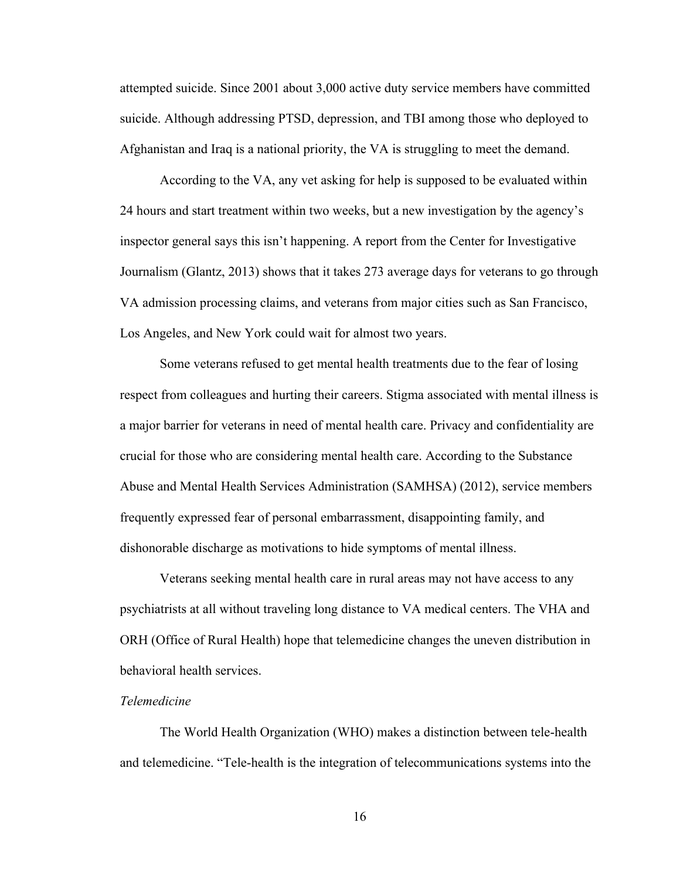attempted suicide. Since 2001 about 3,000 active duty service members have committed suicide. Although addressing PTSD, depression, and TBI among those who deployed to Afghanistan and Iraq is a national priority, the VA is struggling to meet the demand.

According to the VA, any vet asking for help is supposed to be evaluated within 24 hours and start treatment within two weeks, but a new investigation by the agency's inspector general says this isn't happening. A report from the Center for Investigative Journalism (Glantz, 2013) shows that it takes 273 average days for veterans to go through VA admission processing claims, and veterans from major cities such as San Francisco, Los Angeles, and New York could wait for almost two years.

Some veterans refused to get mental health treatments due to the fear of losing respect from colleagues and hurting their careers. Stigma associated with mental illness is a major barrier for veterans in need of mental health care. Privacy and confidentiality are crucial for those who are considering mental health care. According to the Substance Abuse and Mental Health Services Administration (SAMHSA) (2012), service members frequently expressed fear of personal embarrassment, disappointing family, and dishonorable discharge as motivations to hide symptoms of mental illness.

Veterans seeking mental health care in rural areas may not have access to any psychiatrists at all without traveling long distance to VA medical centers. The VHA and ORH (Office of Rural Health) hope that telemedicine changes the uneven distribution in behavioral health services.

#### *Telemedicine*

The World Health Organization (WHO) makes a distinction between tele-health and telemedicine. "Tele-health is the integration of telecommunications systems into the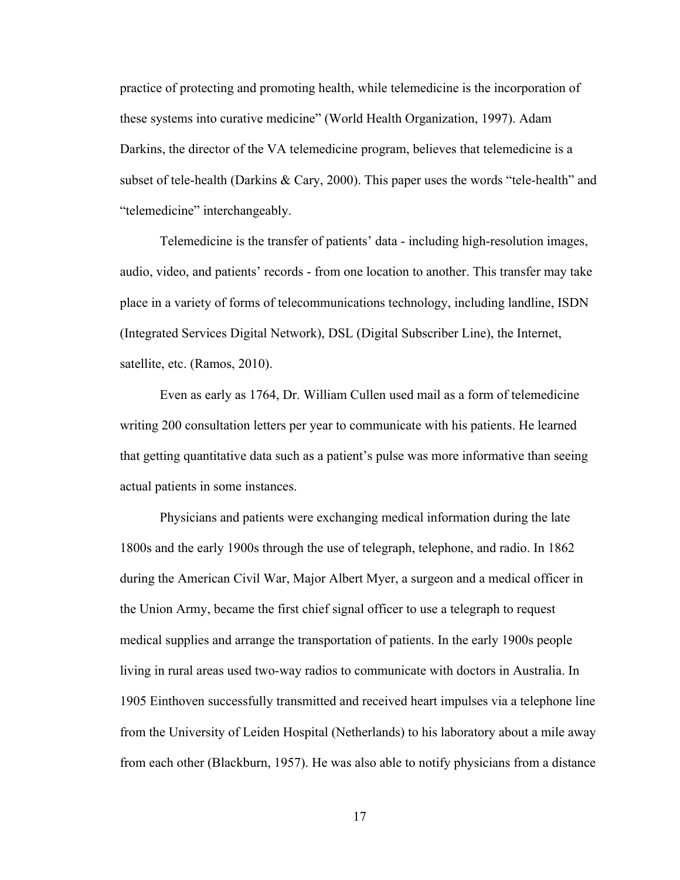practice of protecting and promoting health, while telemedicine is the incorporation of these systems into curative medicine" (World Health Organization, 1997). Adam Darkins, the director of the VA telemedicine program, believes that telemedicine is a subset of tele-health (Darkins & Cary, 2000). This paper uses the words "tele-health" and "telemedicine" interchangeably.

Telemedicine is the transfer of patients' data - including high-resolution images, audio, video, and patients' records - from one location to another. This transfer may take place in a variety of forms of telecommunications technology, including landline, ISDN (Integrated Services Digital Network), DSL (Digital Subscriber Line), the Internet, satellite, etc. (Ramos, 2010).

Even as early as 1764, Dr. William Cullen used mail as a form of telemedicine writing 200 consultation letters per year to communicate with his patients. He learned that getting quantitative data such as a patient's pulse was more informative than seeing actual patients in some instances.

Physicians and patients were exchanging medical information during the late 1800s and the early 1900s through the use of telegraph, telephone, and radio. In 1862 during the American Civil War, Major Albert Myer, a surgeon and a medical officer in the Union Army, became the first chief signal officer to use a telegraph to request medical supplies and arrange the transportation of patients. In the early 1900s people living in rural areas used two-way radios to communicate with doctors in Australia. In 1905 Einthoven successfully transmitted and received heart impulses via a telephone line from the University of Leiden Hospital (Netherlands) to his laboratory about a mile away from each other (Blackburn, 1957). He was also able to notify physicians from a distance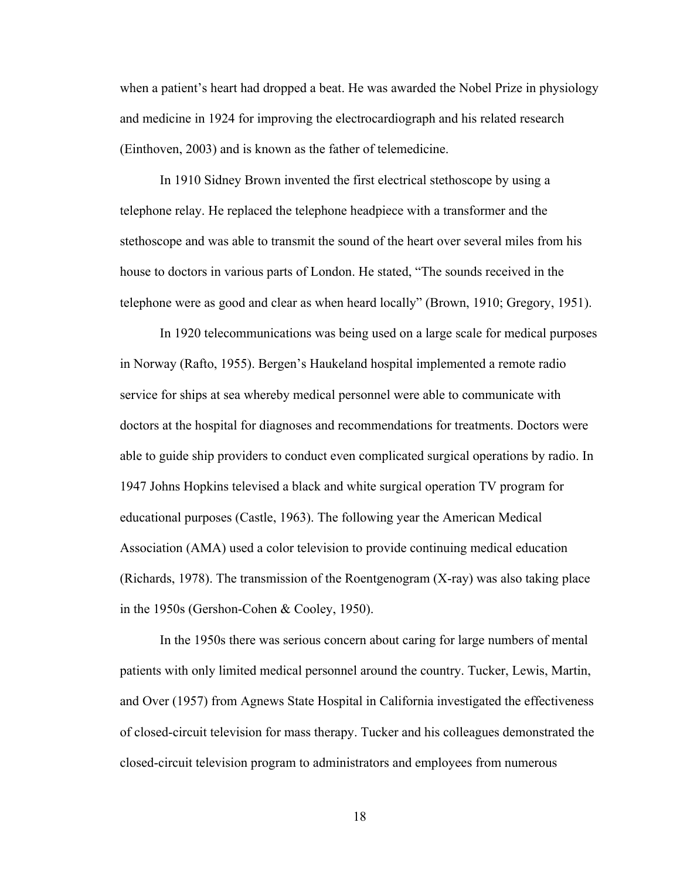when a patient's heart had dropped a beat. He was awarded the Nobel Prize in physiology and medicine in 1924 for improving the electrocardiograph and his related research (Einthoven, 2003) and is known as the father of telemedicine.

In 1910 Sidney Brown invented the first electrical stethoscope by using a telephone relay. He replaced the telephone headpiece with a transformer and the stethoscope and was able to transmit the sound of the heart over several miles from his house to doctors in various parts of London. He stated, "The sounds received in the telephone were as good and clear as when heard locally" (Brown, 1910; Gregory, 1951).

In 1920 telecommunications was being used on a large scale for medical purposes in Norway (Rafto, 1955). Bergen's Haukeland hospital implemented a remote radio service for ships at sea whereby medical personnel were able to communicate with doctors at the hospital for diagnoses and recommendations for treatments. Doctors were able to guide ship providers to conduct even complicated surgical operations by radio. In 1947 Johns Hopkins televised a black and white surgical operation TV program for educational purposes (Castle, 1963). The following year the American Medical Association (AMA) used a color television to provide continuing medical education (Richards, 1978). The transmission of the Roentgenogram (X-ray) was also taking place in the 1950s (Gershon-Cohen & Cooley, 1950).

In the 1950s there was serious concern about caring for large numbers of mental patients with only limited medical personnel around the country. Tucker, Lewis, Martin, and Over (1957) from Agnews State Hospital in California investigated the effectiveness of closed-circuit television for mass therapy. Tucker and his colleagues demonstrated the closed-circuit television program to administrators and employees from numerous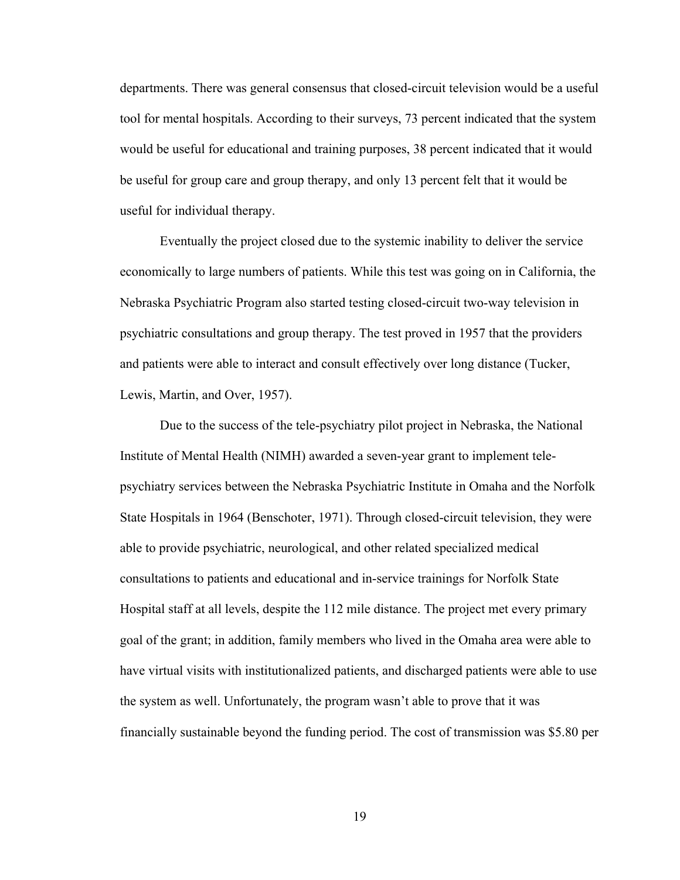departments. There was general consensus that closed-circuit television would be a useful tool for mental hospitals. According to their surveys, 73 percent indicated that the system would be useful for educational and training purposes, 38 percent indicated that it would be useful for group care and group therapy, and only 13 percent felt that it would be useful for individual therapy.

Eventually the project closed due to the systemic inability to deliver the service economically to large numbers of patients. While this test was going on in California, the Nebraska Psychiatric Program also started testing closed-circuit two-way television in psychiatric consultations and group therapy. The test proved in 1957 that the providers and patients were able to interact and consult effectively over long distance (Tucker, Lewis, Martin, and Over, 1957).

Due to the success of the tele-psychiatry pilot project in Nebraska, the National Institute of Mental Health (NIMH) awarded a seven-year grant to implement telepsychiatry services between the Nebraska Psychiatric Institute in Omaha and the Norfolk State Hospitals in 1964 (Benschoter, 1971). Through closed-circuit television, they were able to provide psychiatric, neurological, and other related specialized medical consultations to patients and educational and in-service trainings for Norfolk State Hospital staff at all levels, despite the 112 mile distance. The project met every primary goal of the grant; in addition, family members who lived in the Omaha area were able to have virtual visits with institutionalized patients, and discharged patients were able to use the system as well. Unfortunately, the program wasn't able to prove that it was financially sustainable beyond the funding period. The cost of transmission was \$5.80 per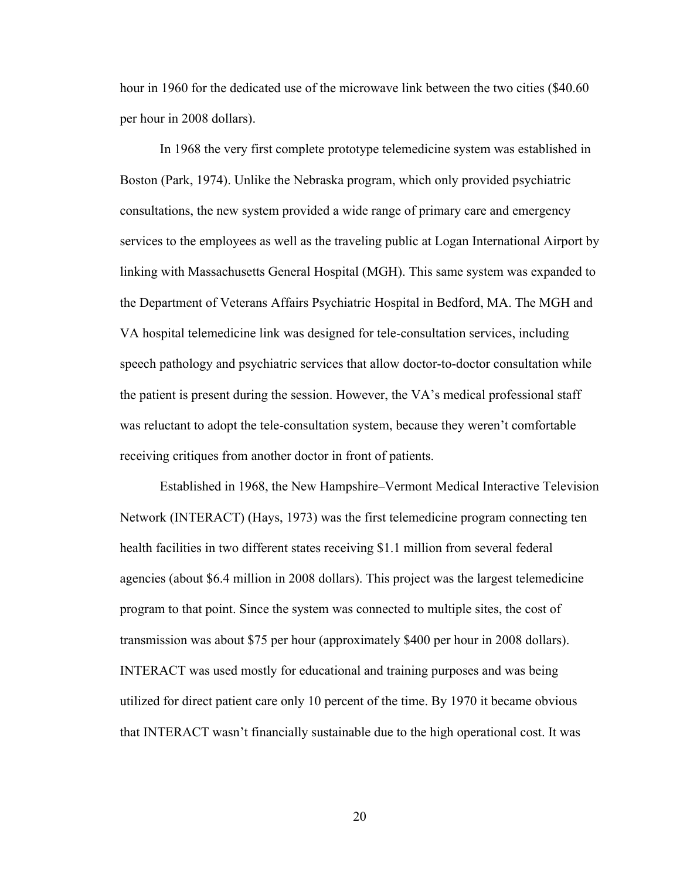hour in 1960 for the dedicated use of the microwave link between the two cities (\$40.60 per hour in 2008 dollars).

In 1968 the very first complete prototype telemedicine system was established in Boston (Park, 1974). Unlike the Nebraska program, which only provided psychiatric consultations, the new system provided a wide range of primary care and emergency services to the employees as well as the traveling public at Logan International Airport by linking with Massachusetts General Hospital (MGH). This same system was expanded to the Department of Veterans Affairs Psychiatric Hospital in Bedford, MA. The MGH and VA hospital telemedicine link was designed for tele-consultation services, including speech pathology and psychiatric services that allow doctor-to-doctor consultation while the patient is present during the session. However, the VA's medical professional staff was reluctant to adopt the tele-consultation system, because they weren't comfortable receiving critiques from another doctor in front of patients.

Established in 1968, the New Hampshire–Vermont Medical Interactive Television Network (INTERACT) (Hays, 1973) was the first telemedicine program connecting ten health facilities in two different states receiving \$1.1 million from several federal agencies (about \$6.4 million in 2008 dollars). This project was the largest telemedicine program to that point. Since the system was connected to multiple sites, the cost of transmission was about \$75 per hour (approximately \$400 per hour in 2008 dollars). INTERACT was used mostly for educational and training purposes and was being utilized for direct patient care only 10 percent of the time. By 1970 it became obvious that INTERACT wasn't financially sustainable due to the high operational cost. It was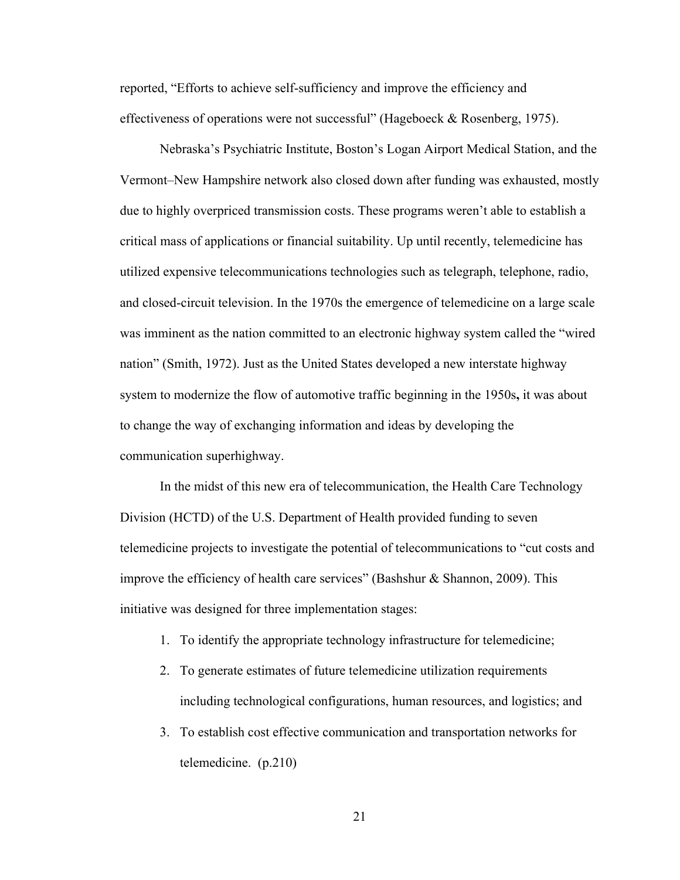reported, "Efforts to achieve self-sufficiency and improve the efficiency and effectiveness of operations were not successful" (Hageboeck & Rosenberg, 1975).

Nebraska's Psychiatric Institute, Boston's Logan Airport Medical Station, and the Vermont–New Hampshire network also closed down after funding was exhausted, mostly due to highly overpriced transmission costs. These programs weren't able to establish a critical mass of applications or financial suitability. Up until recently, telemedicine has utilized expensive telecommunications technologies such as telegraph, telephone, radio, and closed-circuit television. In the 1970s the emergence of telemedicine on a large scale was imminent as the nation committed to an electronic highway system called the "wired nation" (Smith, 1972). Just as the United States developed a new interstate highway system to modernize the flow of automotive traffic beginning in the 1950s**,** it was about to change the way of exchanging information and ideas by developing the communication superhighway.

In the midst of this new era of telecommunication, the Health Care Technology Division (HCTD) of the U.S. Department of Health provided funding to seven telemedicine projects to investigate the potential of telecommunications to "cut costs and improve the efficiency of health care services" (Bashshur & Shannon, 2009). This initiative was designed for three implementation stages:

- 1. To identify the appropriate technology infrastructure for telemedicine;
- 2. To generate estimates of future telemedicine utilization requirements including technological configurations, human resources, and logistics; and
- 3. To establish cost effective communication and transportation networks for telemedicine. (p.210)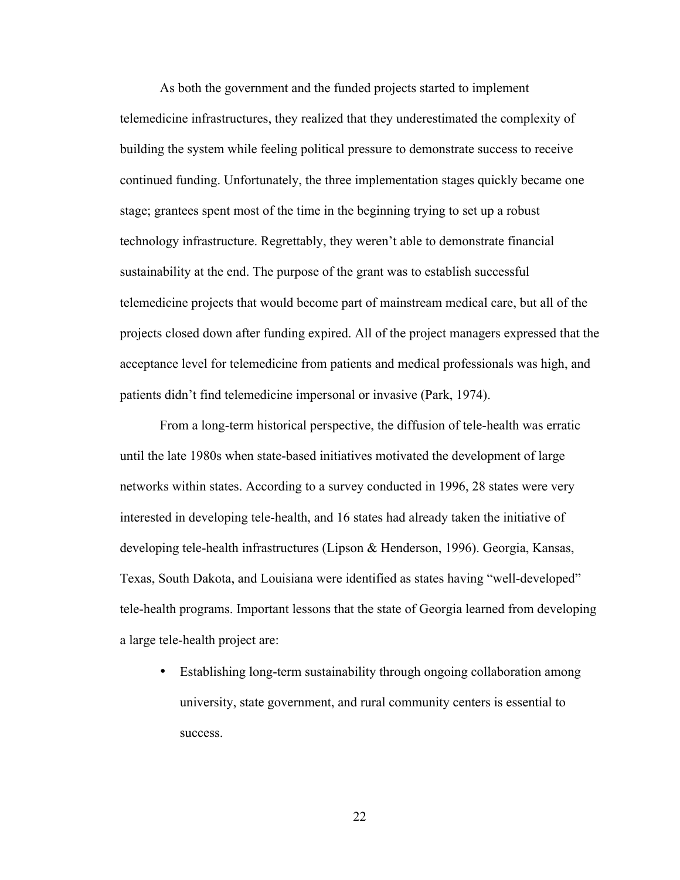As both the government and the funded projects started to implement telemedicine infrastructures, they realized that they underestimated the complexity of building the system while feeling political pressure to demonstrate success to receive continued funding. Unfortunately, the three implementation stages quickly became one stage; grantees spent most of the time in the beginning trying to set up a robust technology infrastructure. Regrettably, they weren't able to demonstrate financial sustainability at the end. The purpose of the grant was to establish successful telemedicine projects that would become part of mainstream medical care, but all of the projects closed down after funding expired. All of the project managers expressed that the acceptance level for telemedicine from patients and medical professionals was high, and patients didn't find telemedicine impersonal or invasive (Park, 1974).

From a long-term historical perspective, the diffusion of tele-health was erratic until the late 1980s when state-based initiatives motivated the development of large networks within states. According to a survey conducted in 1996, 28 states were very interested in developing tele-health, and 16 states had already taken the initiative of developing tele-health infrastructures (Lipson & Henderson, 1996). Georgia, Kansas, Texas, South Dakota, and Louisiana were identified as states having "well-developed" tele-health programs. Important lessons that the state of Georgia learned from developing a large tele-health project are:

• Establishing long-term sustainability through ongoing collaboration among university, state government, and rural community centers is essential to success.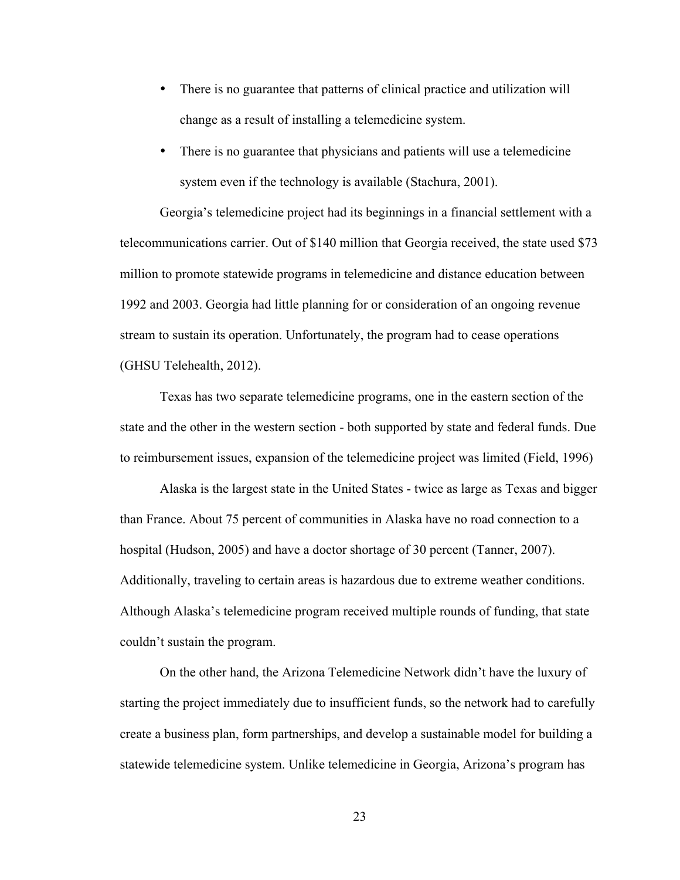- There is no guarantee that patterns of clinical practice and utilization will change as a result of installing a telemedicine system.
- There is no guarantee that physicians and patients will use a telemedicine system even if the technology is available (Stachura, 2001).

Georgia's telemedicine project had its beginnings in a financial settlement with a telecommunications carrier. Out of \$140 million that Georgia received, the state used \$73 million to promote statewide programs in telemedicine and distance education between 1992 and 2003. Georgia had little planning for or consideration of an ongoing revenue stream to sustain its operation. Unfortunately, the program had to cease operations (GHSU Telehealth, 2012).

Texas has two separate telemedicine programs, one in the eastern section of the state and the other in the western section - both supported by state and federal funds. Due to reimbursement issues, expansion of the telemedicine project was limited (Field, 1996)

Alaska is the largest state in the United States - twice as large as Texas and bigger than France. About 75 percent of communities in Alaska have no road connection to a hospital (Hudson, 2005) and have a doctor shortage of 30 percent (Tanner, 2007). Additionally, traveling to certain areas is hazardous due to extreme weather conditions. Although Alaska's telemedicine program received multiple rounds of funding, that state couldn't sustain the program.

On the other hand, the Arizona Telemedicine Network didn't have the luxury of starting the project immediately due to insufficient funds, so the network had to carefully create a business plan, form partnerships, and develop a sustainable model for building a statewide telemedicine system. Unlike telemedicine in Georgia, Arizona's program has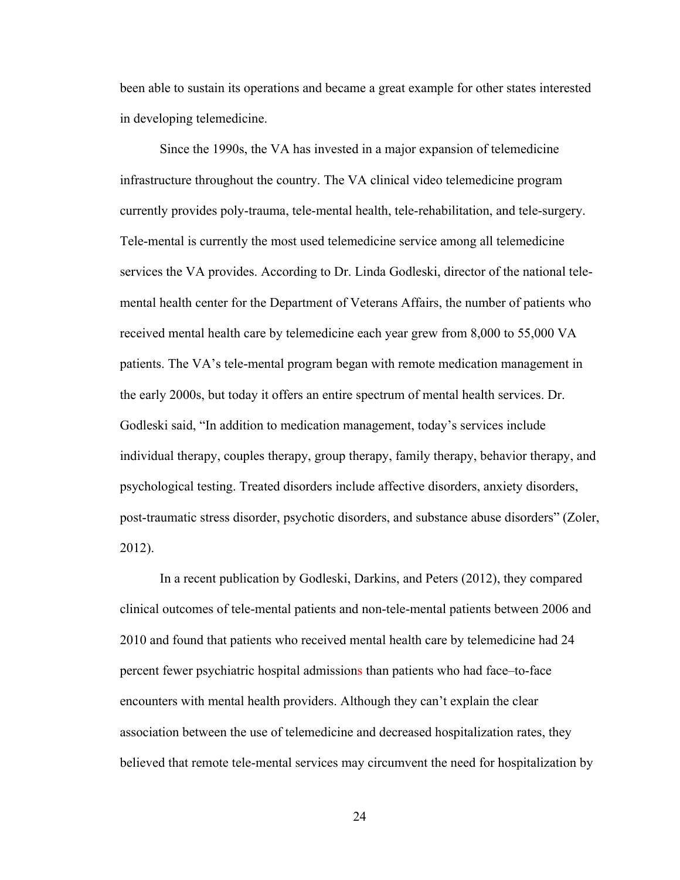been able to sustain its operations and became a great example for other states interested in developing telemedicine.

Since the 1990s, the VA has invested in a major expansion of telemedicine infrastructure throughout the country. The VA clinical video telemedicine program currently provides poly-trauma, tele-mental health, tele-rehabilitation, and tele-surgery. Tele-mental is currently the most used telemedicine service among all telemedicine services the VA provides. According to Dr. Linda Godleski, director of the national telemental health center for the Department of Veterans Affairs, the number of patients who received mental health care by telemedicine each year grew from 8,000 to 55,000 VA patients. The VA's tele-mental program began with remote medication management in the early 2000s, but today it offers an entire spectrum of mental health services. Dr. Godleski said, "In addition to medication management, today's services include individual therapy, couples therapy, group therapy, family therapy, behavior therapy, and psychological testing. Treated disorders include affective disorders, anxiety disorders, post-traumatic stress disorder, psychotic disorders, and substance abuse disorders" (Zoler, 2012).

In a recent publication by Godleski, Darkins, and Peters (2012), they compared clinical outcomes of tele-mental patients and non-tele-mental patients between 2006 and 2010 and found that patients who received mental health care by telemedicine had 24 percent fewer psychiatric hospital admissions than patients who had face–to-face encounters with mental health providers. Although they can't explain the clear association between the use of telemedicine and decreased hospitalization rates, they believed that remote tele-mental services may circumvent the need for hospitalization by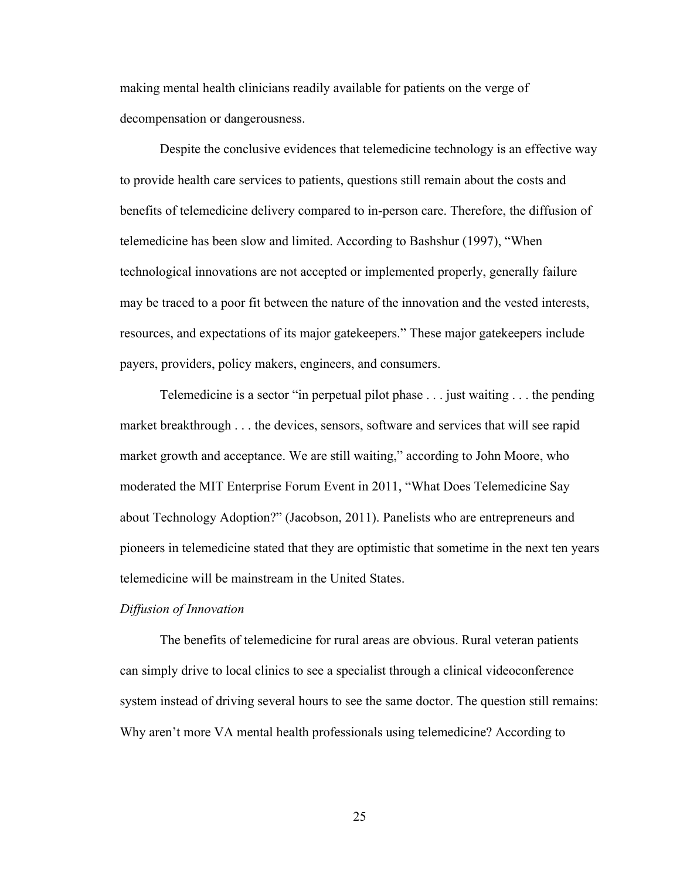making mental health clinicians readily available for patients on the verge of decompensation or dangerousness.

Despite the conclusive evidences that telemedicine technology is an effective way to provide health care services to patients, questions still remain about the costs and benefits of telemedicine delivery compared to in-person care. Therefore, the diffusion of telemedicine has been slow and limited. According to Bashshur (1997), "When technological innovations are not accepted or implemented properly, generally failure may be traced to a poor fit between the nature of the innovation and the vested interests, resources, and expectations of its major gatekeepers." These major gatekeepers include payers, providers, policy makers, engineers, and consumers.

Telemedicine is a sector "in perpetual pilot phase . . . just waiting . . . the pending market breakthrough . . . the devices, sensors, software and services that will see rapid market growth and acceptance. We are still waiting," according to John Moore, who moderated the MIT Enterprise Forum Event in 2011, "What Does Telemedicine Say about Technology Adoption?" (Jacobson, 2011). Panelists who are entrepreneurs and pioneers in telemedicine stated that they are optimistic that sometime in the next ten years telemedicine will be mainstream in the United States.

#### *Diffusion of Innovation*

The benefits of telemedicine for rural areas are obvious. Rural veteran patients can simply drive to local clinics to see a specialist through a clinical videoconference system instead of driving several hours to see the same doctor. The question still remains: Why aren't more VA mental health professionals using telemedicine? According to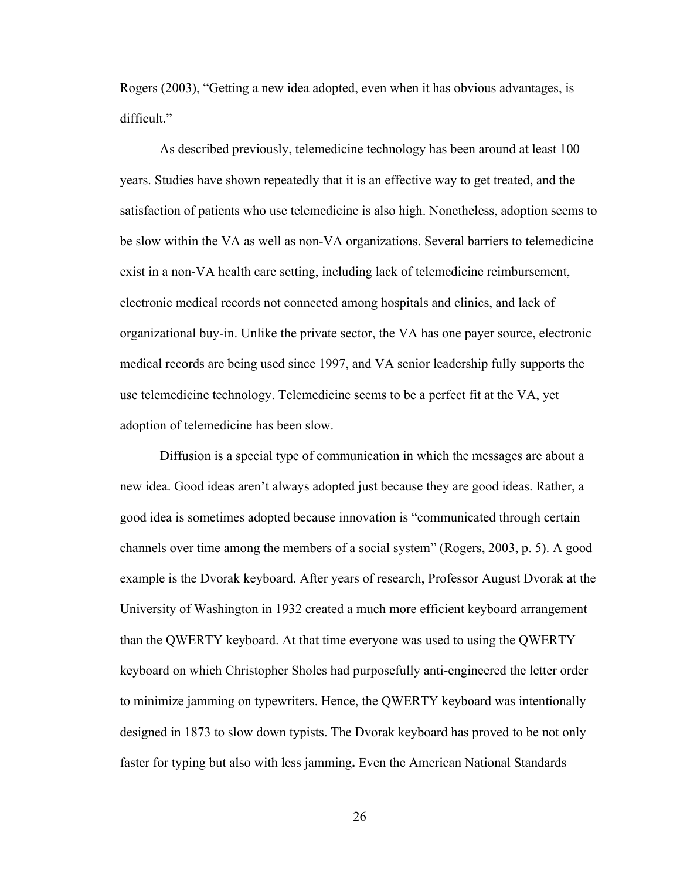Rogers (2003), "Getting a new idea adopted, even when it has obvious advantages, is difficult."

As described previously, telemedicine technology has been around at least 100 years. Studies have shown repeatedly that it is an effective way to get treated, and the satisfaction of patients who use telemedicine is also high. Nonetheless, adoption seems to be slow within the VA as well as non-VA organizations. Several barriers to telemedicine exist in a non-VA health care setting, including lack of telemedicine reimbursement, electronic medical records not connected among hospitals and clinics, and lack of organizational buy-in. Unlike the private sector, the VA has one payer source, electronic medical records are being used since 1997, and VA senior leadership fully supports the use telemedicine technology. Telemedicine seems to be a perfect fit at the VA, yet adoption of telemedicine has been slow.

Diffusion is a special type of communication in which the messages are about a new idea. Good ideas aren't always adopted just because they are good ideas. Rather, a good idea is sometimes adopted because innovation is "communicated through certain channels over time among the members of a social system" (Rogers, 2003, p. 5). A good example is the Dvorak keyboard. After years of research, Professor August Dvorak at the University of Washington in 1932 created a much more efficient keyboard arrangement than the QWERTY keyboard. At that time everyone was used to using the QWERTY keyboard on which Christopher Sholes had purposefully anti-engineered the letter order to minimize jamming on typewriters. Hence, the QWERTY keyboard was intentionally designed in 1873 to slow down typists. The Dvorak keyboard has proved to be not only faster for typing but also with less jamming**.** Even the American National Standards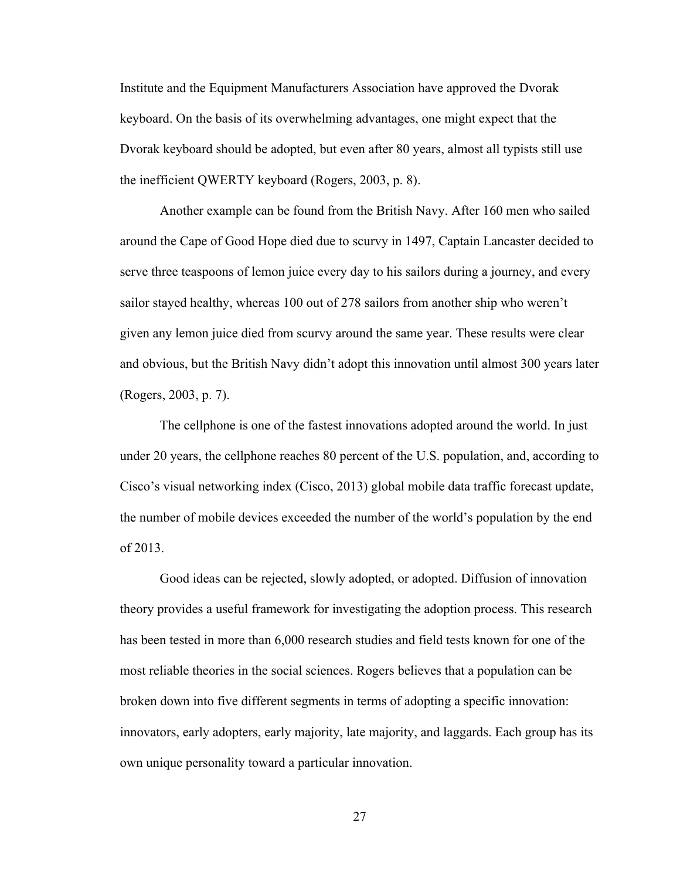Institute and the Equipment Manufacturers Association have approved the Dvorak keyboard. On the basis of its overwhelming advantages, one might expect that the Dvorak keyboard should be adopted, but even after 80 years, almost all typists still use the inefficient QWERTY keyboard (Rogers, 2003, p. 8).

Another example can be found from the British Navy. After 160 men who sailed around the Cape of Good Hope died due to scurvy in 1497, Captain Lancaster decided to serve three teaspoons of lemon juice every day to his sailors during a journey, and every sailor stayed healthy, whereas 100 out of 278 sailors from another ship who weren't given any lemon juice died from scurvy around the same year. These results were clear and obvious, but the British Navy didn't adopt this innovation until almost 300 years later (Rogers, 2003, p. 7).

The cellphone is one of the fastest innovations adopted around the world. In just under 20 years, the cellphone reaches 80 percent of the U.S. population, and, according to Cisco's visual networking index (Cisco, 2013) global mobile data traffic forecast update, the number of mobile devices exceeded the number of the world's population by the end of 2013.

Good ideas can be rejected, slowly adopted, or adopted. Diffusion of innovation theory provides a useful framework for investigating the adoption process. This research has been tested in more than 6,000 research studies and field tests known for one of the most reliable theories in the social sciences. Rogers believes that a population can be broken down into five different segments in terms of adopting a specific innovation: innovators, early adopters, early majority, late majority, and laggards. Each group has its own unique personality toward a particular innovation.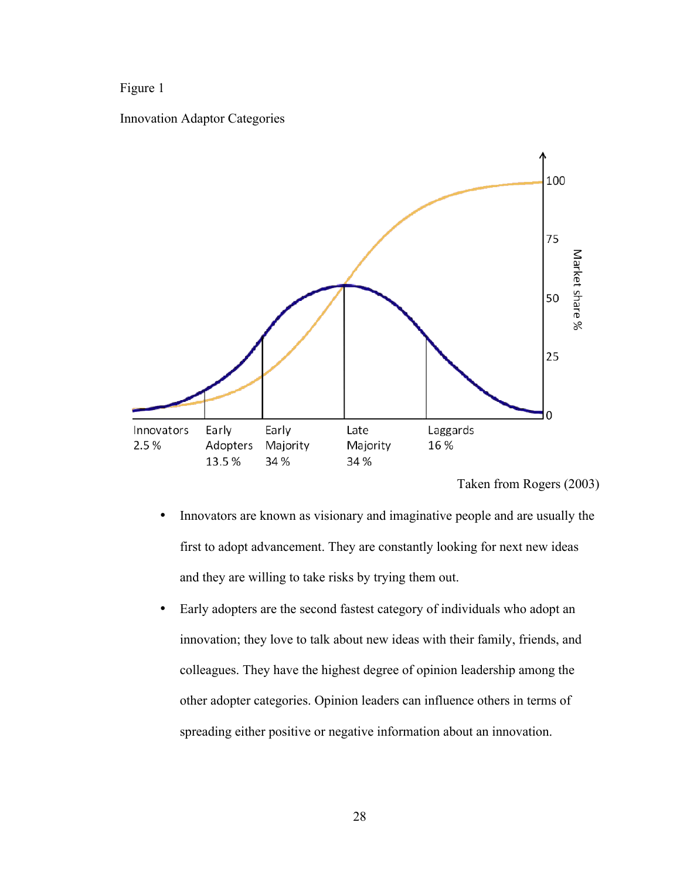Figure 1

Innovation Adaptor Categories



Taken from Rogers (2003)

- Innovators are known as visionary and imaginative people and are usually the first to adopt advancement. They are constantly looking for next new ideas and they are willing to take risks by trying them out.
- Early adopters are the second fastest category of individuals who adopt an innovation; they love to talk about new ideas with their family, friends, and colleagues. They have the highest degree of opinion leadership among the other adopter categories. Opinion leaders can influence others in terms of spreading either positive or negative information about an innovation.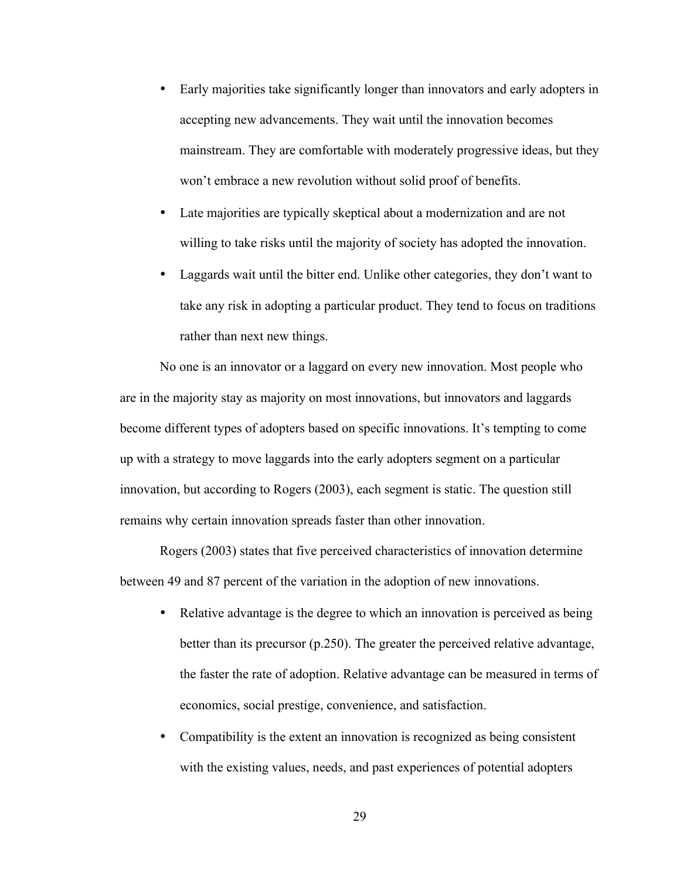- Early majorities take significantly longer than innovators and early adopters in accepting new advancements. They wait until the innovation becomes mainstream. They are comfortable with moderately progressive ideas, but they won't embrace a new revolution without solid proof of benefits.
- Late majorities are typically skeptical about a modernization and are not willing to take risks until the majority of society has adopted the innovation.
- Laggards wait until the bitter end. Unlike other categories, they don't want to take any risk in adopting a particular product. They tend to focus on traditions rather than next new things.

No one is an innovator or a laggard on every new innovation. Most people who are in the majority stay as majority on most innovations, but innovators and laggards become different types of adopters based on specific innovations. It's tempting to come up with a strategy to move laggards into the early adopters segment on a particular innovation, but according to Rogers (2003), each segment is static. The question still remains why certain innovation spreads faster than other innovation.

Rogers (2003) states that five perceived characteristics of innovation determine between 49 and 87 percent of the variation in the adoption of new innovations.

- Relative advantage is the degree to which an innovation is perceived as being better than its precursor (p.250). The greater the perceived relative advantage, the faster the rate of adoption. Relative advantage can be measured in terms of economics, social prestige, convenience, and satisfaction.
- Compatibility is the extent an innovation is recognized as being consistent with the existing values, needs, and past experiences of potential adopters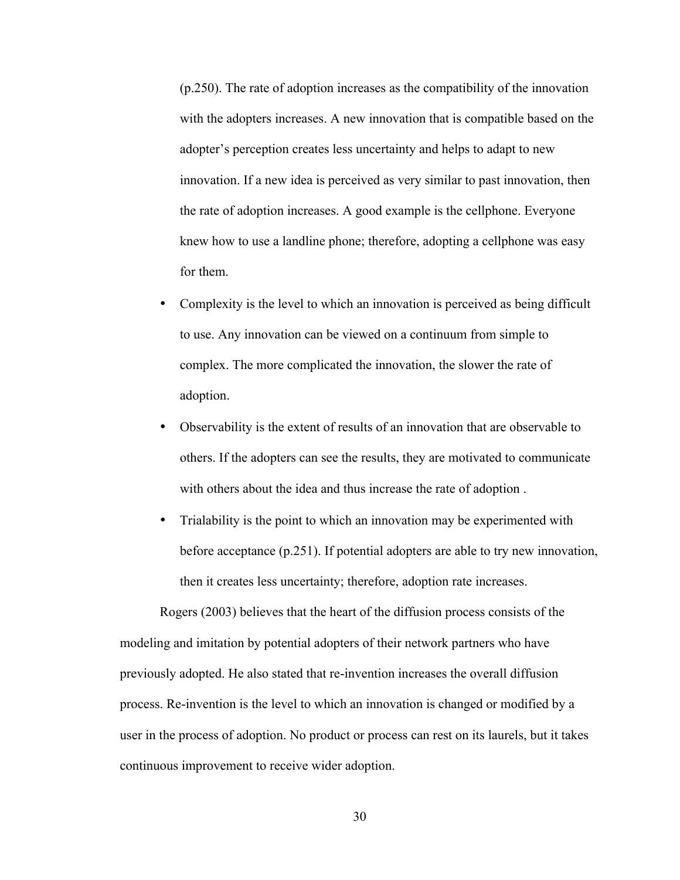(p.250). The rate of adoption increases as the compatibility of the innovation with the adopters increases. A new innovation that is compatible based on the adopter's perception creates less uncertainty and helps to adapt to new innovation. If a new idea is perceived as very similar to past innovation, then the rate of adoption increases. A good example is the cellphone. Everyone knew how to use a landline phone; therefore, adopting a cellphone was easy for them.

- Complexity is the level to which an innovation is perceived as being difficult to use. Any innovation can be viewed on a continuum from simple to complex. The more complicated the innovation, the slower the rate of adoption.
- Observability is the extent of results of an innovation that are observable to others. If the adopters can see the results, they are motivated to communicate with others about the idea and thus increase the rate of adoption .
- Trialability is the point to which an innovation may be experimented with before acceptance (p.251). If potential adopters are able to try new innovation, then it creates less uncertainty; therefore, adoption rate increases.

Rogers (2003) believes that the heart of the diffusion process consists of the modeling and imitation by potential adopters of their network partners who have previously adopted. He also stated that re-invention increases the overall diffusion process. Re-invention is the level to which an innovation is changed or modified by a user in the process of adoption. No product or process can rest on its laurels, but it takes continuous improvement to receive wider adoption.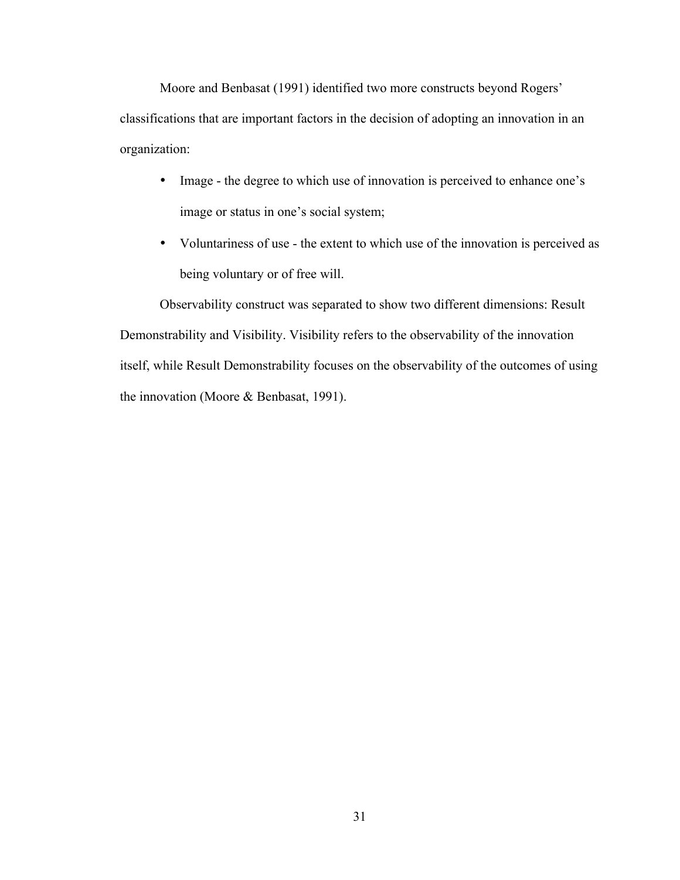Moore and Benbasat (1991) identified two more constructs beyond Rogers' classifications that are important factors in the decision of adopting an innovation in an organization:

- Image the degree to which use of innovation is perceived to enhance one's image or status in one's social system;
- Voluntariness of use the extent to which use of the innovation is perceived as being voluntary or of free will.

Observability construct was separated to show two different dimensions: Result Demonstrability and Visibility. Visibility refers to the observability of the innovation itself, while Result Demonstrability focuses on the observability of the outcomes of using the innovation (Moore & Benbasat, 1991).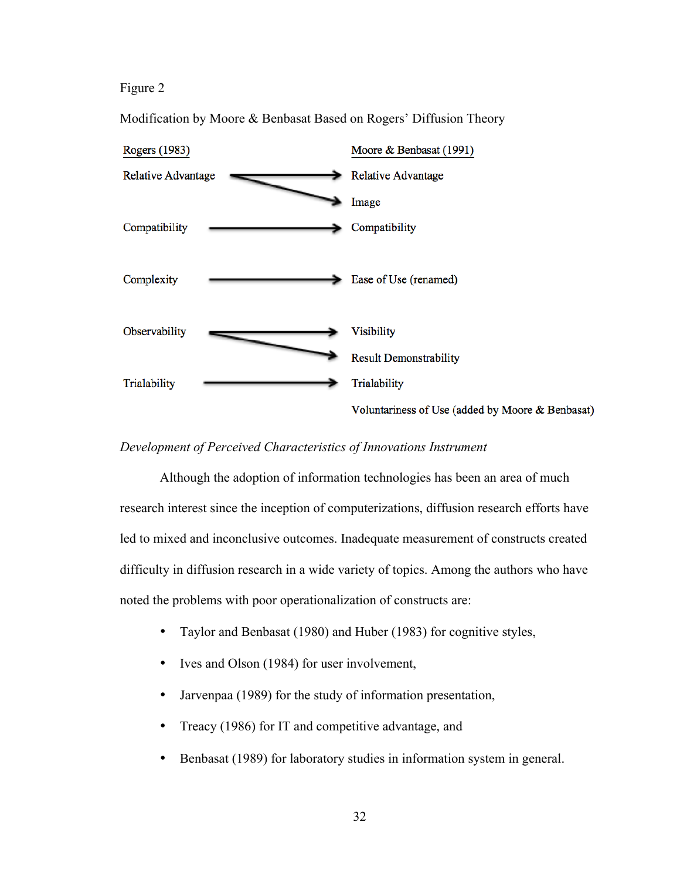### Figure 2

Modification by Moore & Benbasat Based on Rogers' Diffusion Theory



## *Development of Perceived Characteristics of Innovations Instrument*

Although the adoption of information technologies has been an area of much research interest since the inception of computerizations, diffusion research efforts have led to mixed and inconclusive outcomes. Inadequate measurement of constructs created difficulty in diffusion research in a wide variety of topics. Among the authors who have noted the problems with poor operationalization of constructs are:

- Taylor and Benbasat (1980) and Huber (1983) for cognitive styles,
- Ives and Olson (1984) for user involvement,
- Jarvenpaa (1989) for the study of information presentation,
- Treacy (1986) for IT and competitive advantage, and
- Benbasat (1989) for laboratory studies in information system in general.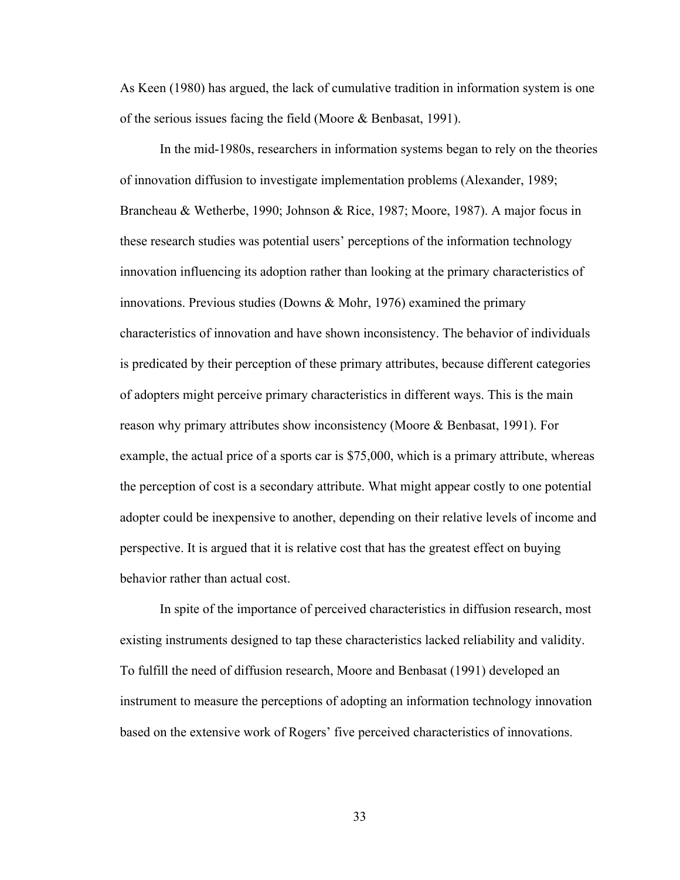As Keen (1980) has argued, the lack of cumulative tradition in information system is one of the serious issues facing the field (Moore & Benbasat, 1991).

In the mid-1980s, researchers in information systems began to rely on the theories of innovation diffusion to investigate implementation problems (Alexander, 1989; Brancheau & Wetherbe, 1990; Johnson & Rice, 1987; Moore, 1987). A major focus in these research studies was potential users' perceptions of the information technology innovation influencing its adoption rather than looking at the primary characteristics of innovations. Previous studies (Downs & Mohr, 1976) examined the primary characteristics of innovation and have shown inconsistency. The behavior of individuals is predicated by their perception of these primary attributes, because different categories of adopters might perceive primary characteristics in different ways. This is the main reason why primary attributes show inconsistency (Moore & Benbasat, 1991). For example, the actual price of a sports car is \$75,000, which is a primary attribute, whereas the perception of cost is a secondary attribute. What might appear costly to one potential adopter could be inexpensive to another, depending on their relative levels of income and perspective. It is argued that it is relative cost that has the greatest effect on buying behavior rather than actual cost.

In spite of the importance of perceived characteristics in diffusion research, most existing instruments designed to tap these characteristics lacked reliability and validity. To fulfill the need of diffusion research, Moore and Benbasat (1991) developed an instrument to measure the perceptions of adopting an information technology innovation based on the extensive work of Rogers' five perceived characteristics of innovations.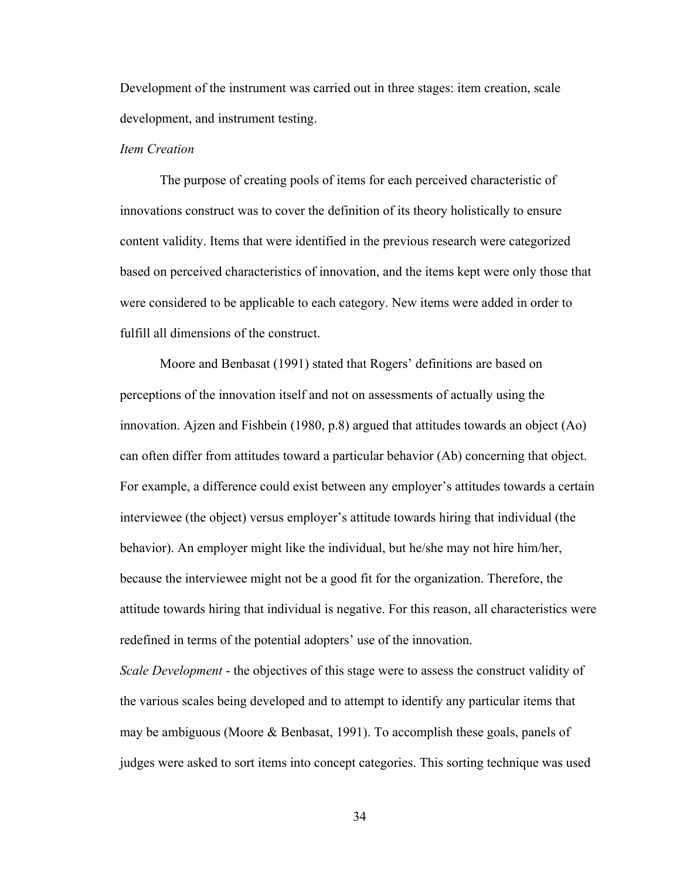Development of the instrument was carried out in three stages: item creation, scale development, and instrument testing.

### *Item Creation*

The purpose of creating pools of items for each perceived characteristic of innovations construct was to cover the definition of its theory holistically to ensure content validity. Items that were identified in the previous research were categorized based on perceived characteristics of innovation, and the items kept were only those that were considered to be applicable to each category. New items were added in order to fulfill all dimensions of the construct.

Moore and Benbasat (1991) stated that Rogers' definitions are based on perceptions of the innovation itself and not on assessments of actually using the innovation. Ajzen and Fishbein (1980, p.8) argued that attitudes towards an object (Ao) can often differ from attitudes toward a particular behavior (Ab) concerning that object. For example, a difference could exist between any employer's attitudes towards a certain interviewee (the object) versus employer's attitude towards hiring that individual (the behavior). An employer might like the individual, but he/she may not hire him/her, because the interviewee might not be a good fit for the organization. Therefore, the attitude towards hiring that individual is negative. For this reason, all characteristics were redefined in terms of the potential adopters' use of the innovation.

*Scale Development* - the objectives of this stage were to assess the construct validity of the various scales being developed and to attempt to identify any particular items that may be ambiguous (Moore & Benbasat, 1991). To accomplish these goals, panels of judges were asked to sort items into concept categories. This sorting technique was used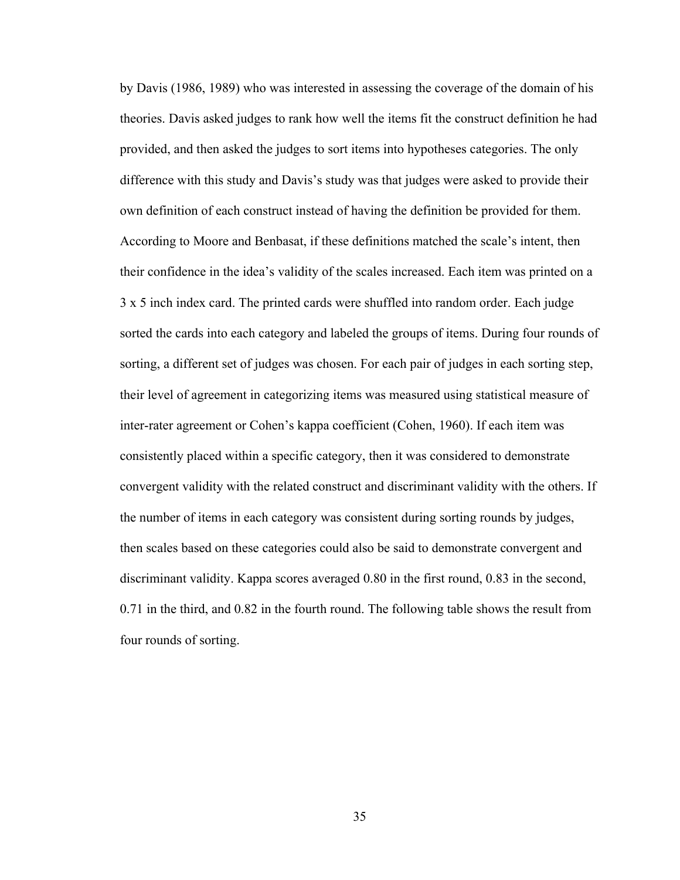by Davis (1986, 1989) who was interested in assessing the coverage of the domain of his theories. Davis asked judges to rank how well the items fit the construct definition he had provided, and then asked the judges to sort items into hypotheses categories. The only difference with this study and Davis's study was that judges were asked to provide their own definition of each construct instead of having the definition be provided for them. According to Moore and Benbasat, if these definitions matched the scale's intent, then their confidence in the idea's validity of the scales increased. Each item was printed on a 3 x 5 inch index card. The printed cards were shuffled into random order. Each judge sorted the cards into each category and labeled the groups of items. During four rounds of sorting, a different set of judges was chosen. For each pair of judges in each sorting step, their level of agreement in categorizing items was measured using statistical measure of inter-rater agreement or Cohen's kappa coefficient (Cohen, 1960). If each item was consistently placed within a specific category, then it was considered to demonstrate convergent validity with the related construct and discriminant validity with the others. If the number of items in each category was consistent during sorting rounds by judges, then scales based on these categories could also be said to demonstrate convergent and discriminant validity. Kappa scores averaged 0.80 in the first round, 0.83 in the second, 0.71 in the third, and 0.82 in the fourth round. The following table shows the result from four rounds of sorting.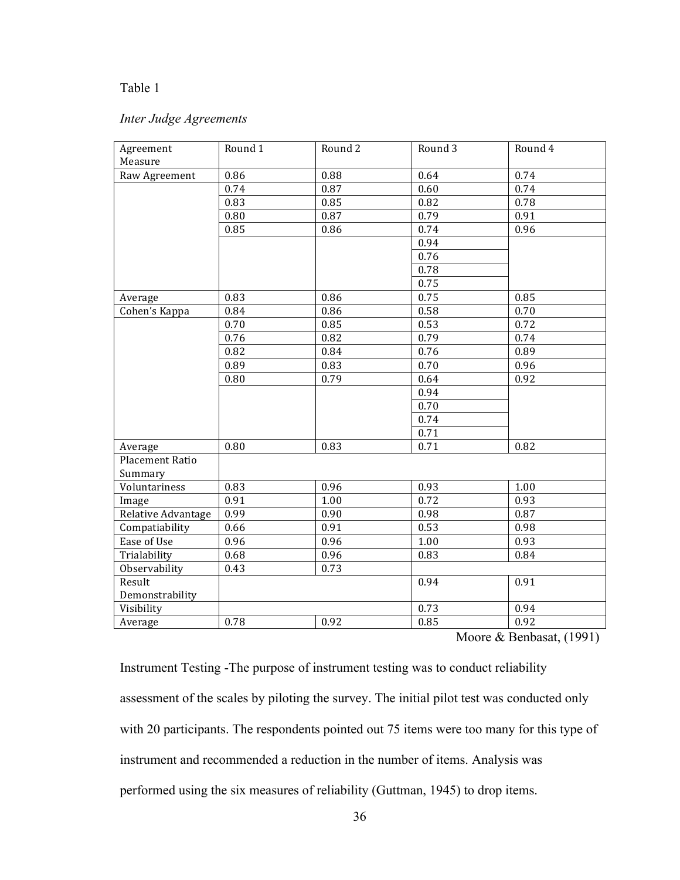# Table 1

# *Inter Judge Agreements*

| Agreement<br>Measure   | Round 1 | Round 2 | Round 3      | Round 4 |
|------------------------|---------|---------|--------------|---------|
| Raw Agreement          | 0.86    | 0.88    | 0.64         | 0.74    |
|                        | 0.74    | 0.87    | 0.60         | 0.74    |
|                        | 0.83    | 0.85    | 0.82         | 0.78    |
|                        | 0.80    | 0.87    | 0.79         | 0.91    |
|                        | 0.85    | 0.86    | 0.74         | 0.96    |
|                        |         |         | 0.94         |         |
|                        |         |         | 0.76         |         |
|                        |         |         | 0.78         |         |
|                        |         |         | 0.75         |         |
| Average                | 0.83    | 0.86    | 0.75         | 0.85    |
| Cohen's Kappa          | 0.84    | 0.86    | 0.58         | 0.70    |
|                        | 0.70    | 0.85    | 0.53         | 0.72    |
|                        | 0.76    | 0.82    | 0.79         | 0.74    |
|                        | 0.82    | 0.84    | 0.76         | 0.89    |
|                        | 0.89    | 0.83    | 0.70         | 0.96    |
|                        | 0.80    | 0.79    | 0.64         | 0.92    |
|                        |         |         | 0.94         |         |
|                        |         |         | 0.70         |         |
|                        |         |         | 0.74         |         |
|                        |         |         |              |         |
|                        |         |         | 0.71         |         |
| Average                | 0.80    | 0.83    | 0.71         | 0.82    |
| <b>Placement Ratio</b> |         |         |              |         |
| Summary                | 0.83    |         |              |         |
| Voluntariness          |         | 0.96    | 0.93<br>0.72 | 1.00    |
| Image                  | 0.91    | 1.00    |              | 0.93    |
| Relative Advantage     | 0.99    | 0.90    | 0.98         | 0.87    |
| Compatiability         | 0.66    | 0.91    | 0.53         | 0.98    |
| Ease of Use            | 0.96    | 0.96    | 1.00         | 0.93    |
| Trialability           | 0.68    | 0.96    | 0.83         | 0.84    |
| Observability          | 0.43    | 0.73    |              |         |
| Result                 |         |         | 0.94         | 0.91    |
| Demonstrability        |         |         |              |         |
| Visibility             |         |         | 0.73         | 0.94    |
| Average                | 0.78    | 0.92    | 0.85         | 0.92    |

Moore & Benbasat, (1991)

Instrument Testing -The purpose of instrument testing was to conduct reliability assessment of the scales by piloting the survey. The initial pilot test was conducted only with 20 participants. The respondents pointed out 75 items were too many for this type of instrument and recommended a reduction in the number of items. Analysis was performed using the six measures of reliability (Guttman, 1945) to drop items.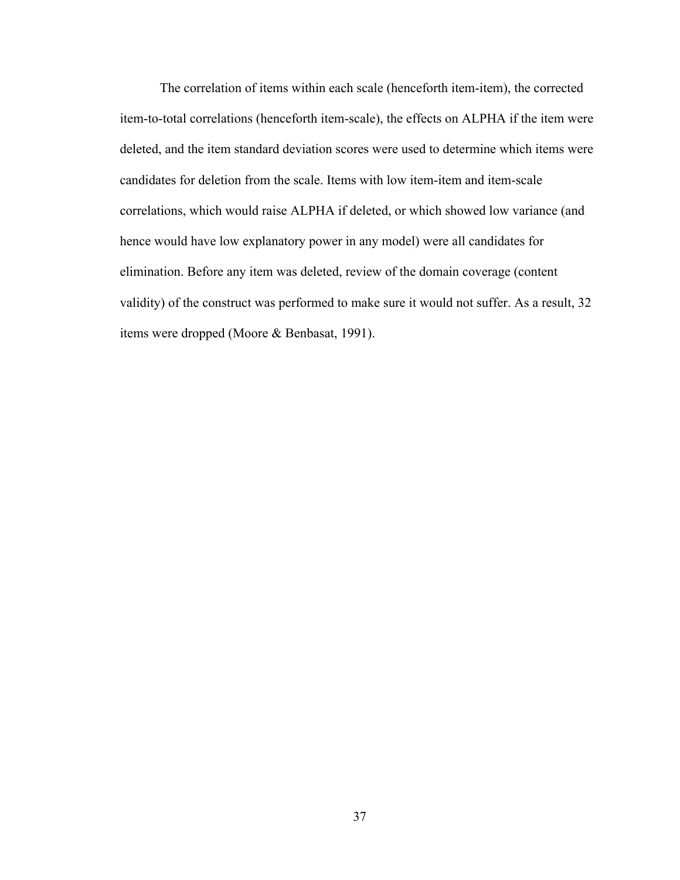The correlation of items within each scale (henceforth item-item), the corrected item-to-total correlations (henceforth item-scale), the effects on ALPHA if the item were deleted, and the item standard deviation scores were used to determine which items were candidates for deletion from the scale. Items with low item-item and item-scale correlations, which would raise ALPHA if deleted, or which showed low variance (and hence would have low explanatory power in any model) were all candidates for elimination. Before any item was deleted, review of the domain coverage (content validity) of the construct was performed to make sure it would not suffer. As a result, 32 items were dropped (Moore & Benbasat, 1991).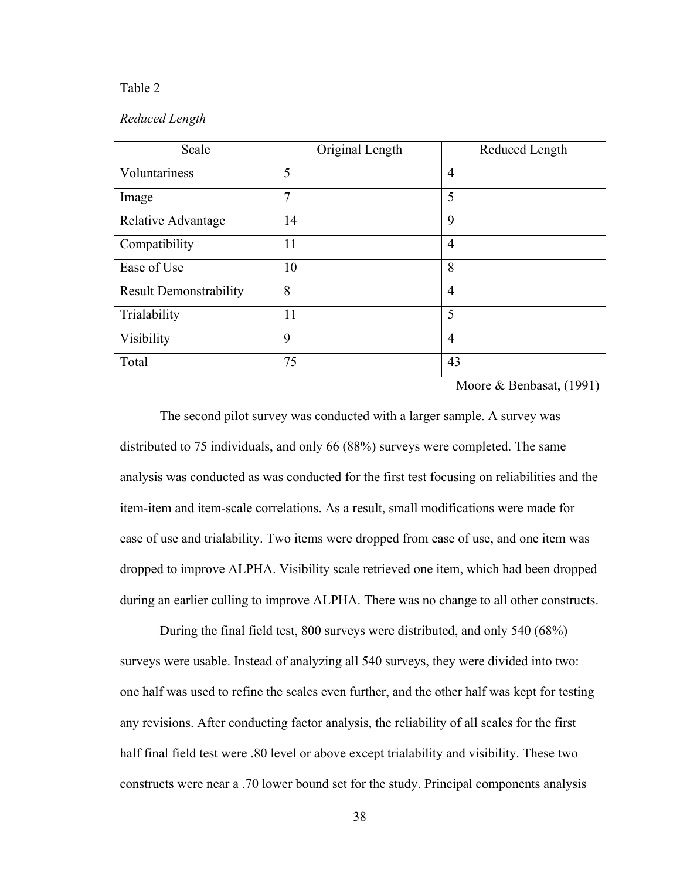### Table 2

## *Reduced Length*

| Scale                         | Original Length | Reduced Length |
|-------------------------------|-----------------|----------------|
| Voluntariness                 | 5               | $\overline{4}$ |
| Image                         | 7               | 5              |
| Relative Advantage            | 14              | 9              |
| Compatibility                 | 11              | $\overline{4}$ |
| Ease of Use                   | 10              | 8              |
| <b>Result Demonstrability</b> | 8               | $\overline{4}$ |
| Trialability                  | 11              | 5              |
| Visibility                    | 9               | $\overline{4}$ |
| Total                         | 75              | 43             |

Moore & Benbasat, (1991)

The second pilot survey was conducted with a larger sample. A survey was distributed to 75 individuals, and only 66 (88%) surveys were completed. The same analysis was conducted as was conducted for the first test focusing on reliabilities and the item-item and item-scale correlations. As a result, small modifications were made for ease of use and trialability. Two items were dropped from ease of use, and one item was dropped to improve ALPHA. Visibility scale retrieved one item, which had been dropped during an earlier culling to improve ALPHA. There was no change to all other constructs.

During the final field test, 800 surveys were distributed, and only 540 (68%) surveys were usable. Instead of analyzing all 540 surveys, they were divided into two: one half was used to refine the scales even further, and the other half was kept for testing any revisions. After conducting factor analysis, the reliability of all scales for the first half final field test were .80 level or above except trialability and visibility. These two constructs were near a .70 lower bound set for the study. Principal components analysis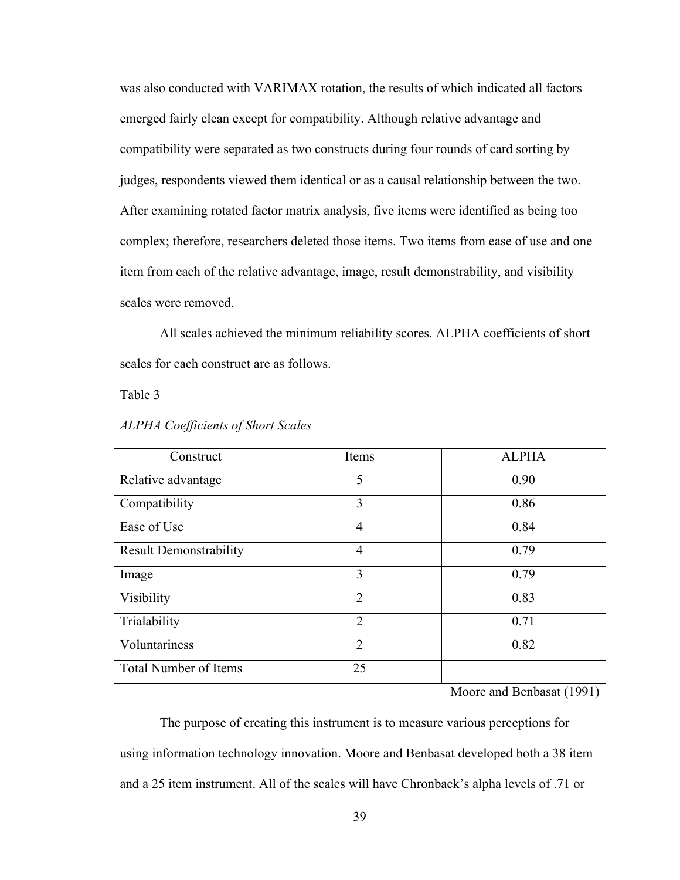was also conducted with VARIMAX rotation, the results of which indicated all factors emerged fairly clean except for compatibility. Although relative advantage and compatibility were separated as two constructs during four rounds of card sorting by judges, respondents viewed them identical or as a causal relationship between the two. After examining rotated factor matrix analysis, five items were identified as being too complex; therefore, researchers deleted those items. Two items from ease of use and one item from each of the relative advantage, image, result demonstrability, and visibility scales were removed.

All scales achieved the minimum reliability scores. ALPHA coefficients of short scales for each construct are as follows.

Table 3

| Construct                     | Items          | <b>ALPHA</b> |
|-------------------------------|----------------|--------------|
| Relative advantage            | 5              | 0.90         |
| Compatibility                 | 3              | 0.86         |
| Ease of Use                   | $\overline{4}$ | 0.84         |
| <b>Result Demonstrability</b> | $\overline{4}$ | 0.79         |
| Image                         | 3              | 0.79         |
| Visibility                    | $\overline{2}$ | 0.83         |
| Trialability                  | $\overline{2}$ | 0.71         |
| Voluntariness                 | $\overline{2}$ | 0.82         |
| <b>Total Number of Items</b>  | 25             |              |

#### *ALPHA Coefficients of Short Scales*

Moore and Benbasat (1991)

The purpose of creating this instrument is to measure various perceptions for using information technology innovation. Moore and Benbasat developed both a 38 item and a 25 item instrument. All of the scales will have Chronback's alpha levels of .71 or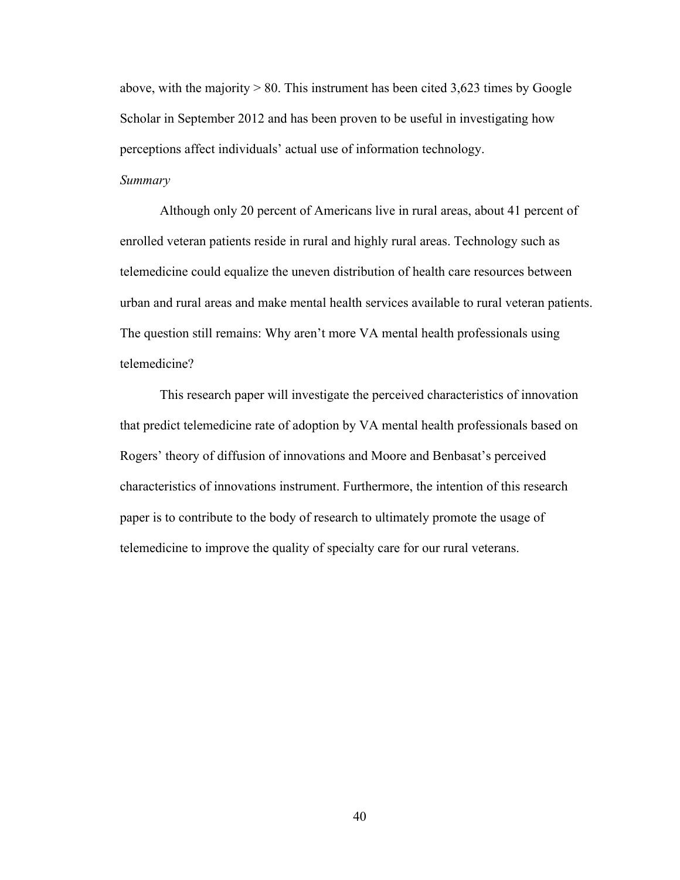above, with the majority  $> 80$ . This instrument has been cited 3,623 times by Google Scholar in September 2012 and has been proven to be useful in investigating how perceptions affect individuals' actual use of information technology.

# *Summary*

Although only 20 percent of Americans live in rural areas, about 41 percent of enrolled veteran patients reside in rural and highly rural areas. Technology such as telemedicine could equalize the uneven distribution of health care resources between urban and rural areas and make mental health services available to rural veteran patients. The question still remains: Why aren't more VA mental health professionals using telemedicine?

This research paper will investigate the perceived characteristics of innovation that predict telemedicine rate of adoption by VA mental health professionals based on Rogers' theory of diffusion of innovations and Moore and Benbasat's perceived characteristics of innovations instrument. Furthermore, the intention of this research paper is to contribute to the body of research to ultimately promote the usage of telemedicine to improve the quality of specialty care for our rural veterans.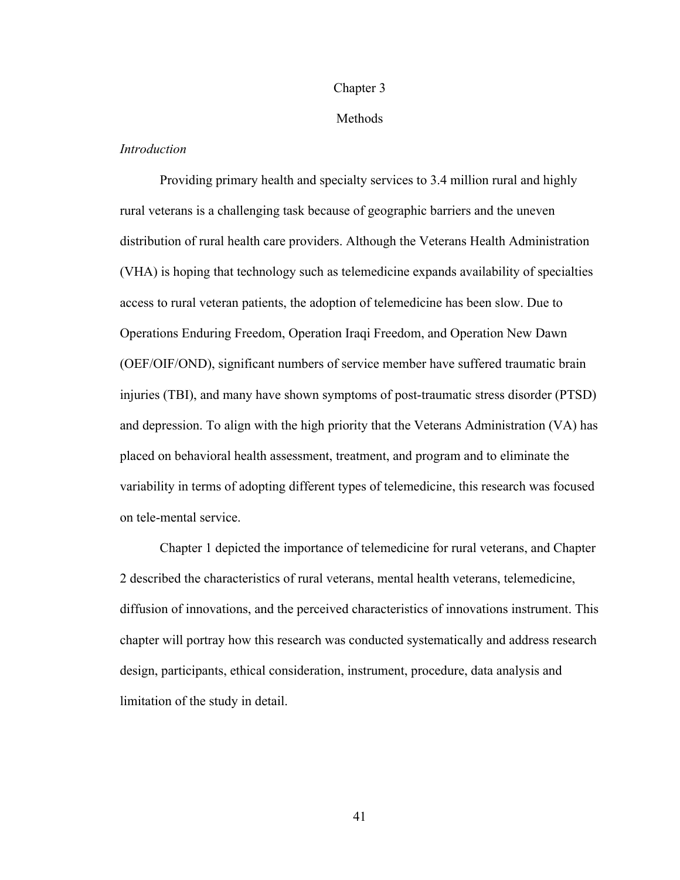## Chapter 3

#### Methods

## *Introduction*

Providing primary health and specialty services to 3.4 million rural and highly rural veterans is a challenging task because of geographic barriers and the uneven distribution of rural health care providers. Although the Veterans Health Administration (VHA) is hoping that technology such as telemedicine expands availability of specialties access to rural veteran patients, the adoption of telemedicine has been slow. Due to Operations Enduring Freedom, Operation Iraqi Freedom, and Operation New Dawn (OEF/OIF/OND), significant numbers of service member have suffered traumatic brain injuries (TBI), and many have shown symptoms of post-traumatic stress disorder (PTSD) and depression. To align with the high priority that the Veterans Administration (VA) has placed on behavioral health assessment, treatment, and program and to eliminate the variability in terms of adopting different types of telemedicine, this research was focused on tele-mental service.

Chapter 1 depicted the importance of telemedicine for rural veterans, and Chapter 2 described the characteristics of rural veterans, mental health veterans, telemedicine, diffusion of innovations, and the perceived characteristics of innovations instrument. This chapter will portray how this research was conducted systematically and address research design, participants, ethical consideration, instrument, procedure, data analysis and limitation of the study in detail.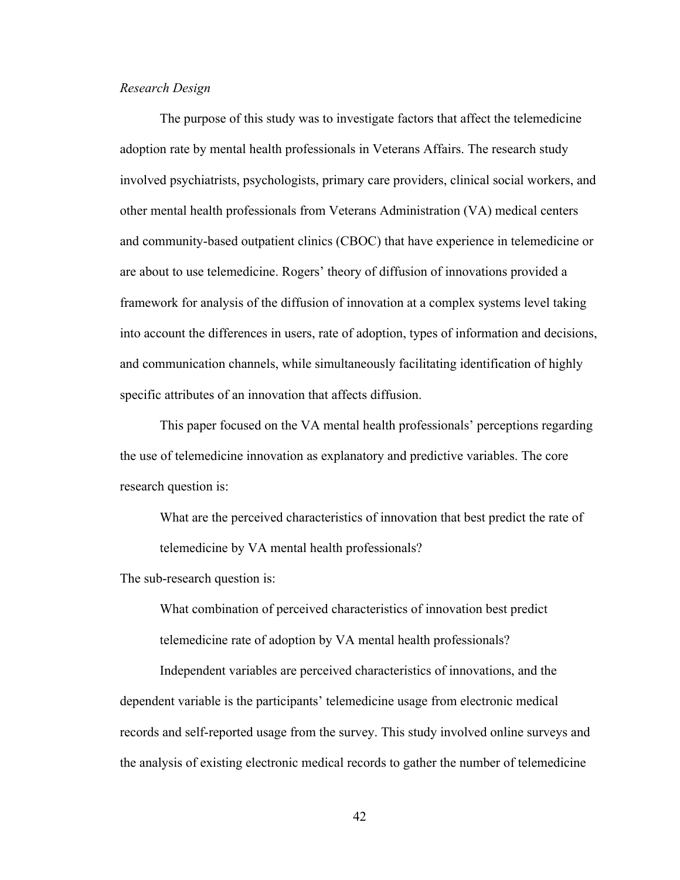#### *Research Design*

The purpose of this study was to investigate factors that affect the telemedicine adoption rate by mental health professionals in Veterans Affairs. The research study involved psychiatrists, psychologists, primary care providers, clinical social workers, and other mental health professionals from Veterans Administration (VA) medical centers and community-based outpatient clinics (CBOC) that have experience in telemedicine or are about to use telemedicine. Rogers' theory of diffusion of innovations provided a framework for analysis of the diffusion of innovation at a complex systems level taking into account the differences in users, rate of adoption, types of information and decisions, and communication channels, while simultaneously facilitating identification of highly specific attributes of an innovation that affects diffusion.

This paper focused on the VA mental health professionals' perceptions regarding the use of telemedicine innovation as explanatory and predictive variables. The core research question is:

What are the perceived characteristics of innovation that best predict the rate of telemedicine by VA mental health professionals?

The sub-research question is:

What combination of perceived characteristics of innovation best predict telemedicine rate of adoption by VA mental health professionals?

Independent variables are perceived characteristics of innovations, and the dependent variable is the participants' telemedicine usage from electronic medical records and self-reported usage from the survey. This study involved online surveys and the analysis of existing electronic medical records to gather the number of telemedicine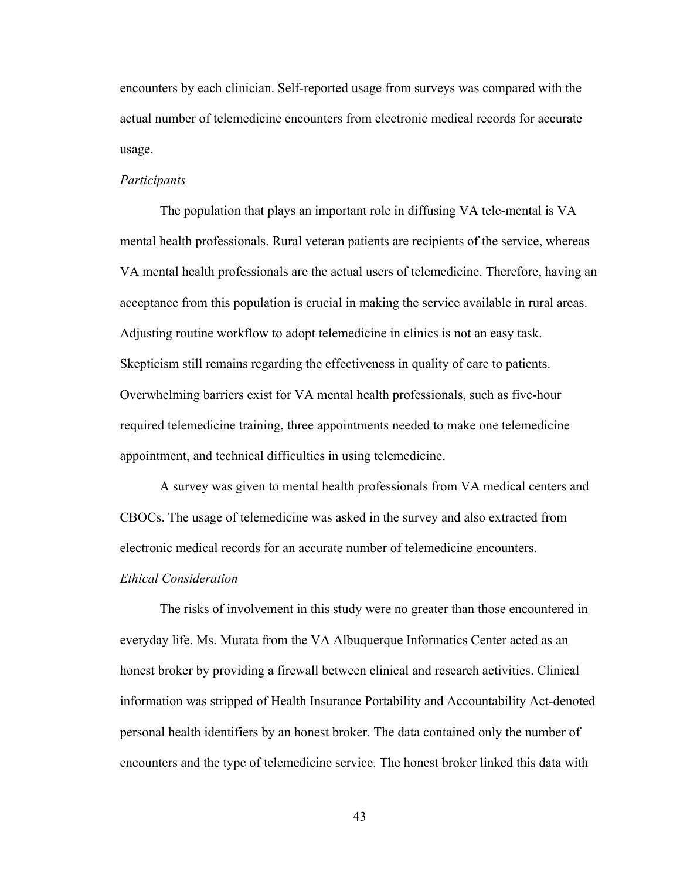encounters by each clinician. Self-reported usage from surveys was compared with the actual number of telemedicine encounters from electronic medical records for accurate usage.

#### *Participants*

The population that plays an important role in diffusing VA tele-mental is VA mental health professionals. Rural veteran patients are recipients of the service, whereas VA mental health professionals are the actual users of telemedicine. Therefore, having an acceptance from this population is crucial in making the service available in rural areas. Adjusting routine workflow to adopt telemedicine in clinics is not an easy task. Skepticism still remains regarding the effectiveness in quality of care to patients. Overwhelming barriers exist for VA mental health professionals, such as five-hour required telemedicine training, three appointments needed to make one telemedicine appointment, and technical difficulties in using telemedicine.

A survey was given to mental health professionals from VA medical centers and CBOCs. The usage of telemedicine was asked in the survey and also extracted from electronic medical records for an accurate number of telemedicine encounters.

## *Ethical Consideration*

The risks of involvement in this study were no greater than those encountered in everyday life. Ms. Murata from the VA Albuquerque Informatics Center acted as an honest broker by providing a firewall between clinical and research activities. Clinical information was stripped of Health Insurance Portability and Accountability Act-denoted personal health identifiers by an honest broker. The data contained only the number of encounters and the type of telemedicine service. The honest broker linked this data with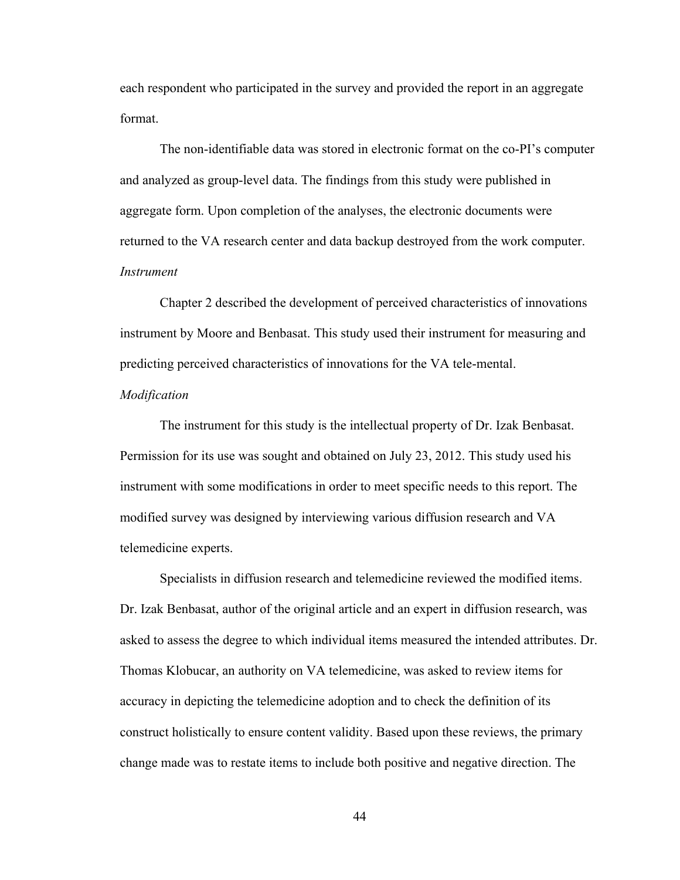each respondent who participated in the survey and provided the report in an aggregate format.

The non-identifiable data was stored in electronic format on the co-PI's computer and analyzed as group-level data. The findings from this study were published in aggregate form. Upon completion of the analyses, the electronic documents were returned to the VA research center and data backup destroyed from the work computer. *Instrument*

Chapter 2 described the development of perceived characteristics of innovations instrument by Moore and Benbasat. This study used their instrument for measuring and predicting perceived characteristics of innovations for the VA tele-mental.

#### *Modification*

The instrument for this study is the intellectual property of Dr. Izak Benbasat. Permission for its use was sought and obtained on July 23, 2012. This study used his instrument with some modifications in order to meet specific needs to this report. The modified survey was designed by interviewing various diffusion research and VA telemedicine experts.

Specialists in diffusion research and telemedicine reviewed the modified items. Dr. Izak Benbasat, author of the original article and an expert in diffusion research, was asked to assess the degree to which individual items measured the intended attributes. Dr. Thomas Klobucar, an authority on VA telemedicine, was asked to review items for accuracy in depicting the telemedicine adoption and to check the definition of its construct holistically to ensure content validity. Based upon these reviews, the primary change made was to restate items to include both positive and negative direction. The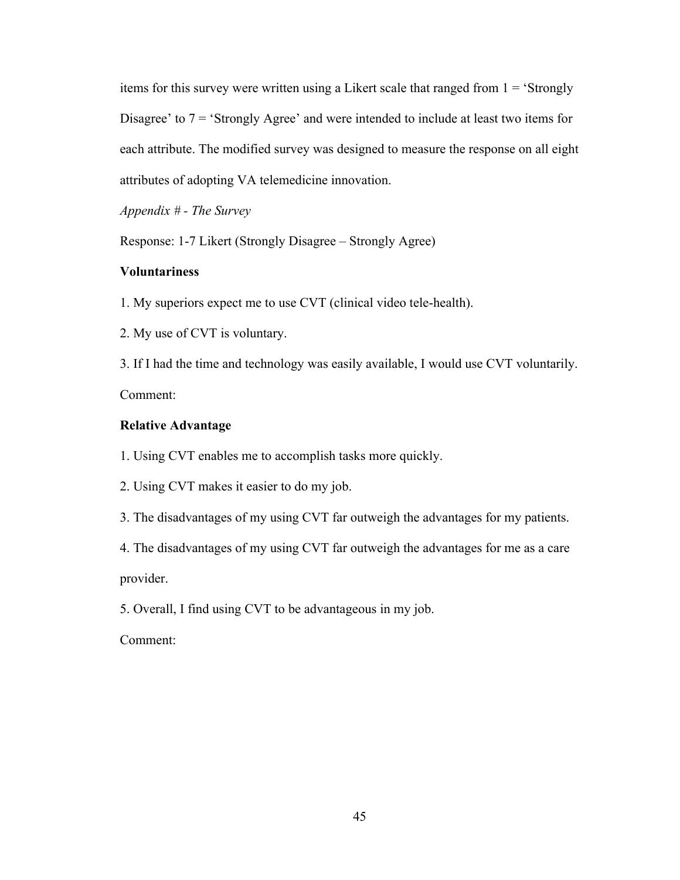items for this survey were written using a Likert scale that ranged from  $1 =$  Strongly Disagree' to 7 = 'Strongly Agree' and were intended to include at least two items for each attribute. The modified survey was designed to measure the response on all eight attributes of adopting VA telemedicine innovation.

*Appendix # - The Survey*

Response: 1-7 Likert (Strongly Disagree – Strongly Agree)

# **Voluntariness**

1. My superiors expect me to use CVT (clinical video tele-health).

2. My use of CVT is voluntary.

3. If I had the time and technology was easily available, I would use CVT voluntarily. Comment:

### **Relative Advantage**

1. Using CVT enables me to accomplish tasks more quickly.

2. Using CVT makes it easier to do my job.

3. The disadvantages of my using CVT far outweigh the advantages for my patients.

4. The disadvantages of my using CVT far outweigh the advantages for me as a care provider.

5. Overall, I find using CVT to be advantageous in my job.

Comment: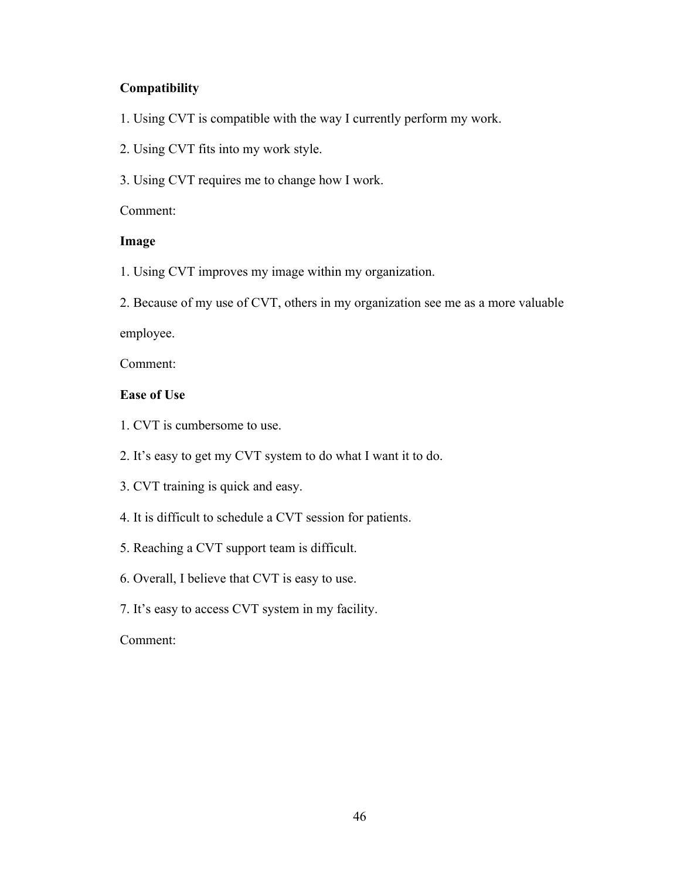# **Compatibility**

- 1. Using CVT is compatible with the way I currently perform my work.
- 2. Using CVT fits into my work style.
- 3. Using CVT requires me to change how I work.

Comment:

## **Image**

1. Using CVT improves my image within my organization.

2. Because of my use of CVT, others in my organization see me as a more valuable

employee.

Comment:

## **Ease of Use**

1. CVT is cumbersome to use.

2. It's easy to get my CVT system to do what I want it to do.

- 3. CVT training is quick and easy.
- 4. It is difficult to schedule a CVT session for patients.
- 5. Reaching a CVT support team is difficult.
- 6. Overall, I believe that CVT is easy to use.
- 7. It's easy to access CVT system in my facility.

## Comment: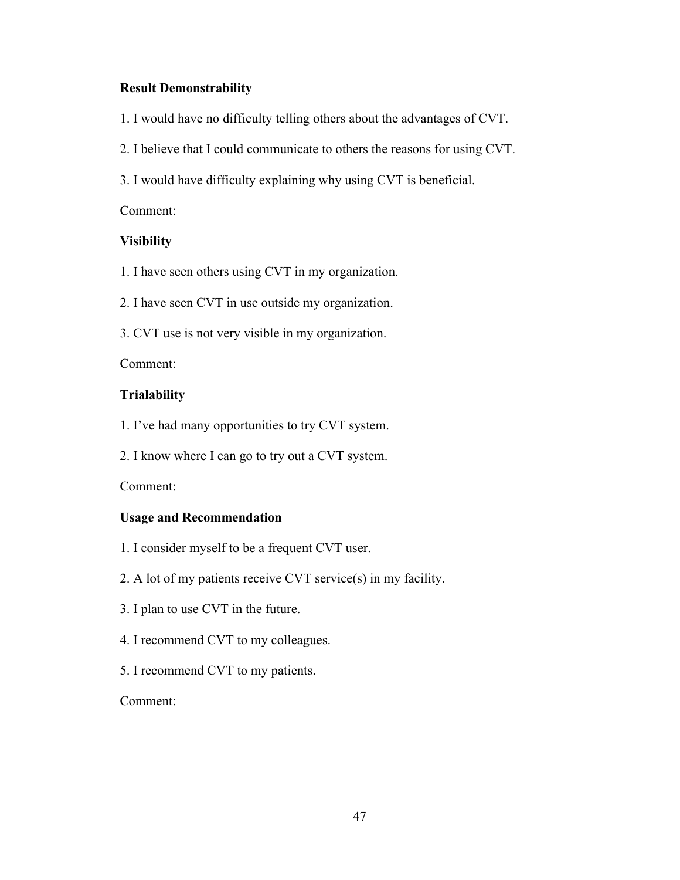## **Result Demonstrability**

- 1. I would have no difficulty telling others about the advantages of CVT.
- 2. I believe that I could communicate to others the reasons for using CVT.
- 3. I would have difficulty explaining why using CVT is beneficial.

Comment:

## **Visibility**

- 1. I have seen others using CVT in my organization.
- 2. I have seen CVT in use outside my organization.
- 3. CVT use is not very visible in my organization.

Comment:

### **Trialability**

- 1. I've had many opportunities to try CVT system.
- 2. I know where I can go to try out a CVT system.

Comment:

### **Usage and Recommendation**

- 1. I consider myself to be a frequent CVT user.
- 2. A lot of my patients receive CVT service(s) in my facility.
- 3. I plan to use CVT in the future.
- 4. I recommend CVT to my colleagues.
- 5. I recommend CVT to my patients.

Comment: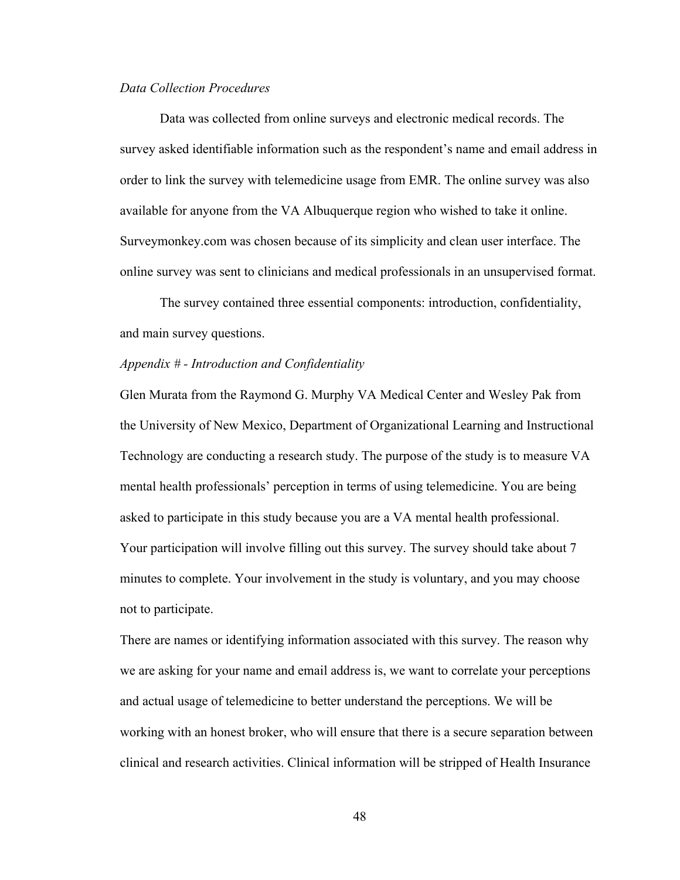### *Data Collection Procedures*

Data was collected from online surveys and electronic medical records. The survey asked identifiable information such as the respondent's name and email address in order to link the survey with telemedicine usage from EMR. The online survey was also available for anyone from the VA Albuquerque region who wished to take it online. Surveymonkey.com was chosen because of its simplicity and clean user interface. The online survey was sent to clinicians and medical professionals in an unsupervised format.

The survey contained three essential components: introduction, confidentiality, and main survey questions.

### *Appendix # - Introduction and Confidentiality*

Glen Murata from the Raymond G. Murphy VA Medical Center and Wesley Pak from the University of New Mexico, Department of Organizational Learning and Instructional Technology are conducting a research study. The purpose of the study is to measure VA mental health professionals' perception in terms of using telemedicine. You are being asked to participate in this study because you are a VA mental health professional. Your participation will involve filling out this survey. The survey should take about 7 minutes to complete. Your involvement in the study is voluntary, and you may choose not to participate.

There are names or identifying information associated with this survey. The reason why we are asking for your name and email address is, we want to correlate your perceptions and actual usage of telemedicine to better understand the perceptions. We will be working with an honest broker, who will ensure that there is a secure separation between clinical and research activities. Clinical information will be stripped of Health Insurance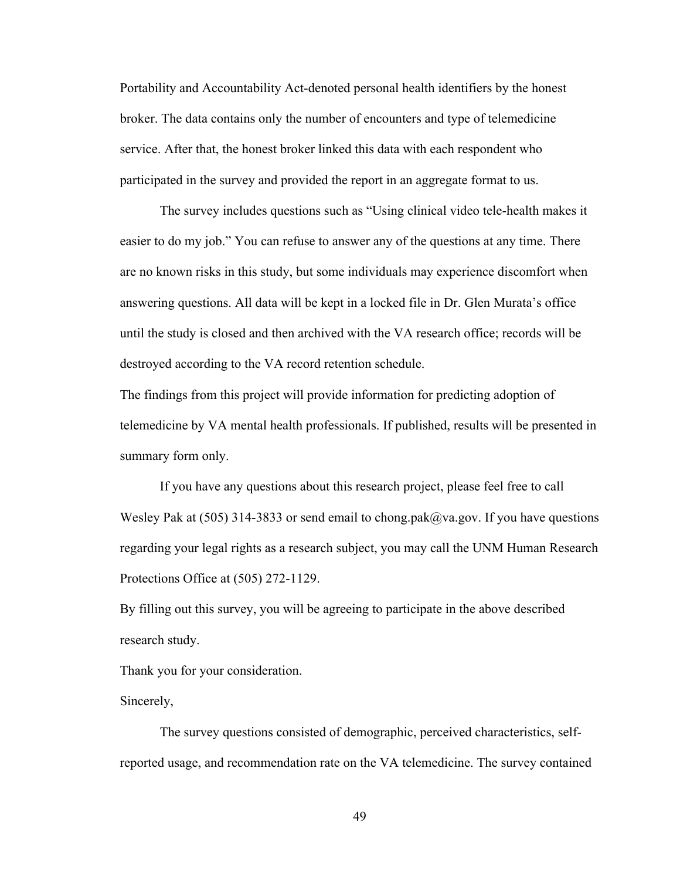Portability and Accountability Act-denoted personal health identifiers by the honest broker. The data contains only the number of encounters and type of telemedicine service. After that, the honest broker linked this data with each respondent who participated in the survey and provided the report in an aggregate format to us.

The survey includes questions such as "Using clinical video tele-health makes it easier to do my job." You can refuse to answer any of the questions at any time. There are no known risks in this study, but some individuals may experience discomfort when answering questions. All data will be kept in a locked file in Dr. Glen Murata's office until the study is closed and then archived with the VA research office; records will be destroyed according to the VA record retention schedule.

The findings from this project will provide information for predicting adoption of telemedicine by VA mental health professionals. If published, results will be presented in summary form only.

If you have any questions about this research project, please feel free to call Wesley Pak at (505) 314-3833 or send email to chong.pak@va.gov. If you have questions regarding your legal rights as a research subject, you may call the UNM Human Research Protections Office at (505) 272-1129.

By filling out this survey, you will be agreeing to participate in the above described research study.

Thank you for your consideration.

Sincerely,

The survey questions consisted of demographic, perceived characteristics, selfreported usage, and recommendation rate on the VA telemedicine. The survey contained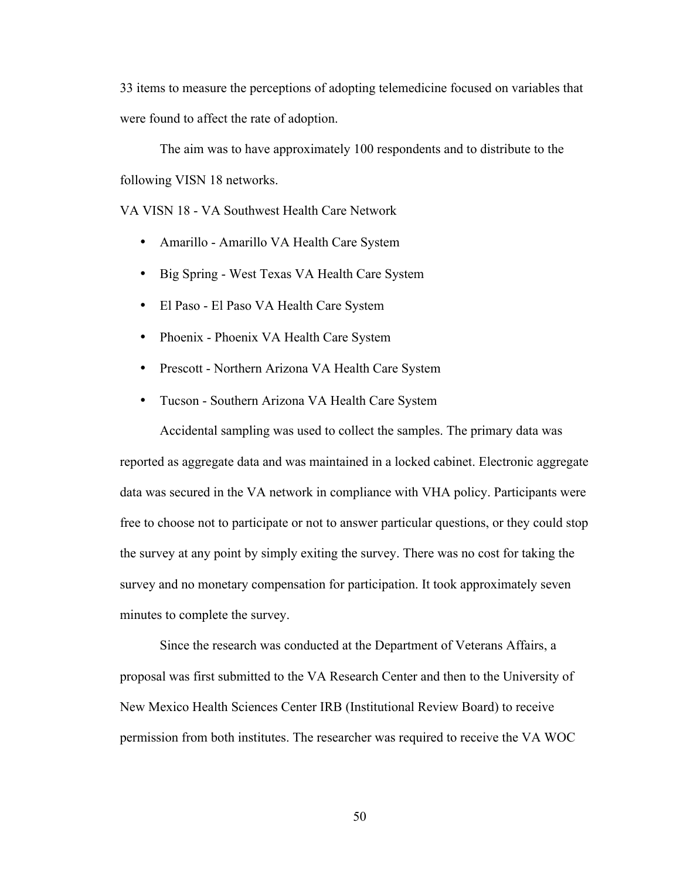33 items to measure the perceptions of adopting telemedicine focused on variables that were found to affect the rate of adoption.

The aim was to have approximately 100 respondents and to distribute to the following VISN 18 networks.

VA VISN 18 - VA Southwest Health Care Network

- Amarillo Amarillo VA Health Care System
- Big Spring West Texas VA Health Care System
- El Paso El Paso VA Health Care System
- Phoenix Phoenix VA Health Care System
- Prescott Northern Arizona VA Health Care System
- Tucson Southern Arizona VA Health Care System

Accidental sampling was used to collect the samples. The primary data was reported as aggregate data and was maintained in a locked cabinet. Electronic aggregate data was secured in the VA network in compliance with VHA policy. Participants were free to choose not to participate or not to answer particular questions, or they could stop the survey at any point by simply exiting the survey. There was no cost for taking the survey and no monetary compensation for participation. It took approximately seven minutes to complete the survey.

Since the research was conducted at the Department of Veterans Affairs, a proposal was first submitted to the VA Research Center and then to the University of New Mexico Health Sciences Center IRB (Institutional Review Board) to receive permission from both institutes. The researcher was required to receive the VA WOC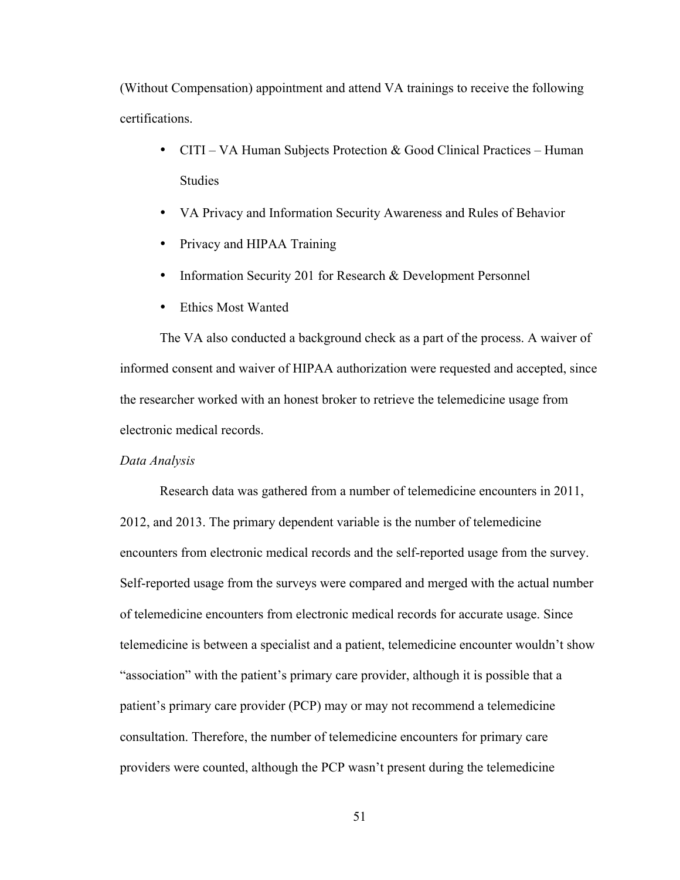(Without Compensation) appointment and attend VA trainings to receive the following certifications.

- CITI VA Human Subjects Protection & Good Clinical Practices Human Studies
- VA Privacy and Information Security Awareness and Rules of Behavior
- Privacy and HIPAA Training
- Information Security 201 for Research & Development Personnel
- Ethics Most Wanted

The VA also conducted a background check as a part of the process. A waiver of informed consent and waiver of HIPAA authorization were requested and accepted, since the researcher worked with an honest broker to retrieve the telemedicine usage from electronic medical records.

#### *Data Analysis*

Research data was gathered from a number of telemedicine encounters in 2011, 2012, and 2013. The primary dependent variable is the number of telemedicine encounters from electronic medical records and the self-reported usage from the survey. Self-reported usage from the surveys were compared and merged with the actual number of telemedicine encounters from electronic medical records for accurate usage. Since telemedicine is between a specialist and a patient, telemedicine encounter wouldn't show "association" with the patient's primary care provider, although it is possible that a patient's primary care provider (PCP) may or may not recommend a telemedicine consultation. Therefore, the number of telemedicine encounters for primary care providers were counted, although the PCP wasn't present during the telemedicine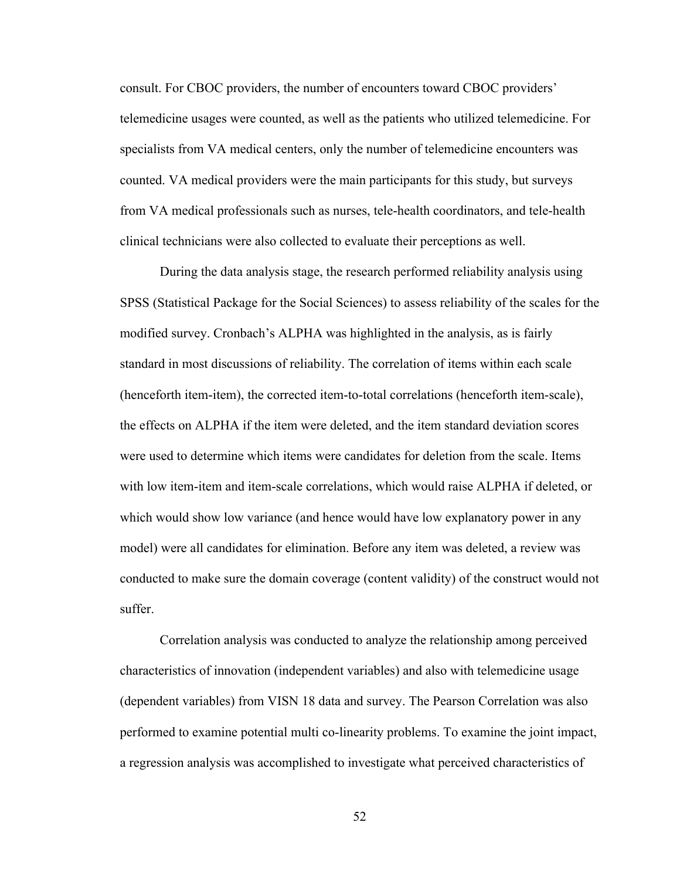consult. For CBOC providers, the number of encounters toward CBOC providers' telemedicine usages were counted, as well as the patients who utilized telemedicine. For specialists from VA medical centers, only the number of telemedicine encounters was counted. VA medical providers were the main participants for this study, but surveys from VA medical professionals such as nurses, tele-health coordinators, and tele-health clinical technicians were also collected to evaluate their perceptions as well.

During the data analysis stage, the research performed reliability analysis using SPSS (Statistical Package for the Social Sciences) to assess reliability of the scales for the modified survey. Cronbach's ALPHA was highlighted in the analysis, as is fairly standard in most discussions of reliability. The correlation of items within each scale (henceforth item-item), the corrected item-to-total correlations (henceforth item-scale), the effects on ALPHA if the item were deleted, and the item standard deviation scores were used to determine which items were candidates for deletion from the scale. Items with low item-item and item-scale correlations, which would raise ALPHA if deleted, or which would show low variance (and hence would have low explanatory power in any model) were all candidates for elimination. Before any item was deleted, a review was conducted to make sure the domain coverage (content validity) of the construct would not suffer.

Correlation analysis was conducted to analyze the relationship among perceived characteristics of innovation (independent variables) and also with telemedicine usage (dependent variables) from VISN 18 data and survey. The Pearson Correlation was also performed to examine potential multi co-linearity problems. To examine the joint impact, a regression analysis was accomplished to investigate what perceived characteristics of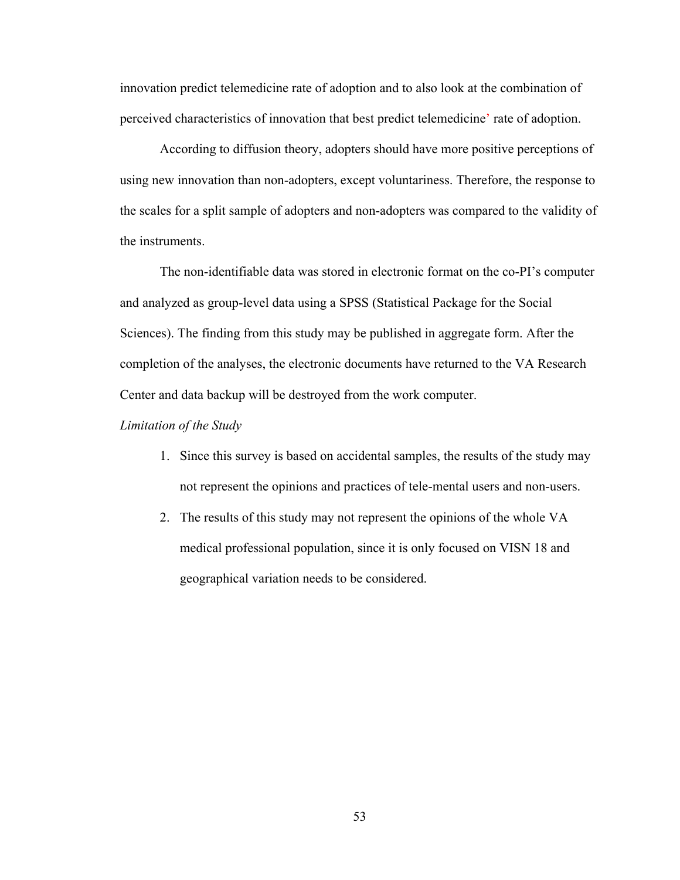innovation predict telemedicine rate of adoption and to also look at the combination of perceived characteristics of innovation that best predict telemedicine' rate of adoption.

According to diffusion theory, adopters should have more positive perceptions of using new innovation than non-adopters, except voluntariness. Therefore, the response to the scales for a split sample of adopters and non-adopters was compared to the validity of the instruments.

The non-identifiable data was stored in electronic format on the co-PI's computer and analyzed as group-level data using a SPSS (Statistical Package for the Social Sciences). The finding from this study may be published in aggregate form. After the completion of the analyses, the electronic documents have returned to the VA Research Center and data backup will be destroyed from the work computer.

*Limitation of the Study*

- 1. Since this survey is based on accidental samples, the results of the study may not represent the opinions and practices of tele-mental users and non-users.
- 2. The results of this study may not represent the opinions of the whole VA medical professional population, since it is only focused on VISN 18 and geographical variation needs to be considered.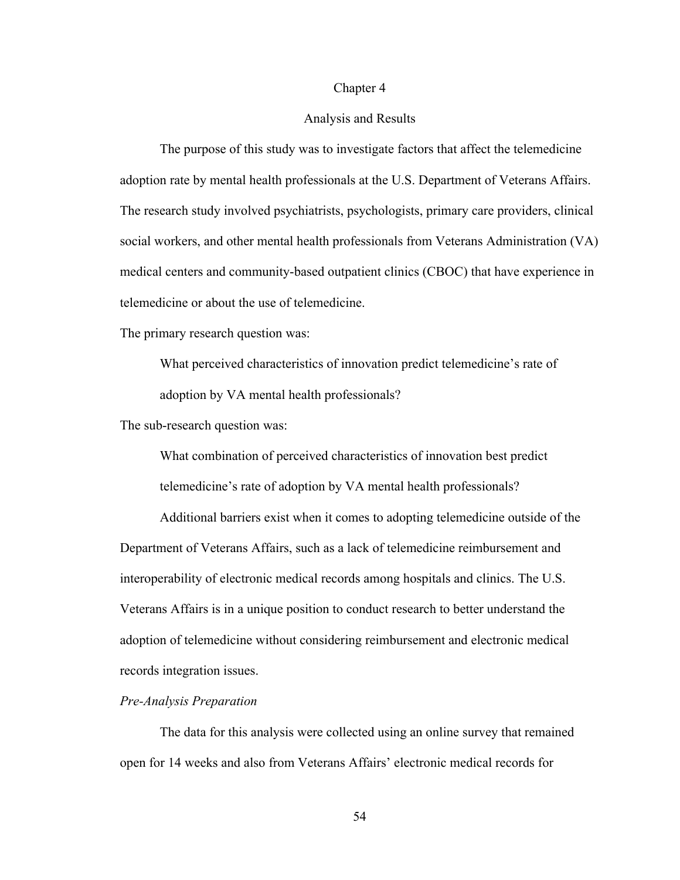#### Chapter 4

### Analysis and Results

The purpose of this study was to investigate factors that affect the telemedicine adoption rate by mental health professionals at the U.S. Department of Veterans Affairs. The research study involved psychiatrists, psychologists, primary care providers, clinical social workers, and other mental health professionals from Veterans Administration (VA) medical centers and community-based outpatient clinics (CBOC) that have experience in telemedicine or about the use of telemedicine.

The primary research question was:

What perceived characteristics of innovation predict telemedicine's rate of adoption by VA mental health professionals?

The sub-research question was:

What combination of perceived characteristics of innovation best predict telemedicine's rate of adoption by VA mental health professionals?

Additional barriers exist when it comes to adopting telemedicine outside of the Department of Veterans Affairs, such as a lack of telemedicine reimbursement and interoperability of electronic medical records among hospitals and clinics. The U.S. Veterans Affairs is in a unique position to conduct research to better understand the adoption of telemedicine without considering reimbursement and electronic medical records integration issues.

### *Pre-Analysis Preparation*

The data for this analysis were collected using an online survey that remained open for 14 weeks and also from Veterans Affairs' electronic medical records for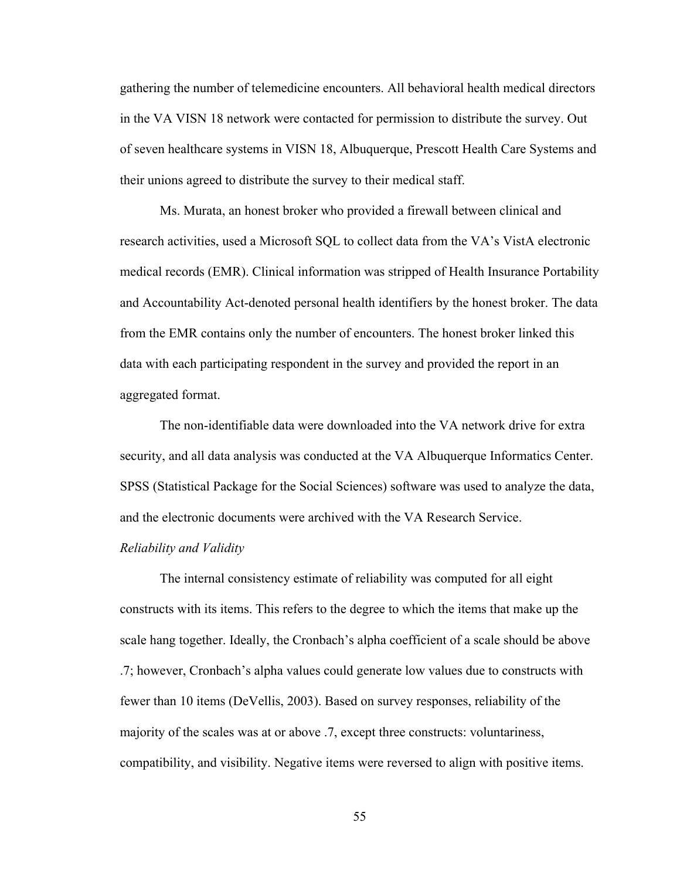gathering the number of telemedicine encounters. All behavioral health medical directors in the VA VISN 18 network were contacted for permission to distribute the survey. Out of seven healthcare systems in VISN 18, Albuquerque, Prescott Health Care Systems and their unions agreed to distribute the survey to their medical staff.

Ms. Murata, an honest broker who provided a firewall between clinical and research activities, used a Microsoft SQL to collect data from the VA's VistA electronic medical records (EMR). Clinical information was stripped of Health Insurance Portability and Accountability Act-denoted personal health identifiers by the honest broker. The data from the EMR contains only the number of encounters. The honest broker linked this data with each participating respondent in the survey and provided the report in an aggregated format.

The non-identifiable data were downloaded into the VA network drive for extra security, and all data analysis was conducted at the VA Albuquerque Informatics Center. SPSS (Statistical Package for the Social Sciences) software was used to analyze the data, and the electronic documents were archived with the VA Research Service.

#### *Reliability and Validity*

The internal consistency estimate of reliability was computed for all eight constructs with its items. This refers to the degree to which the items that make up the scale hang together. Ideally, the Cronbach's alpha coefficient of a scale should be above .7; however, Cronbach's alpha values could generate low values due to constructs with fewer than 10 items (DeVellis, 2003). Based on survey responses, reliability of the majority of the scales was at or above .7, except three constructs: voluntariness, compatibility, and visibility. Negative items were reversed to align with positive items.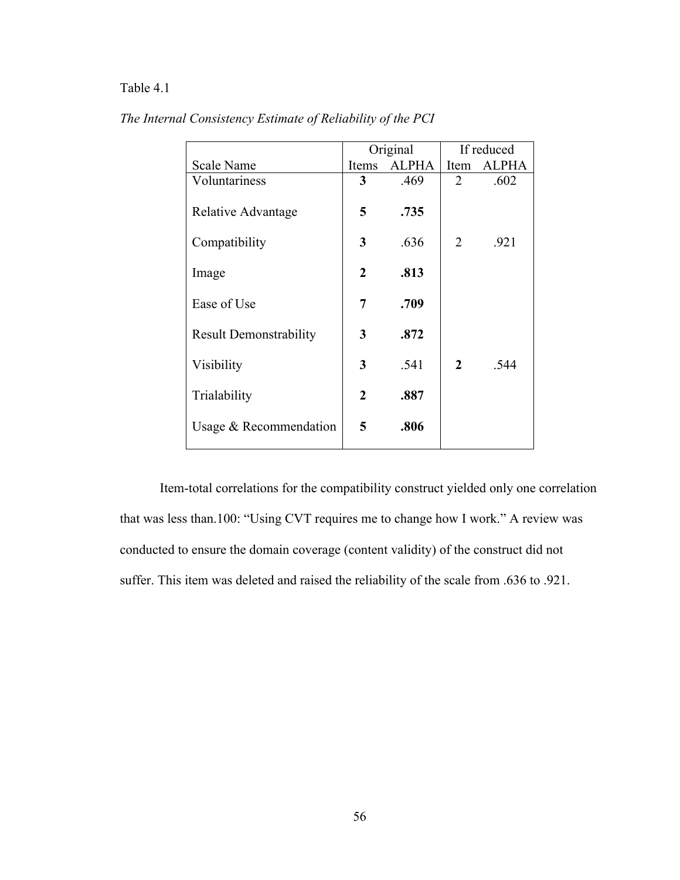# Table 4.1

|                               | Original       |              | If reduced       |              |
|-------------------------------|----------------|--------------|------------------|--------------|
| Scale Name                    | Items          | <b>ALPHA</b> | Item             | <b>ALPHA</b> |
| Voluntariness                 | 3              | .469         | $\overline{2}$   | .602         |
| Relative Advantage            | 5              | .735         |                  |              |
| Compatibility                 | 3              | .636         | 2                | .921         |
| Image                         | $\overline{2}$ | .813         |                  |              |
| Ease of Use                   | 7              | .709         |                  |              |
| <b>Result Demonstrability</b> | 3              | .872         |                  |              |
| Visibility                    | 3              | .541         | $\boldsymbol{2}$ | .544         |
| Trialability                  | $\overline{2}$ | .887         |                  |              |
| Usage & Recommendation        | 5              | .806         |                  |              |
|                               |                |              |                  |              |

*The Internal Consistency Estimate of Reliability of the PCI*

Item-total correlations for the compatibility construct yielded only one correlation that was less than.100: "Using CVT requires me to change how I work." A review was conducted to ensure the domain coverage (content validity) of the construct did not suffer. This item was deleted and raised the reliability of the scale from .636 to .921.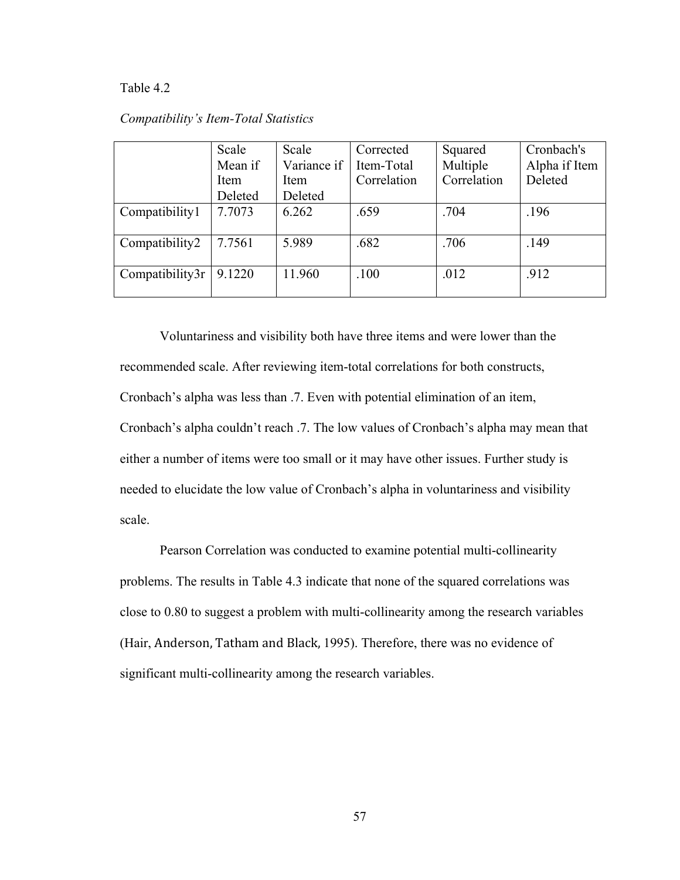#### Table 4.2

|                 | Scale   | Scale       | Corrected   | Squared     | Cronbach's    |
|-----------------|---------|-------------|-------------|-------------|---------------|
|                 | Mean if | Variance if | Item-Total  | Multiple    | Alpha if Item |
|                 | Item    | Item        | Correlation | Correlation | Deleted       |
|                 | Deleted | Deleted     |             |             |               |
| Compatibility1  | 7.7073  | 6.262       | .659        | .704        | .196          |
|                 |         |             |             |             |               |
| Compatibility2  | 7.7561  | 5.989       | .682        | .706        | .149          |
|                 |         |             |             |             |               |
| Compatibility3r | 9.1220  | 11.960      | .100        | .012        | .912          |
|                 |         |             |             |             |               |

#### *Compatibility's Item-Total Statistics*

Voluntariness and visibility both have three items and were lower than the recommended scale. After reviewing item-total correlations for both constructs, Cronbach's alpha was less than .7. Even with potential elimination of an item, Cronbach's alpha couldn't reach .7. The low values of Cronbach's alpha may mean that either a number of items were too small or it may have other issues. Further study is needed to elucidate the low value of Cronbach's alpha in voluntariness and visibility scale.

Pearson Correlation was conducted to examine potential multi-collinearity problems. The results in Table 4.3 indicate that none of the squared correlations was close to 0.80 to suggest a problem with multi-collinearity among the research variables (Hair, Anderson, Tatham and Black, 1995). Therefore, there was no evidence of significant multi-collinearity among the research variables.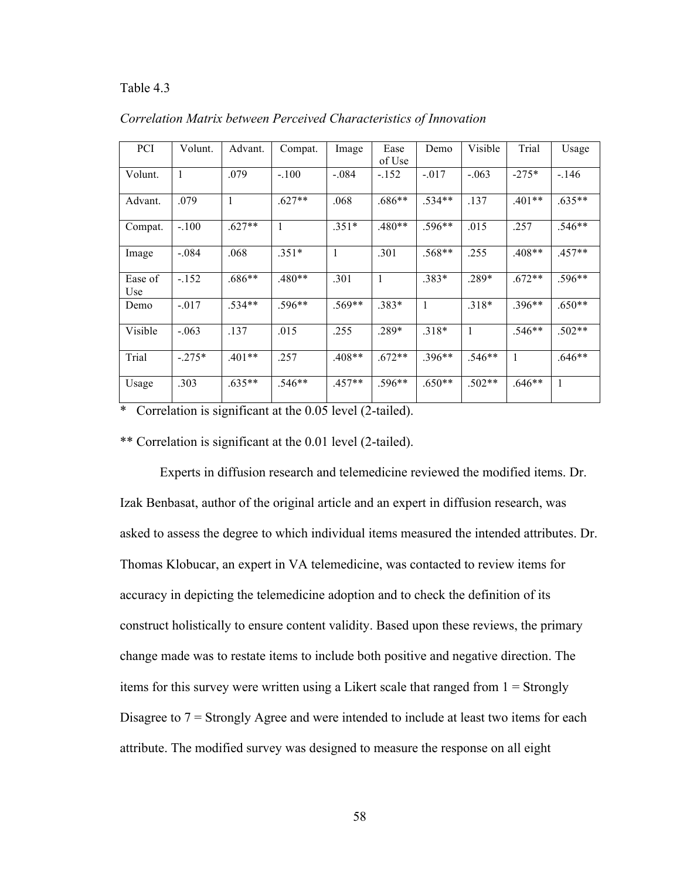### Table 4.3

| PCI            | Volunt. | Advant.  | Compat.  | Image        | Ease<br>of Use | Demo           | Visible      | Trial        | Usage        |
|----------------|---------|----------|----------|--------------|----------------|----------------|--------------|--------------|--------------|
| Volunt.        | 1       | .079     | $-.100$  | $-.084$      | $-152$         | $-.017$        | $-.063$      | $-275*$      | $-.146$      |
| Advant.        | .079    | 1        | $.627**$ | .068         | $.686**$       | $.534**$       | .137         | $.401**$     | $.635**$     |
| Compat.        | $-.100$ | $.627**$ | 1        | $.351*$      | .480**         | $.596**$       | .015         | .257         | $.546**$     |
| Image          | $-.084$ | .068     | $.351*$  | $\mathbf{1}$ | .301           | $.568**$       | .255         | $.408**$     | $.457**$     |
| Ease of<br>Use | $-152$  | $.686**$ | $.480**$ | .301         | $\mathbf{1}$   | $.383*$        | .289*        | $.672**$     | $.596**$     |
| Demo           | $-.017$ | $.534**$ | $.596**$ | $.569**$     | $.383*$        | $\overline{1}$ | $.318*$      | $.396**$     | $.650**$     |
| Visible        | $-.063$ | .137     | .015     | .255         | $.289*$        | $.318*$        | $\mathbf{1}$ | $.546**$     | $.502**$     |
| Trial          | $-275*$ | $.401**$ | .257     | $.408**$     | $.672**$       | $.396**$       | $.546**$     | $\mathbf{1}$ | $.646**$     |
| Usage          | .303    | $.635**$ | $.546**$ | $.457**$     | .596**         | $.650**$       | $.502**$     | $.646**$     | $\mathbf{1}$ |

*Correlation Matrix between Perceived Characteristics of Innovation*

\* Correlation is significant at the 0.05 level (2-tailed).

\*\* Correlation is significant at the 0.01 level (2-tailed).

Experts in diffusion research and telemedicine reviewed the modified items. Dr. Izak Benbasat, author of the original article and an expert in diffusion research, was asked to assess the degree to which individual items measured the intended attributes. Dr. Thomas Klobucar, an expert in VA telemedicine, was contacted to review items for accuracy in depicting the telemedicine adoption and to check the definition of its construct holistically to ensure content validity. Based upon these reviews, the primary change made was to restate items to include both positive and negative direction. The items for this survey were written using a Likert scale that ranged from 1 = Strongly Disagree to  $7 =$  Strongly Agree and were intended to include at least two items for each attribute. The modified survey was designed to measure the response on all eight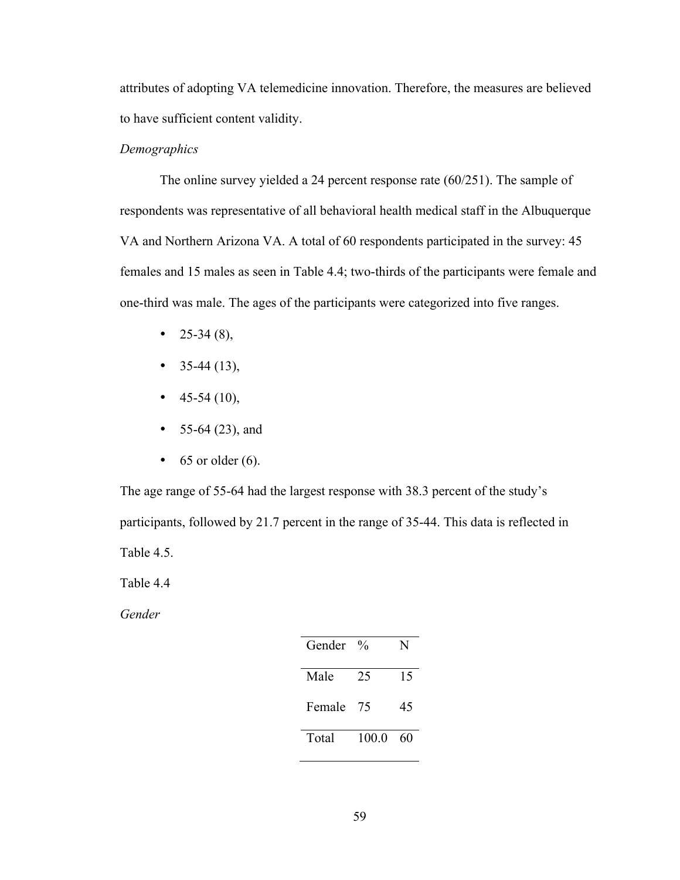attributes of adopting VA telemedicine innovation. Therefore, the measures are believed to have sufficient content validity.

## *Demographics*

The online survey yielded a 24 percent response rate (60/251). The sample of respondents was representative of all behavioral health medical staff in the Albuquerque VA and Northern Arizona VA. A total of 60 respondents participated in the survey: 45 females and 15 males as seen in Table 4.4; two-thirds of the participants were female and one-third was male. The ages of the participants were categorized into five ranges.

- 25-34  $(8)$ ,
- $35-44(13)$ ,
- $45-54(10)$ ,
- $55-64$  (23), and
- $\bullet$  65 or older (6).

The age range of 55-64 had the largest response with 38.3 percent of the study's participants, followed by 21.7 percent in the range of 35-44. This data is reflected in Table 4.5.

Table 4.4

*Gender*

| Gender | $\frac{0}{0}$ | N  |
|--------|---------------|----|
| Male   | 25            | 15 |
| Female | 75            | 45 |
| Total  | 100.0         | 60 |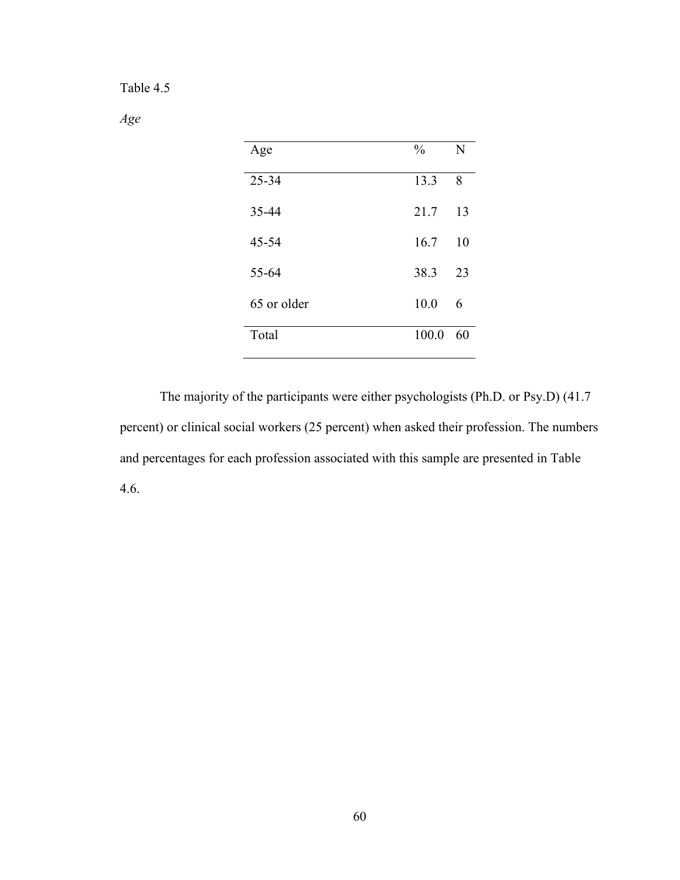*Age*

| Age         | $\frac{0}{0}$ | N  |
|-------------|---------------|----|
| $25 - 34$   | 13.3          | 8  |
| 35-44       | 21.7          | 13 |
| 45-54       | 16.7          | 10 |
| 55-64       | 38.3          | 23 |
| 65 or older | 10.0          | 6  |
| Total       | 100.0         | 60 |

The majority of the participants were either psychologists (Ph.D. or Psy.D) (41.7 percent) or clinical social workers (25 percent) when asked their profession. The numbers and percentages for each profession associated with this sample are presented in Table 4.6.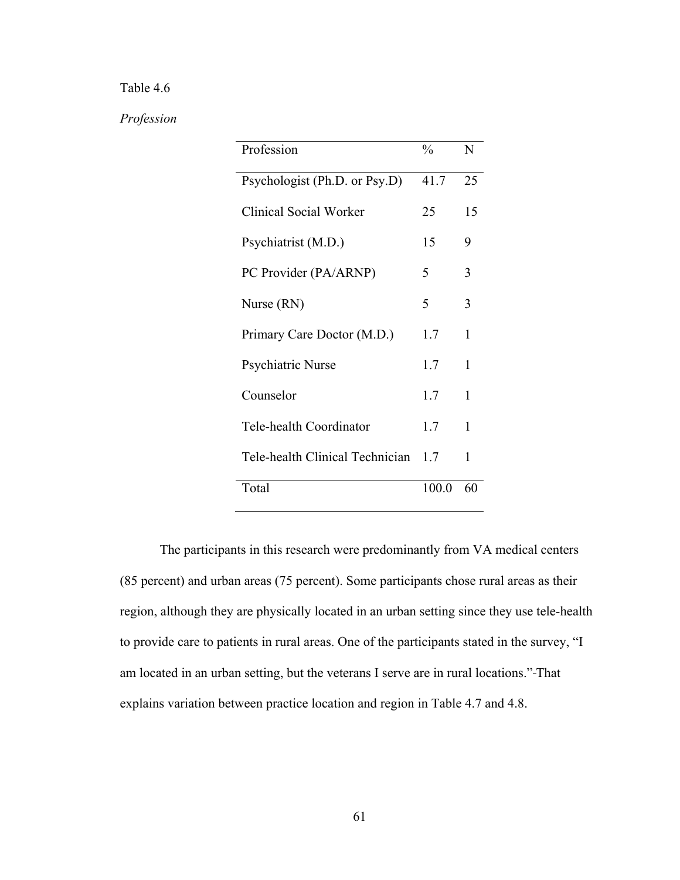## *Profession*

| Profession                      | $\frac{0}{0}$ | N  |
|---------------------------------|---------------|----|
| Psychologist (Ph.D. or Psy.D)   | 41.7          | 25 |
| Clinical Social Worker          | 25            | 15 |
| Psychiatrist (M.D.)             | 15            | 9  |
| PC Provider (PA/ARNP)           | 5             | 3  |
| Nurse (RN)                      | 5             | 3  |
| Primary Care Doctor (M.D.)      | 1.7           | 1  |
| Psychiatric Nurse               | 1.7           | 1  |
| Counselor                       | 1.7           | 1  |
| Tele-health Coordinator         | 1.7           | 1  |
| Tele-health Clinical Technician | 1.7           | 1  |
| Total                           | 100.0         | 60 |

The participants in this research were predominantly from VA medical centers (85 percent) and urban areas (75 percent). Some participants chose rural areas as their region, although they are physically located in an urban setting since they use tele-health to provide care to patients in rural areas. One of the participants stated in the survey, "I am located in an urban setting, but the veterans I serve are in rural locations." That explains variation between practice location and region in Table 4.7 and 4.8.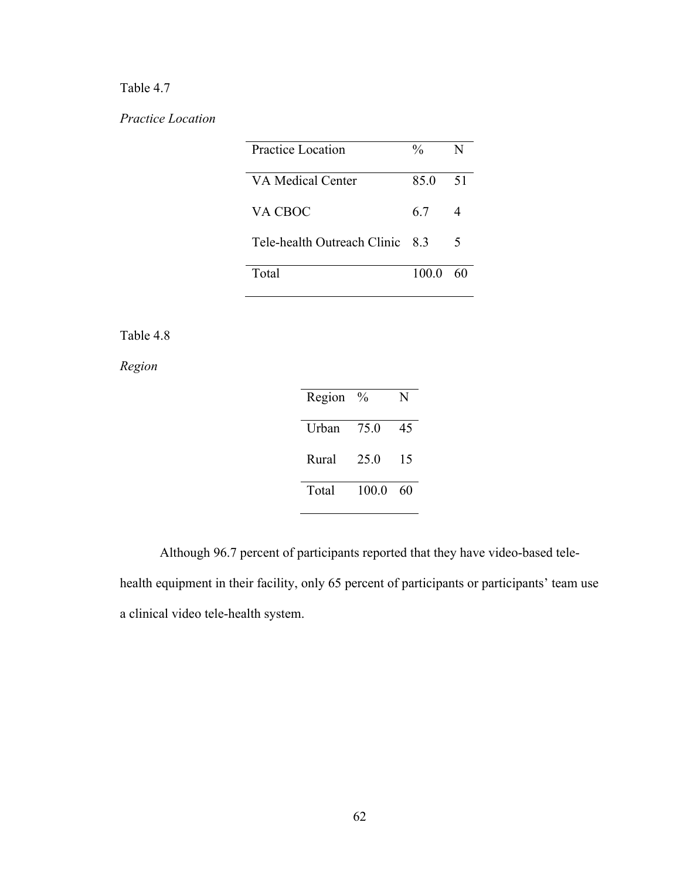*Practice Location*

| Practice Location               | $\frac{0}{0}$ | N             |
|---------------------------------|---------------|---------------|
| VA Medical Center               | 85.0          | 51            |
| VA CBOC                         | 67            |               |
| Tele-health Outreach Clinic 8.3 |               | $\mathcal{L}$ |
| Total                           | 100 0         |               |

Table 4.8

*Region*

| Region | $\%$  | N  |
|--------|-------|----|
| Urban  | 75 O  | 45 |
| Rural  | 25.0  | 15 |
| Total  | 100 0 | 60 |

Although 96.7 percent of participants reported that they have video-based telehealth equipment in their facility, only 65 percent of participants or participants' team use a clinical video tele-health system.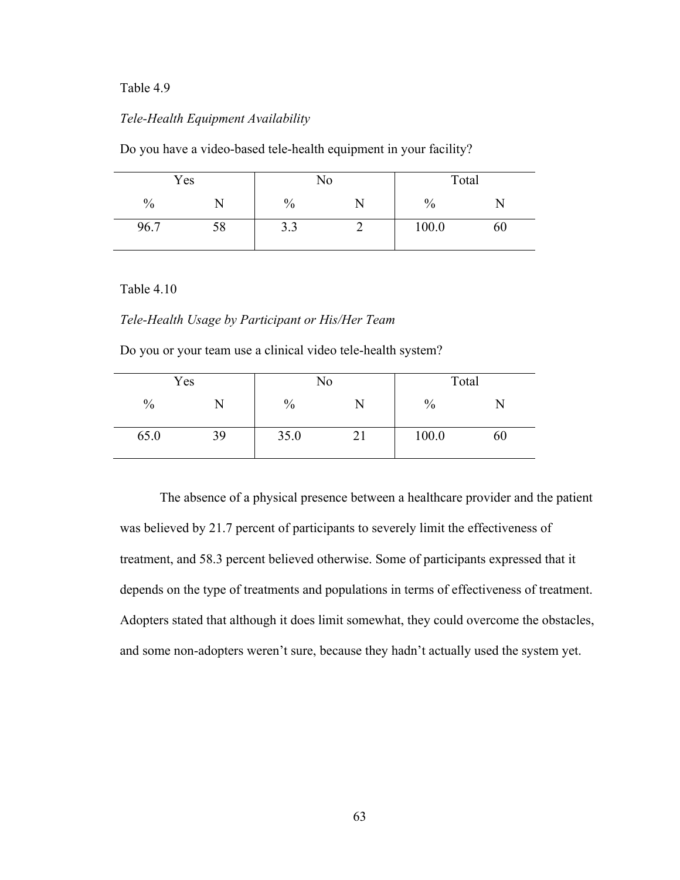## *Tele-Health Equipment Availability*

| Do you have a video-based tele-health equipment in your facility? |  |  |
|-------------------------------------------------------------------|--|--|
|                                                                   |  |  |

|      | Yes |                       | N <sub>0</sub> |               | Total |  |
|------|-----|-----------------------|----------------|---------------|-------|--|
| $\%$ |     | $\%$                  | N              | $\frac{0}{0}$ |       |  |
| 96.7 | 58  | 2 <sub>2</sub><br>J.J |                | 100.0         | 60    |  |

#### Table 4.10

## *Tele-Health Usage by Participant or His/Her Team*

Do you or your team use a clinical video tele-health system?

|               | Yes |      | No |       | Total |
|---------------|-----|------|----|-------|-------|
| $\frac{0}{0}$ |     | $\%$ |    | $\%$  |       |
| 65.0          | 39  | 35.0 | 21 | 100.0 | 60    |

The absence of a physical presence between a healthcare provider and the patient was believed by 21.7 percent of participants to severely limit the effectiveness of treatment, and 58.3 percent believed otherwise. Some of participants expressed that it depends on the type of treatments and populations in terms of effectiveness of treatment. Adopters stated that although it does limit somewhat, they could overcome the obstacles, and some non-adopters weren't sure, because they hadn't actually used the system yet.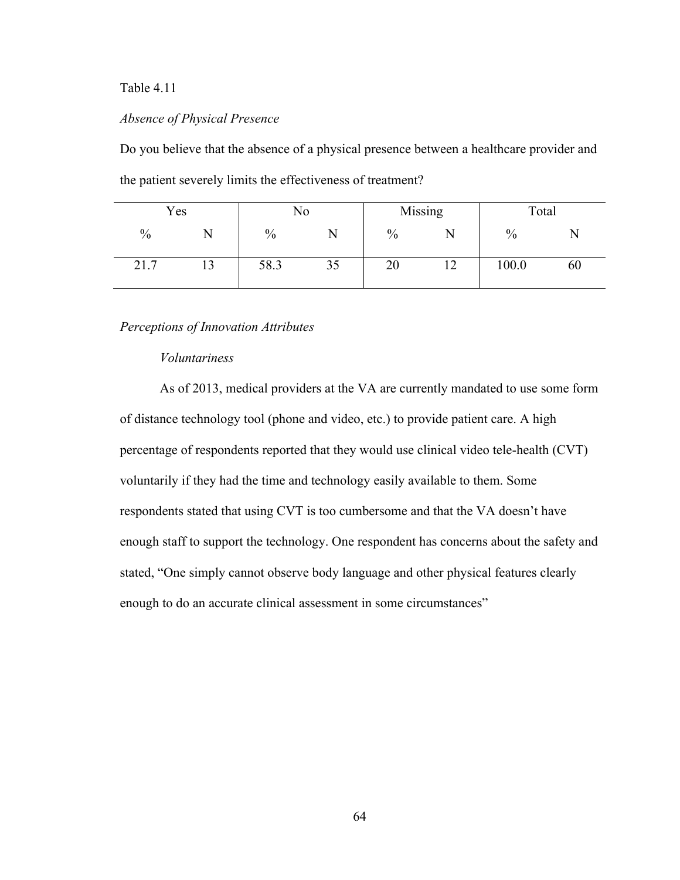### *Absence of Physical Presence*

Do you believe that the absence of a physical presence between a healthcare provider and the patient severely limits the effectiveness of treatment?

| Yes                        |  | No            |    | Missing |                         | Total |    |
|----------------------------|--|---------------|----|---------|-------------------------|-------|----|
| $\%$                       |  | $\frac{0}{0}$ |    | $\%$    |                         | $\%$  | P١ |
| $\mathbf{r}$<br>$\sim$ 1.1 |  | 58.3          | 35 | 20      | $\sim$<br>┸ <del></del> | 100.0 | 60 |

### *Perceptions of Innovation Attributes*

#### *Voluntariness*

As of 2013, medical providers at the VA are currently mandated to use some form of distance technology tool (phone and video, etc.) to provide patient care. A high percentage of respondents reported that they would use clinical video tele-health (CVT) voluntarily if they had the time and technology easily available to them. Some respondents stated that using CVT is too cumbersome and that the VA doesn't have enough staff to support the technology. One respondent has concerns about the safety and stated, "One simply cannot observe body language and other physical features clearly enough to do an accurate clinical assessment in some circumstances"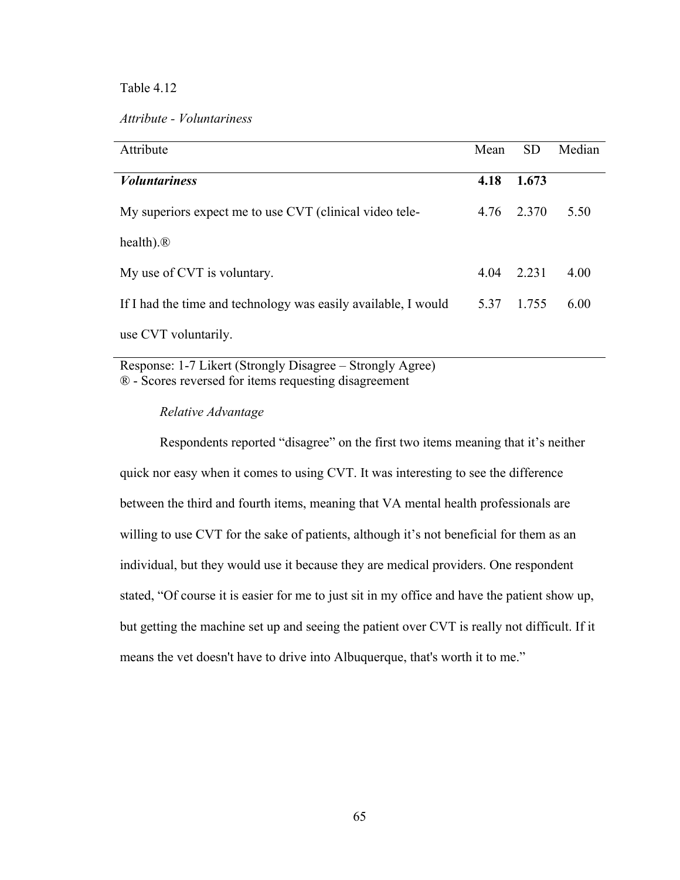*Attribute - Voluntariness*

| Attribute                                                      | Mean | <b>SD</b> | Median |
|----------------------------------------------------------------|------|-----------|--------|
| <i>Voluntariness</i>                                           | 4.18 | 1.673     |        |
| My superiors expect me to use CVT (clinical video tele-        | 4.76 | 2.370     | 5.50   |
| health). $\circledR$                                           |      |           |        |
| My use of CVT is voluntary.                                    | 4.04 | 2.231     | 4.00   |
| If I had the time and technology was easily available, I would | 5.37 | 1.755     | 6.00   |
| use CVT voluntarily.                                           |      |           |        |

Response: 1-7 Likert (Strongly Disagree – Strongly Agree) ® - Scores reversed for items requesting disagreement

### *Relative Advantage*

Respondents reported "disagree" on the first two items meaning that it's neither quick nor easy when it comes to using CVT. It was interesting to see the difference between the third and fourth items, meaning that VA mental health professionals are willing to use CVT for the sake of patients, although it's not beneficial for them as an individual, but they would use it because they are medical providers. One respondent stated, "Of course it is easier for me to just sit in my office and have the patient show up, but getting the machine set up and seeing the patient over CVT is really not difficult. If it means the vet doesn't have to drive into Albuquerque, that's worth it to me."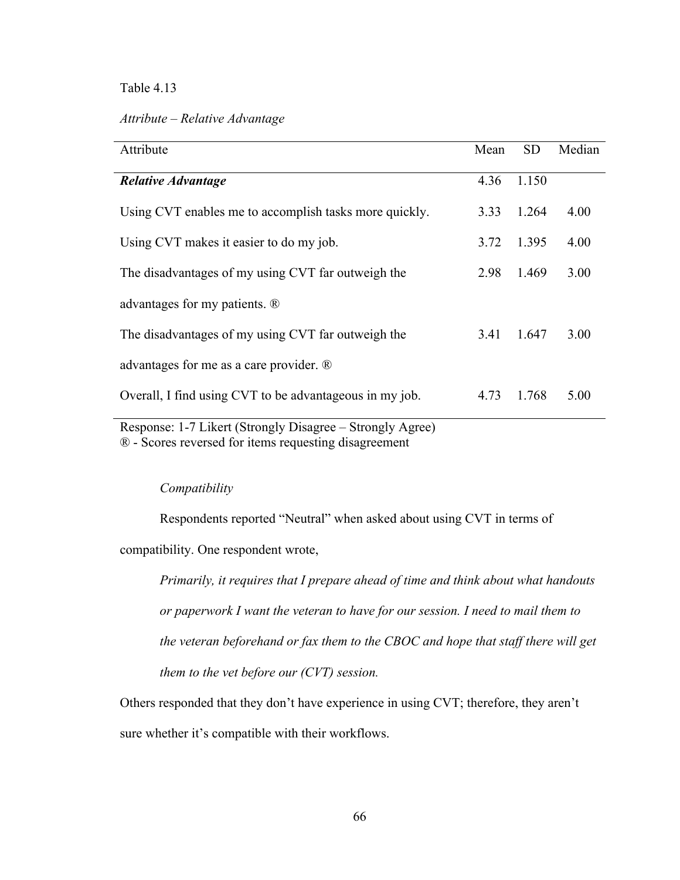## *Attribute – Relative Advantage*

| Attribute                                               | Mean | <b>SD</b> | Median |
|---------------------------------------------------------|------|-----------|--------|
| <b>Relative Advantage</b>                               | 4.36 | 1.150     |        |
| Using CVT enables me to accomplish tasks more quickly.  | 3.33 | 1.264     | 4.00   |
| Using CVT makes it easier to do my job.                 | 3.72 | 1.395     | 4.00   |
| The disadvantages of my using CVT far outweigh the      | 2.98 | 1.469     | 3.00   |
| advantages for my patients. ®                           |      |           |        |
| The disadvantages of my using CVT far outweigh the      | 3.41 | 1.647     | 3.00   |
| advantages for me as a care provider. ®                 |      |           |        |
| Overall, I find using CVT to be advantageous in my job. | 4.73 | 1.768     | 5.00   |

Response: 1-7 Likert (Strongly Disagree – Strongly Agree) ® - Scores reversed for items requesting disagreement

### *Compatibility*

Respondents reported "Neutral" when asked about using CVT in terms of compatibility. One respondent wrote,

*Primarily, it requires that I prepare ahead of time and think about what handouts or paperwork I want the veteran to have for our session. I need to mail them to the veteran beforehand or fax them to the CBOC and hope that staff there will get them to the vet before our (CVT) session.*

Others responded that they don't have experience in using CVT; therefore, they aren't sure whether it's compatible with their workflows.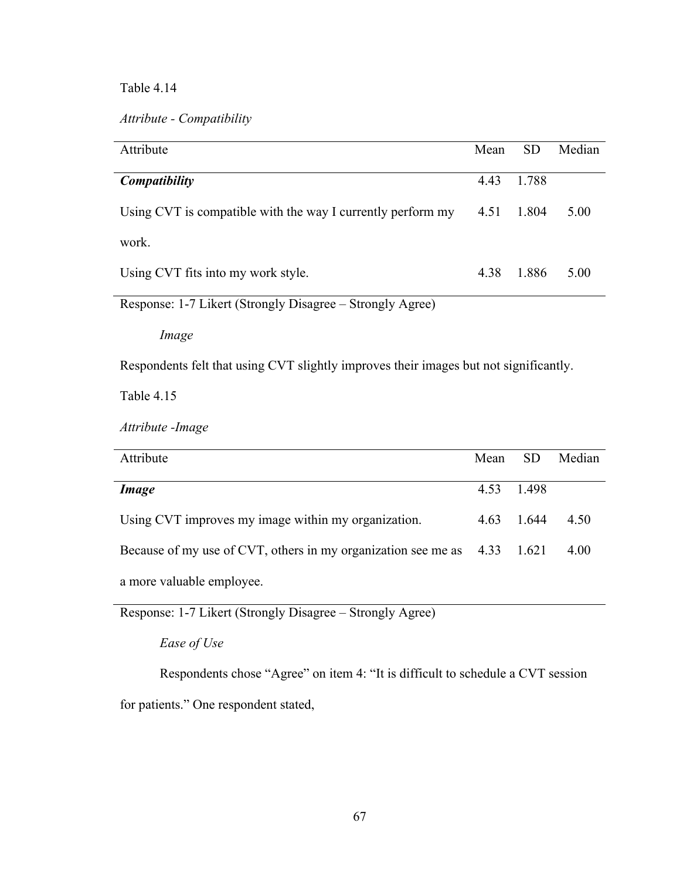## *Attribute - Compatibility*

| Attribute                                                   | Mean | <b>SD</b> | Median |
|-------------------------------------------------------------|------|-----------|--------|
|                                                             |      |           |        |
| Compatibility                                               | 4.43 | 1.788     |        |
| Using CVT is compatible with the way I currently perform my | 4.51 | 1.804     | 5.00   |
| work.                                                       |      |           |        |
| Using CVT fits into my work style.                          | 4.38 | 1.886     | 5.00   |
| Response: 1-7 Likert (Strongly Disagree – Strongly Agree)   |      |           |        |

Response: 1-7 Likert (Strongly Disagree – Strongly Agree)

*Image*

Respondents felt that using CVT slightly improves their images but not significantly.

Table 4.15

*Attribute -Image*

| Attribute                                                                | Mean | <b>SD</b>  | Median |
|--------------------------------------------------------------------------|------|------------|--------|
|                                                                          |      |            |        |
| <i>Image</i>                                                             |      | 4.53 1.498 |        |
|                                                                          |      |            |        |
| Using CVT improves my image within my organization.                      |      | 4.63 1.644 | 4.50   |
|                                                                          |      |            |        |
| Because of my use of CVT, others in my organization see me as 4.33 1.621 |      |            | 4.00   |
|                                                                          |      |            |        |
| a more valuable employee.                                                |      |            |        |
|                                                                          |      |            |        |

Response: 1-7 Likert (Strongly Disagree – Strongly Agree)

*Ease of Use*

Respondents chose "Agree" on item 4: "It is difficult to schedule a CVT session for patients." One respondent stated,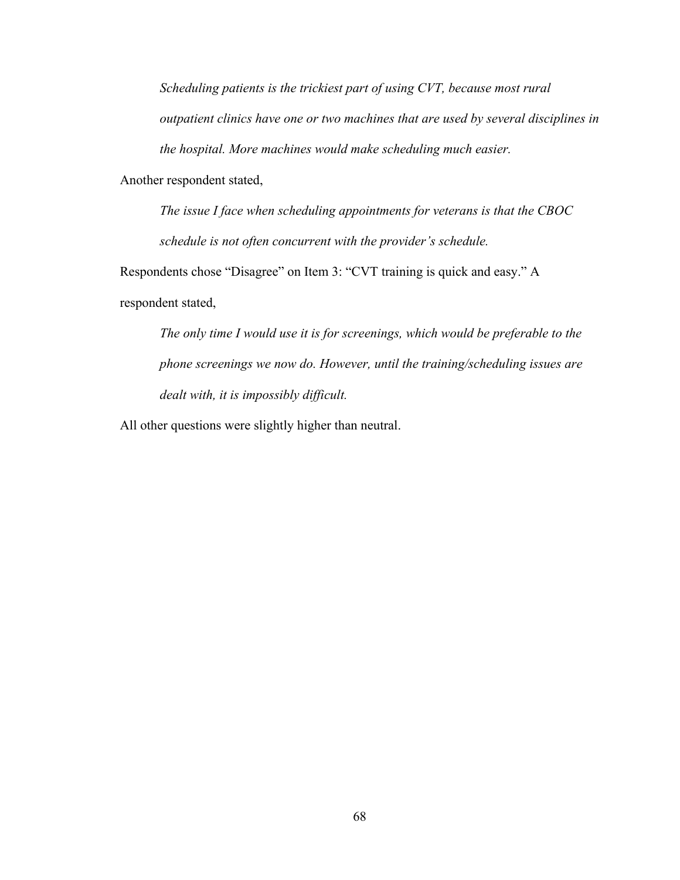*Scheduling patients is the trickiest part of using CVT, because most rural outpatient clinics have one or two machines that are used by several disciplines in the hospital. More machines would make scheduling much easier.*

Another respondent stated,

*The issue I face when scheduling appointments for veterans is that the CBOC schedule is not often concurrent with the provider's schedule.*

Respondents chose "Disagree" on Item 3: "CVT training is quick and easy." A

respondent stated,

*The only time I would use it is for screenings, which would be preferable to the phone screenings we now do. However, until the training/scheduling issues are dealt with, it is impossibly difficult.*

All other questions were slightly higher than neutral.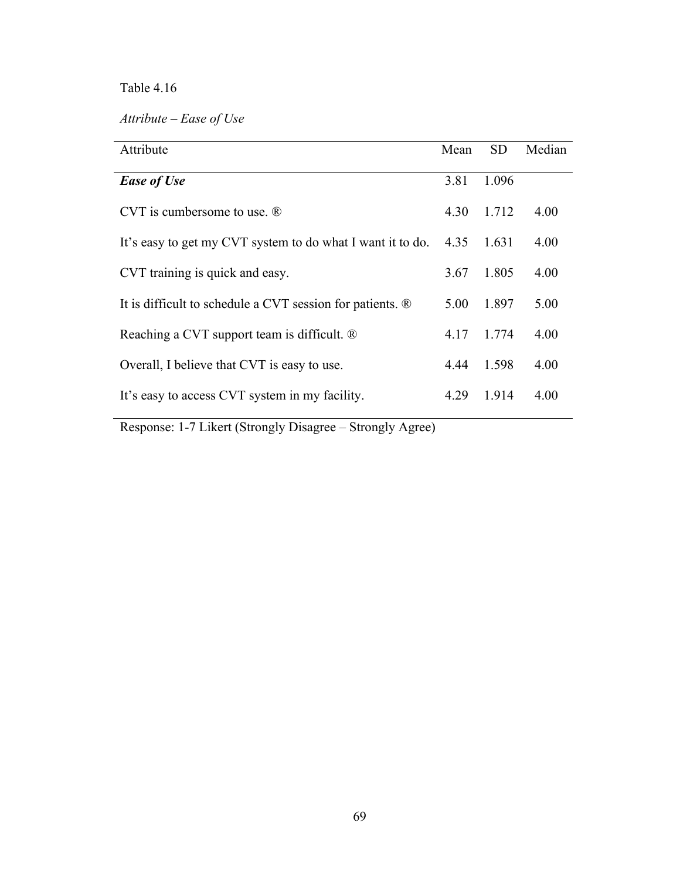*Attribute – Ease of Use*

| Attribute                                                  | Mean | <b>SD</b> | Median |
|------------------------------------------------------------|------|-----------|--------|
| <b>Ease of Use</b>                                         | 3.81 | 1.096     |        |
|                                                            |      |           |        |
| CVT is cumbersome to use. $\mathbb{R}$                     | 4.30 | 1.712     | 4.00   |
|                                                            |      |           |        |
| It's easy to get my CVT system to do what I want it to do. | 4.35 | 1.631     | 4.00   |
| CVT training is quick and easy.                            | 3.67 | 1.805     | 4.00   |
|                                                            |      |           |        |
| It is difficult to schedule a CVT session for patients. ®  | 5.00 | 1.897     | 5.00   |
| Reaching a CVT support team is difficult. $\mathbb{R}$     | 4.17 | 1.774     | 4.00   |
|                                                            |      |           |        |
| Overall, I believe that CVT is easy to use.                | 4.44 | 1.598     | 4.00   |
| It's easy to access CVT system in my facility.             | 4.29 | 1.914     | 4.00   |
|                                                            |      |           |        |
|                                                            |      |           |        |

Response: 1-7 Likert (Strongly Disagree – Strongly Agree)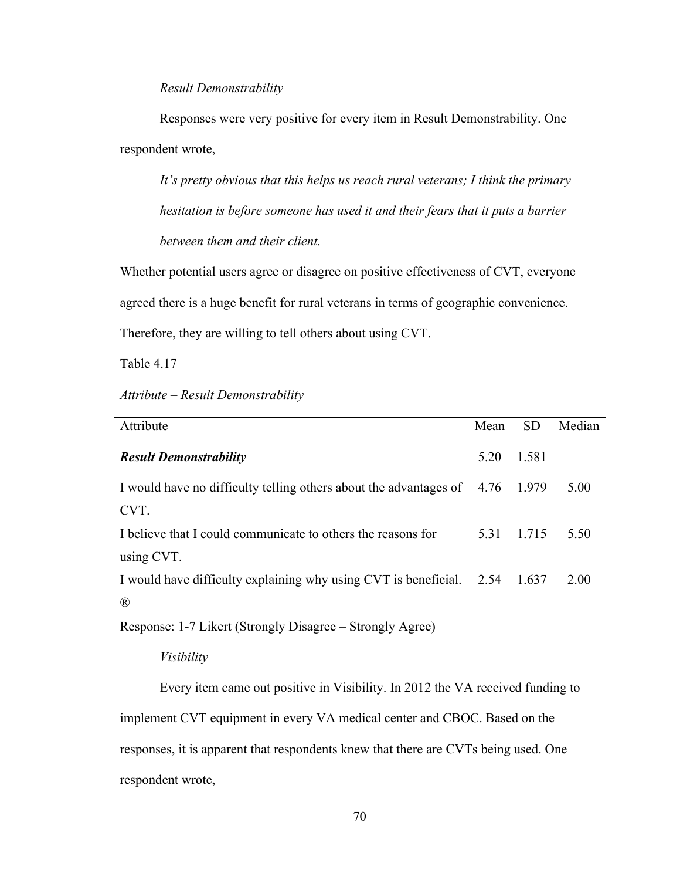#### *Result Demonstrability*

Responses were very positive for every item in Result Demonstrability. One respondent wrote,

*It's pretty obvious that this helps us reach rural veterans; I think the primary hesitation is before someone has used it and their fears that it puts a barrier between them and their client.*

Whether potential users agree or disagree on positive effectiveness of CVT, everyone agreed there is a huge benefit for rural veterans in terms of geographic convenience. Therefore, they are willing to tell others about using CVT.

Table 4.17

### *Attribute – Result Demonstrability*

| Attribute                                                                                | Mean | <b>SD</b> | Median |
|------------------------------------------------------------------------------------------|------|-----------|--------|
| <b>Result Demonstrability</b>                                                            | 5.20 | 1.581     |        |
| I would have no difficulty telling others about the advantages of 4.76 1.979<br>CVT.     |      |           | 5.00   |
| I believe that I could communicate to others the reasons for                             | 5.31 | 1.715     | 5.50   |
| using CVT.<br>I would have difficulty explaining why using CVT is beneficial. 2.54 1.637 |      |           | 2.00   |
| $^{\circledR}$                                                                           |      |           |        |

Response: 1-7 Likert (Strongly Disagree – Strongly Agree)

*Visibility*

Every item came out positive in Visibility. In 2012 the VA received funding to implement CVT equipment in every VA medical center and CBOC. Based on the responses, it is apparent that respondents knew that there are CVTs being used. One respondent wrote,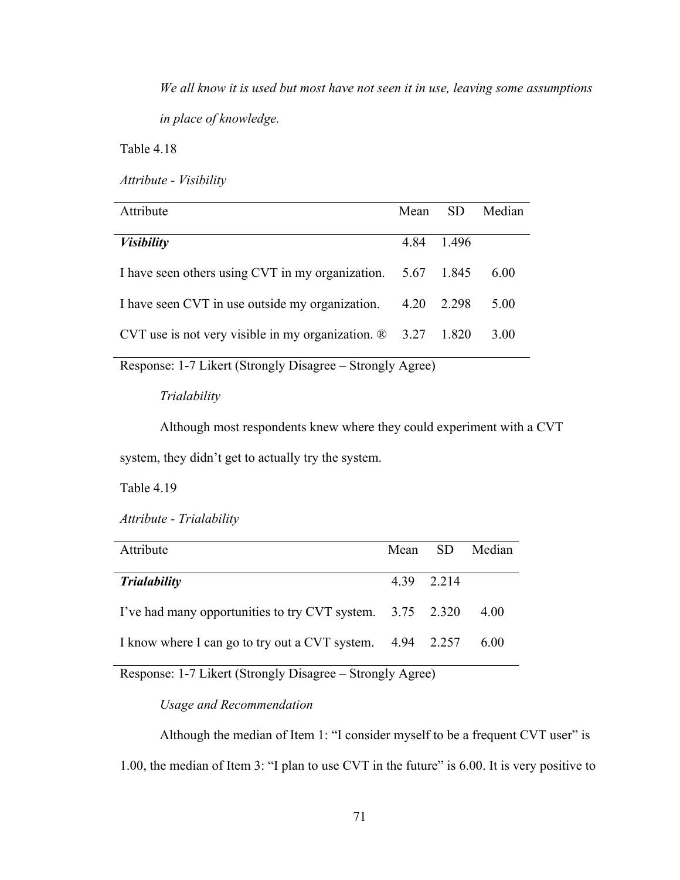*We all know it is used but most have not seen it in use, leaving some assumptions in place of knowledge.*

Table 4.18

*Attribute - Visibility*

| Attribute                                                            | Mean | SD.        | Median |
|----------------------------------------------------------------------|------|------------|--------|
| <b>Visibility</b>                                                    | 4 84 | -1496      |        |
| I have seen others using CVT in my organization. $5.67$ 1.845        |      |            | 6.00   |
| I have seen CVT in use outside my organization.                      |      | 4.20 2.298 | 5.00   |
| CVT use is not very visible in my organization. $\otimes$ 3.27 1.820 |      |            | 3.00   |

Response: 1-7 Likert (Strongly Disagree – Strongly Agree)

*Trialability* 

Although most respondents knew where they could experiment with a CVT system, they didn't get to actually try the system.

Table 4.19

*Attribute - Trialability*

| Attribute                                                 |            | Mean SD Median |
|-----------------------------------------------------------|------------|----------------|
| Trialability                                              | 4.39 2.214 |                |
| I've had many opportunities to try CVT system. 3.75 2.320 |            | 4.00           |
| I know where I can go to try out a CVT system. 4.94 2.257 |            | 6.00           |

Response: 1-7 Likert (Strongly Disagree – Strongly Agree)

*Usage and Recommendation*

Although the median of Item 1: "I consider myself to be a frequent CVT user" is 1.00, the median of Item 3: "I plan to use CVT in the future" is 6.00. It is very positive to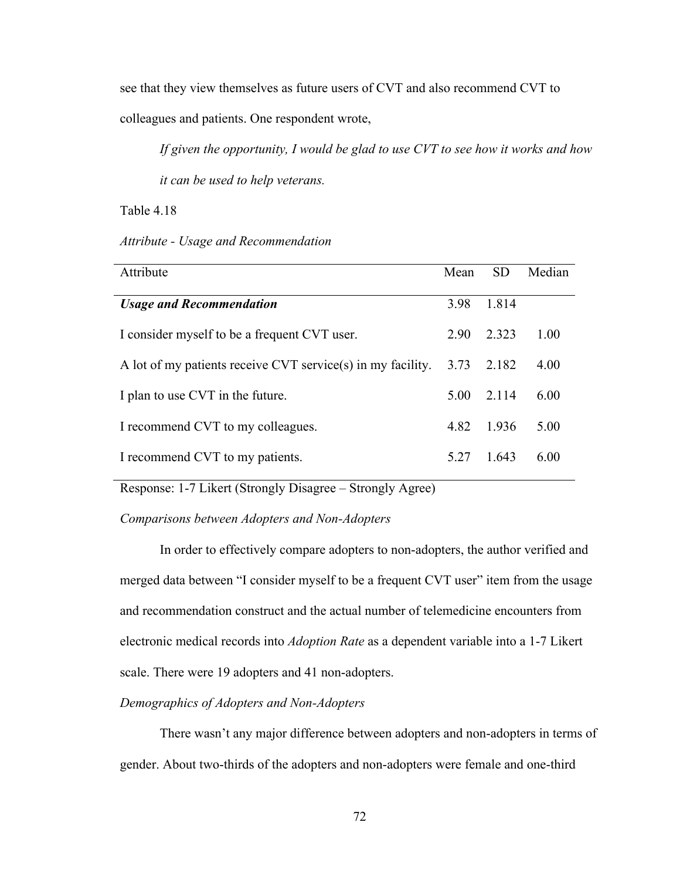see that they view themselves as future users of CVT and also recommend CVT to colleagues and patients. One respondent wrote,

*If given the opportunity, I would be glad to use CVT to see how it works and how it can be used to help veterans.*

Table 4.18

*Attribute - Usage and Recommendation*

| Attribute                                                   | Mean | <b>SD</b> | Median |
|-------------------------------------------------------------|------|-----------|--------|
| <b>Usage and Recommendation</b>                             | 3.98 | 1.814     |        |
| I consider myself to be a frequent CVT user.                | 2.90 | 2.323     | 1.00   |
| A lot of my patients receive CVT service(s) in my facility. | 3.73 | 2.182     | 4.00   |
| I plan to use CVT in the future.                            | 5.00 | 2.114     | 6.00   |
| I recommend CVT to my colleagues.                           | 4.82 | 1.936     | 5.00   |
| I recommend CVT to my patients.                             | 5 27 | 1.643     | 6.00   |

Response: 1-7 Likert (Strongly Disagree – Strongly Agree)

*Comparisons between Adopters and Non-Adopters*

In order to effectively compare adopters to non-adopters, the author verified and merged data between "I consider myself to be a frequent CVT user" item from the usage and recommendation construct and the actual number of telemedicine encounters from electronic medical records into *Adoption Rate* as a dependent variable into a 1-7 Likert scale. There were 19 adopters and 41 non-adopters.

*Demographics of Adopters and Non-Adopters*

There wasn't any major difference between adopters and non-adopters in terms of gender. About two-thirds of the adopters and non-adopters were female and one-third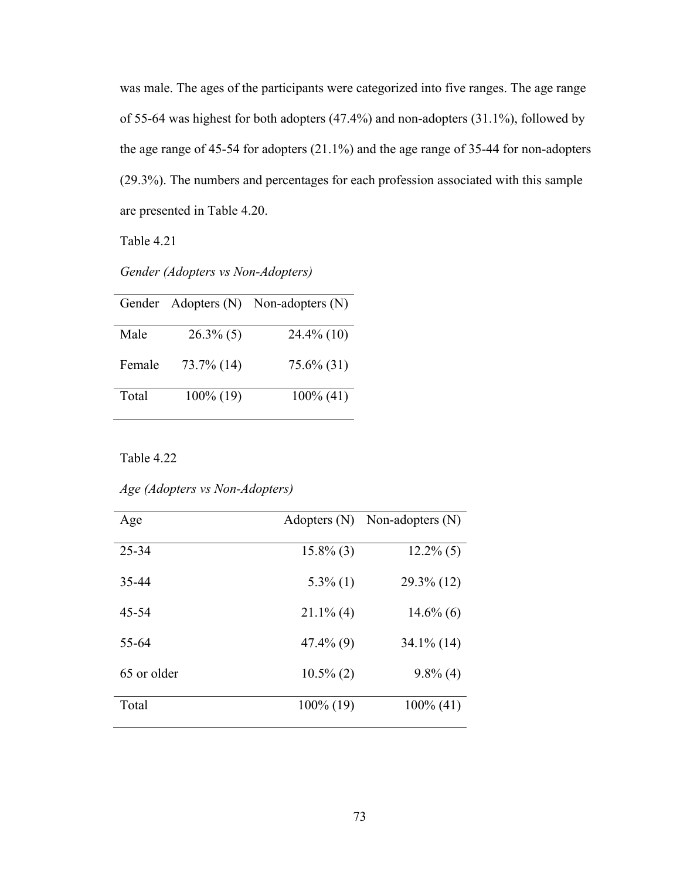was male. The ages of the participants were categorized into five ranges. The age range of 55-64 was highest for both adopters (47.4%) and non-adopters (31.1%), followed by the age range of 45-54 for adopters (21.1%) and the age range of 35-44 for non-adopters (29.3%). The numbers and percentages for each profession associated with this sample are presented in Table 4.20.

Table 4.21

| Gender |              | Adopters $(N)$ Non-adopters $(N)$ |
|--------|--------------|-----------------------------------|
| Male   | $26.3\%$ (5) | $24.4\%$ (10)                     |
| Female | 73.7% (14)   | $75.6\%$ (31)                     |
| Total  | $100\%$ (19) | $100\%$ (41)                      |

Table 4.22

*Age (Adopters vs Non-Adopters)*

| Age         | Adopters $(N)$ | Non-adopters (N) |
|-------------|----------------|------------------|
| 25-34       | $15.8\%$ (3)   | $12.2\%$ (5)     |
| 35-44       | $5.3\%$ (1)    | $29.3\%$ (12)    |
| 45-54       | $21.1\%$ (4)   | $14.6\%$ (6)     |
| 55-64       | $47.4\%$ (9)   | $34.1\%$ (14)    |
| 65 or older | $10.5\%$ (2)   | $9.8\%$ (4)      |
| Total       | $100\%$ (19)   | $100\%$ (41)     |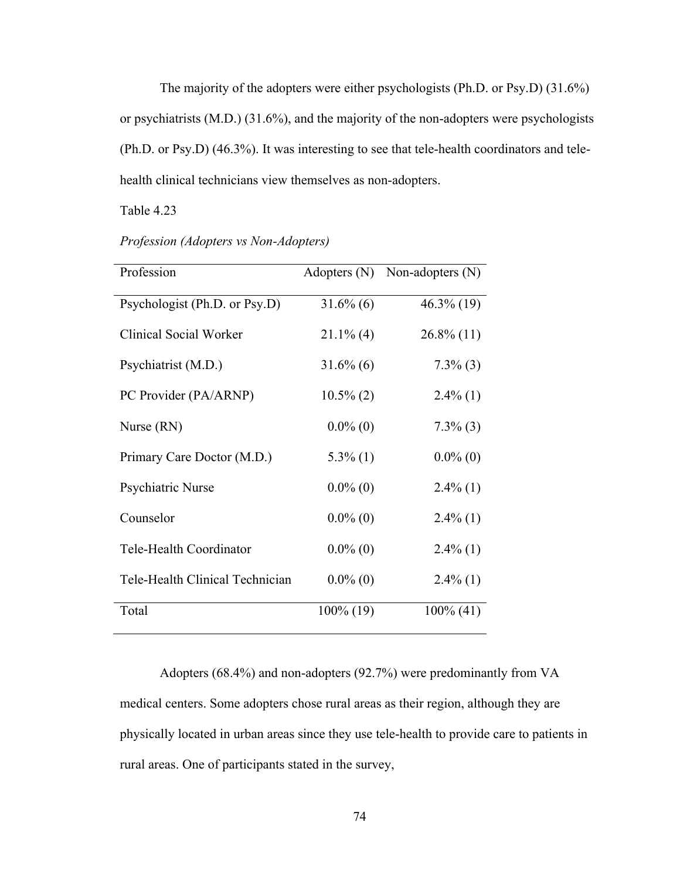The majority of the adopters were either psychologists (Ph.D. or Psy.D) (31.6%) or psychiatrists (M.D.) (31.6%), and the majority of the non-adopters were psychologists (Ph.D. or Psy.D) (46.3%). It was interesting to see that tele-health coordinators and telehealth clinical technicians view themselves as non-adopters.

Table 4.23

| Profession                      | Adopters (N) | Non-adopters $(N)$ |
|---------------------------------|--------------|--------------------|
| Psychologist (Ph.D. or Psy.D)   | $31.6\%$ (6) | $46.3\%$ (19)      |
| Clinical Social Worker          | $21.1\%$ (4) | $26.8\%$ (11)      |
| Psychiatrist (M.D.)             | $31.6\%$ (6) | $7.3\%$ (3)        |
| PC Provider (PA/ARNP)           | $10.5\%$ (2) | $2.4\%$ (1)        |
| Nurse $(RN)$                    | $0.0\%$ (0)  | $7.3\%$ (3)        |
| Primary Care Doctor (M.D.)      | $5.3\%$ (1)  | $0.0\%$ (0)        |
| Psychiatric Nurse               | $0.0\%$ (0)  | $2.4\%$ (1)        |
| Counselor                       | $0.0\%$ (0)  | $2.4\%$ (1)        |
| Tele-Health Coordinator         | $0.0\%$ (0)  | $2.4\%$ (1)        |
| Tele-Health Clinical Technician | $0.0\%$ (0)  | $2.4\%$ (1)        |
| Total                           | 100% (19)    | $100\%$ (41)       |

*Profession (Adopters vs Non-Adopters)*

Adopters (68.4%) and non-adopters (92.7%) were predominantly from VA medical centers. Some adopters chose rural areas as their region, although they are physically located in urban areas since they use tele-health to provide care to patients in rural areas. One of participants stated in the survey,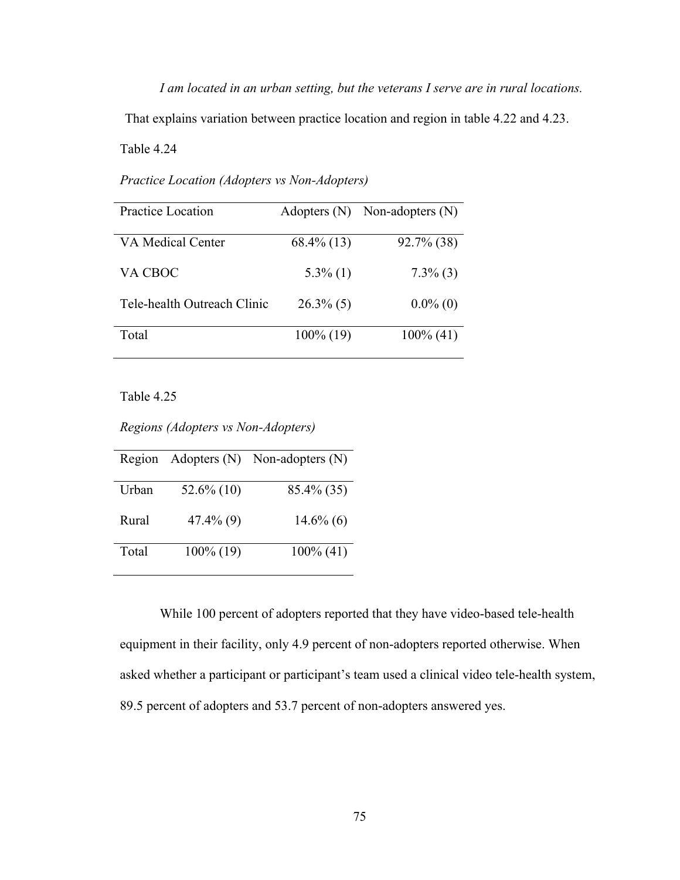*I am located in an urban setting, but the veterans I serve are in rural locations.*

That explains variation between practice location and region in table 4.22 and 4.23.

Table 4.24

| Practice Location           | Adopters (N)  | Non-adopters $(N)$ |
|-----------------------------|---------------|--------------------|
| VA Medical Center           | $68.4\%$ (13) | 92.7% (38)         |
| VA CBOC                     | $5.3\%$ (1)   | $7.3\%$ (3)        |
| Tele-health Outreach Clinic | $26.3\%$ (5)  | $0.0\%$ (0)        |
| Total                       | $100\%$ (19)  | $100\%$ (41)       |

*Practice Location (Adopters vs Non-Adopters)*

Table 4.25

*Regions (Adopters vs Non-Adopters)*

| Region |               | Adopters (N) Non-adopters (N) |
|--------|---------------|-------------------------------|
| Urban  | $52.6\%$ (10) | 85.4% (35)                    |
| Rural  | $47.4\%$ (9)  | $14.6\%$ (6)                  |
| Total  | $100\%$ (19)  | $100\%$ (41)                  |

While 100 percent of adopters reported that they have video-based tele-health equipment in their facility, only 4.9 percent of non-adopters reported otherwise. When asked whether a participant or participant's team used a clinical video tele-health system, 89.5 percent of adopters and 53.7 percent of non-adopters answered yes.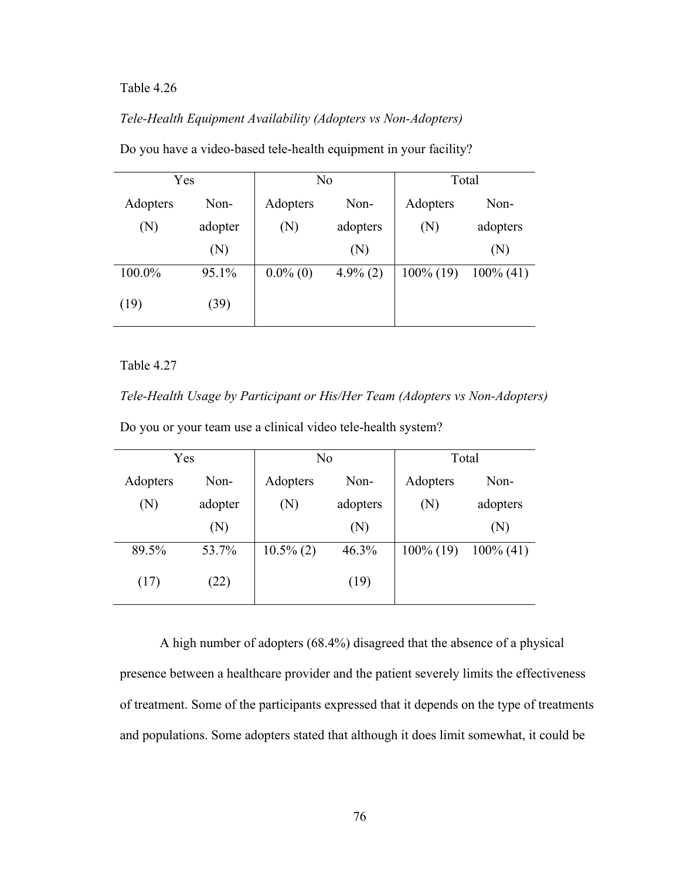## *Tele-Health Equipment Availability (Adopters vs Non-Adopters)*

| Yes      |         | N <sub>0</sub> |             | Total        |              |
|----------|---------|----------------|-------------|--------------|--------------|
| Adopters | Non-    | Adopters       | Non-        | Adopters     | Non-         |
| (N)      | adopter | (N)            | adopters    | (N)          | adopters     |
|          | (N)     |                | (N)         |              | (N)          |
| 100.0%   | 95.1%   | $0.0\%$ (0)    | $4.9\%$ (2) | $100\%$ (19) | $100\%$ (41) |
| (19)     | (39)    |                |             |              |              |

Do you have a video-based tele-health equipment in your facility?

### Table 4.27

*Tele-Health Usage by Participant or His/Her Team (Adopters vs Non-Adopters)*

| Yes      |         | N <sub>0</sub> |          | Total        |              |  |
|----------|---------|----------------|----------|--------------|--------------|--|
| Adopters | Non-    | Adopters       | Non-     | Adopters     | Non-         |  |
| (N)      | adopter | (N)            | adopters | (N)          | adopters     |  |
|          | (N)     |                | (N)      |              | (N)          |  |
| 89.5%    | 53.7%   | $10.5\%$ (2)   | 46.3%    | $100\%$ (19) | $100\%$ (41) |  |
| (17)     | (22)    |                | (19)     |              |              |  |

Do you or your team use a clinical video tele-health system?

A high number of adopters (68.4%) disagreed that the absence of a physical presence between a healthcare provider and the patient severely limits the effectiveness of treatment. Some of the participants expressed that it depends on the type of treatments and populations. Some adopters stated that although it does limit somewhat, it could be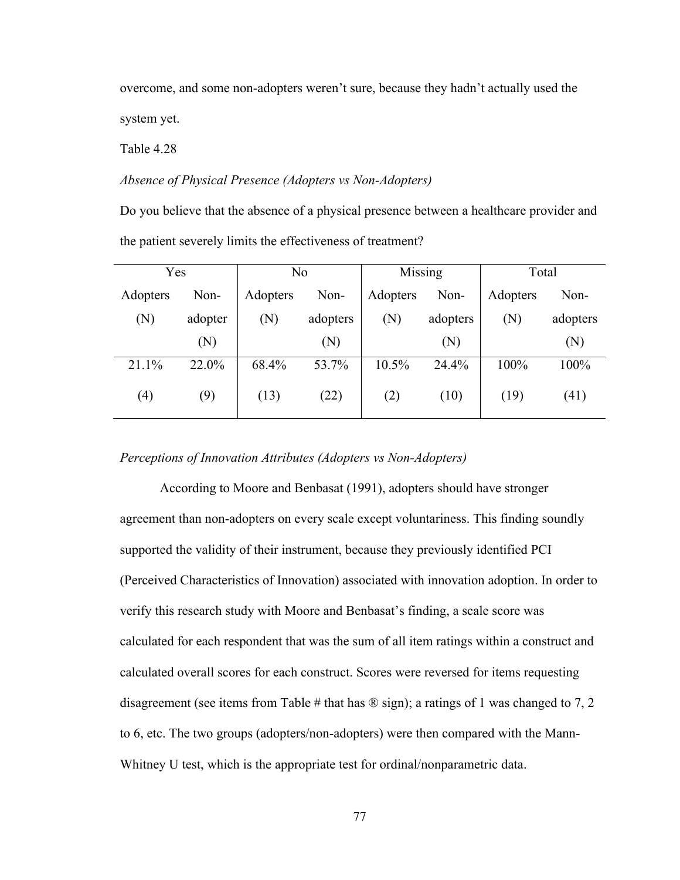overcome, and some non-adopters weren't sure, because they hadn't actually used the system yet.

Table 4.28

#### *Absence of Physical Presence (Adopters vs Non-Adopters)*

Do you believe that the absence of a physical presence between a healthcare provider and the patient severely limits the effectiveness of treatment?

| Yes      |         | N <sub>0</sub> |          | Missing  |          | Total    |          |
|----------|---------|----------------|----------|----------|----------|----------|----------|
| Adopters | Non-    | Adopters       | Non-     | Adopters | Non-     | Adopters | Non-     |
| (N)      | adopter | (N)            | adopters | (N)      | adopters | (N)      | adopters |
|          | (N)     |                | (N)      |          | (N)      |          | (N)      |
| 21.1%    | 22.0%   | 68.4%          | 53.7%    | 10.5%    | 24.4%    | 100%     | 100%     |
| (4)      | (9)     | (13)           | (22)     | (2)      | (10)     | (19)     | (41)     |

#### *Perceptions of Innovation Attributes (Adopters vs Non-Adopters)*

According to Moore and Benbasat (1991), adopters should have stronger agreement than non-adopters on every scale except voluntariness. This finding soundly supported the validity of their instrument, because they previously identified PCI (Perceived Characteristics of Innovation) associated with innovation adoption. In order to verify this research study with Moore and Benbasat's finding, a scale score was calculated for each respondent that was the sum of all item ratings within a construct and calculated overall scores for each construct. Scores were reversed for items requesting disagreement (see items from Table # that has  $\mathbb{R}$  sign); a ratings of 1 was changed to 7, 2 to 6, etc. The two groups (adopters/non-adopters) were then compared with the Mann-Whitney U test, which is the appropriate test for ordinal/nonparametric data.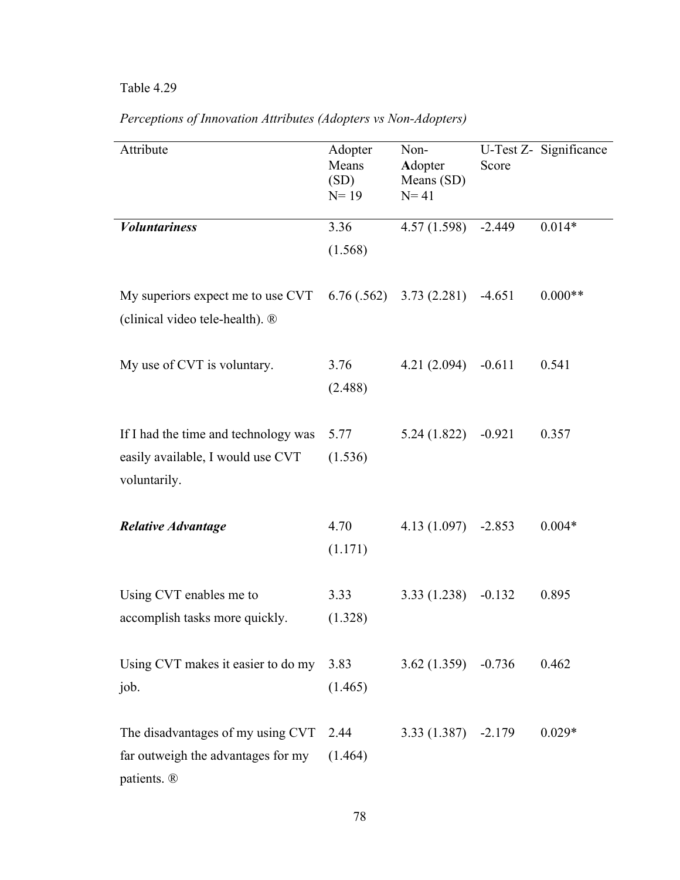| Attribute                                                                                 | Adopter<br>Means<br>(SD)<br>$N = 19$ | Non-<br>Adopter<br>Means (SD)<br>$N = 41$ | Score    | U-Test Z- Significance |
|-------------------------------------------------------------------------------------------|--------------------------------------|-------------------------------------------|----------|------------------------|
| <b>Voluntariness</b>                                                                      | 3.36<br>(1.568)                      | 4.57(1.598)                               | $-2.449$ | $0.014*$               |
| My superiors expect me to use CVT<br>(clinical video tele-health). ®                      |                                      | $6.76(.562)$ $3.73(2.281)$                | $-4.651$ | $0.000**$              |
| My use of CVT is voluntary.                                                               | 3.76<br>(2.488)                      | 4.21(2.094)                               | $-0.611$ | 0.541                  |
| If I had the time and technology was<br>easily available, I would use CVT<br>voluntarily. | 5.77<br>(1.536)                      | 5.24(1.822)                               | $-0.921$ | 0.357                  |
| <b>Relative Advantage</b>                                                                 | 4.70<br>(1.171)                      | 4.13(1.097)                               | $-2.853$ | $0.004*$               |
| Using CVT enables me to<br>accomplish tasks more quickly.                                 | 3.33<br>(1.328)                      | 3.33(1.238)                               | $-0.132$ | 0.895                  |
| Using CVT makes it easier to do my<br>job.                                                | 3.83<br>(1.465)                      | $3.62(1.359) -0.736$                      |          | 0.462                  |
| The disadvantages of my using CVT<br>far outweigh the advantages for my<br>patients. ®    | 2.44<br>(1.464)                      | $3.33(1.387) -2.179$                      |          | $0.029*$               |

*Perceptions of Innovation Attributes (Adopters vs Non-Adopters)*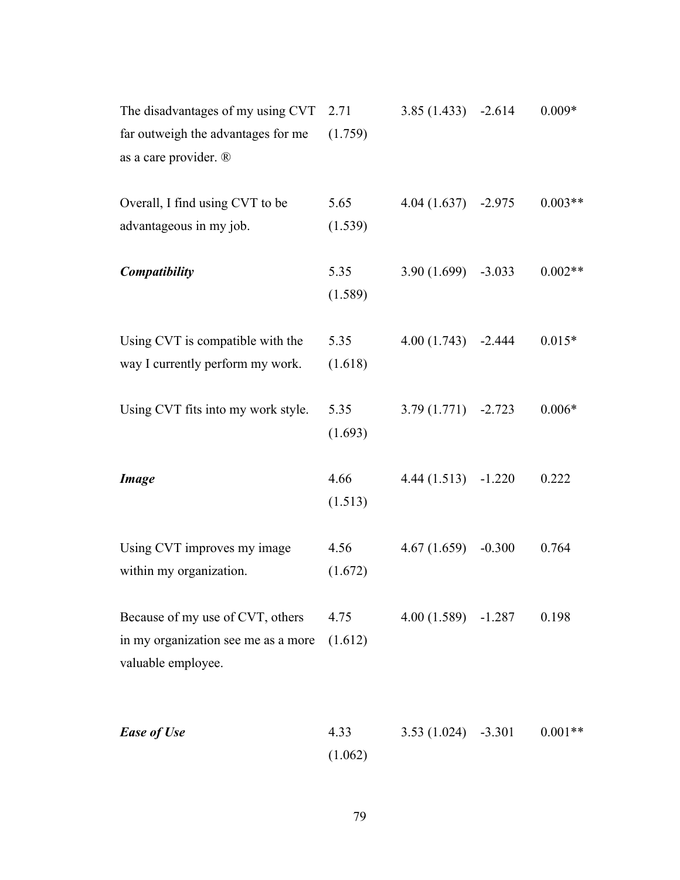| The disadvantages of my using $CVT$ 2.71                                                      |                 | $3.85(1.433) -2.614$ |          | $0.009*$  |
|-----------------------------------------------------------------------------------------------|-----------------|----------------------|----------|-----------|
| far outweigh the advantages for me<br>as a care provider. ®                                   | (1.759)         |                      |          |           |
| Overall, I find using CVT to be<br>advantageous in my job.                                    | 5.65<br>(1.539) | $4.04(1.637)$ -2.975 |          | $0.003**$ |
| <b>Compatibility</b>                                                                          | 5.35<br>(1.589) | $3.90(1.699) -3.033$ |          | $0.002**$ |
| Using CVT is compatible with the<br>way I currently perform my work.                          | 5.35<br>(1.618) | $4.00(1.743) -2.444$ |          | $0.015*$  |
| Using CVT fits into my work style.                                                            | 5.35<br>(1.693) | $3.79(1.771) -2.723$ |          | $0.006*$  |
| <b>Image</b>                                                                                  | 4.66<br>(1.513) | $4.44(1.513) -1.220$ |          | 0.222     |
| Using CVT improves my image<br>within my organization.                                        | 4.56<br>(1.672) | 4.67(1.659)          | $-0.300$ | 0.764     |
| Because of my use of CVT, others<br>in my organization see me as a more<br>valuable employee. | 4.75<br>(1.612) | $4.00(1.589) -1.287$ |          | 0.198     |
| <b>Ease of Use</b>                                                                            | 4.33<br>(1.062) | $3.53(1.024) -3.301$ |          | $0.001**$ |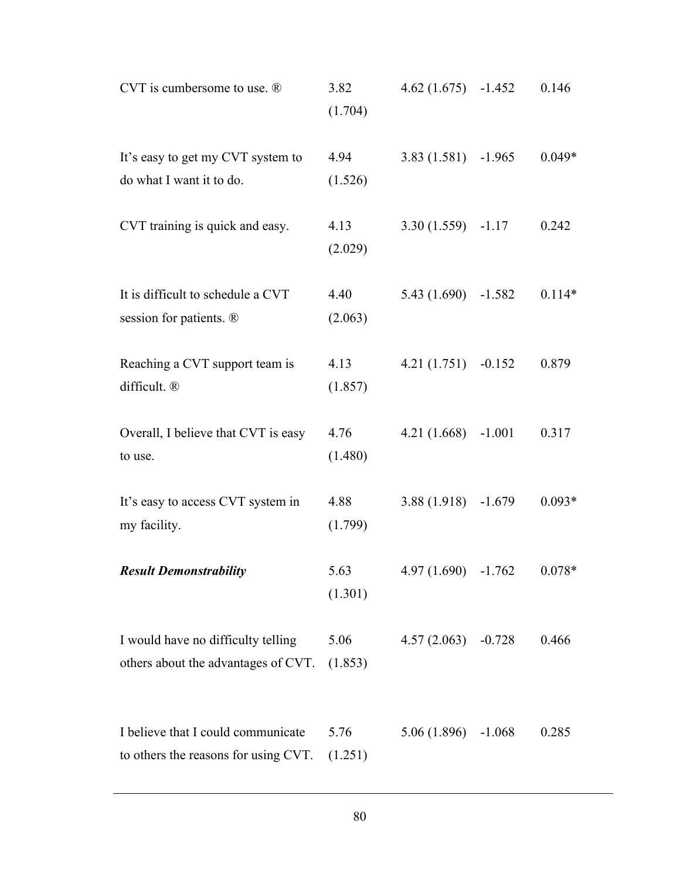| CVT is cumbersome to use. $\mathbb{R}$                                     | 3.82<br>(1.704) | $4.62(1.675) -1.452$ |          | 0.146    |
|----------------------------------------------------------------------------|-----------------|----------------------|----------|----------|
| It's easy to get my CVT system to<br>do what I want it to do.              | 4.94<br>(1.526) | $3.83(1.581) -1.965$ |          | $0.049*$ |
| CVT training is quick and easy.                                            | 4.13<br>(2.029) | $3.30(1.559) -1.17$  |          | 0.242    |
| It is difficult to schedule a CVT<br>session for patients. ®               | 4.40<br>(2.063) | $5.43(1.690) -1.582$ |          | $0.114*$ |
| Reaching a CVT support team is<br>difficult. ®                             | 4.13<br>(1.857) | $4.21(1.751) -0.152$ |          | 0.879    |
| Overall, I believe that CVT is easy<br>to use.                             | 4.76<br>(1.480) | 4.21(1.668)          | $-1.001$ | 0.317    |
| It's easy to access CVT system in<br>my facility.                          | 4.88<br>(1.799) | 3.88(1.918)          | $-1.679$ | $0.093*$ |
| <b>Result Demonstrability</b>                                              | 5.63<br>(1.301) | 4.97(1.690)          | $-1.762$ | $0.078*$ |
| I would have no difficulty telling<br>others about the advantages of CVT.  | 5.06<br>(1.853) | 4.57(2.063)          | $-0.728$ | 0.466    |
| I believe that I could communicate<br>to others the reasons for using CVT. | 5.76<br>(1.251) | 5.06 (1.896)         | $-1.068$ | 0.285    |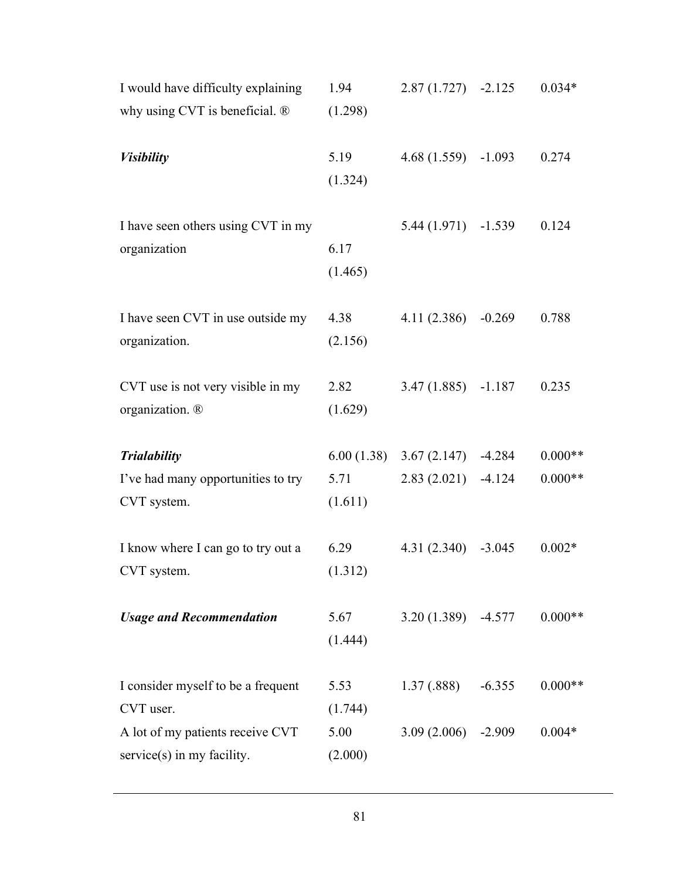| I would have difficulty explaining<br>why using CVT is beneficial. ® | 1.94<br>(1.298) | $2.87(1.727)$ -2.125       |          | $0.034*$  |
|----------------------------------------------------------------------|-----------------|----------------------------|----------|-----------|
| <b>Visibility</b>                                                    | 5.19<br>(1.324) | $4.68(1.559) -1.093$       |          | 0.274     |
| I have seen others using CVT in my<br>organization                   | 6.17<br>(1.465) | $5.44(1.971) -1.539$       |          | 0.124     |
| I have seen CVT in use outside my<br>organization.                   | 4.38<br>(2.156) | $4.11(2.386) -0.269$       |          | 0.788     |
| CVT use is not very visible in my<br>organization. ®                 | 2.82<br>(1.629) | $3.47(1.885) -1.187$       |          | 0.235     |
| Trialability                                                         |                 | $6.00(1.38)$ $3.67(2.147)$ | $-4.284$ | $0.000**$ |
| I've had many opportunities to try<br>CVT system.                    | 5.71<br>(1.611) | 2.83(2.021)                | $-4.124$ | $0.000**$ |
| I know where I can go to try out a<br>CVT system.                    | 6.29<br>(1.312) | 4.31(2.340)                | $-3.045$ | $0.002*$  |
| <b>Usage and Recommendation</b>                                      | 5.67<br>(1.444) | $3.20(1.389)$ -4.577       |          | $0.000**$ |
| I consider myself to be a frequent<br>CVT user.                      | 5.53<br>(1.744) | 1.37(0.888)                | $-6.355$ | $0.000**$ |
| A lot of my patients receive CVT<br>$s$ ervice $(s)$ in my facility. | 5.00<br>(2.000) | 3.09(2.006)                | $-2.909$ | $0.004*$  |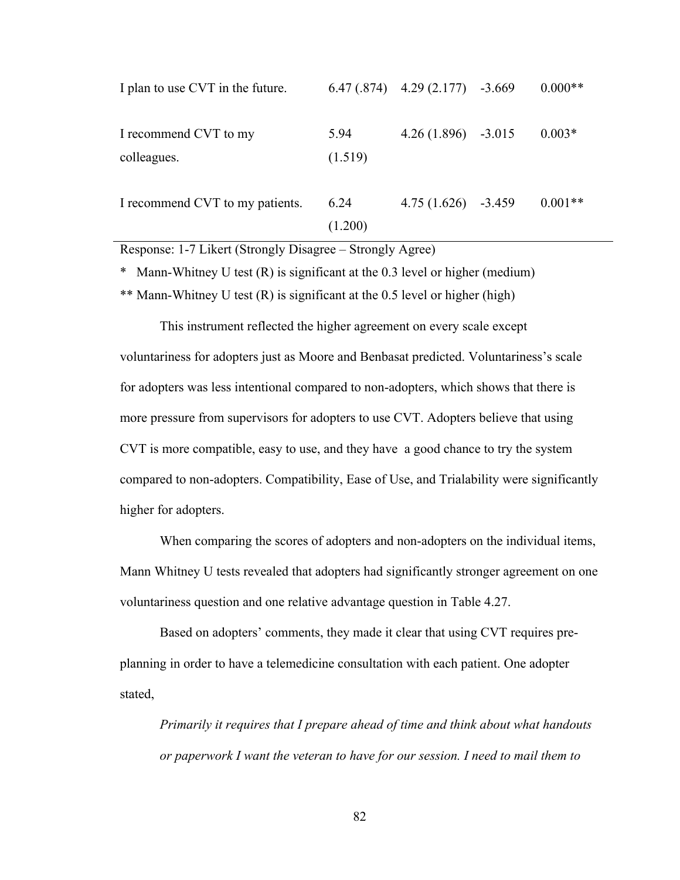| I plan to use CVT in the future.     |                 | $6.47(.874)$ $4.29(2.177)$ $-3.669$ | $0.000**$ |
|--------------------------------------|-----------------|-------------------------------------|-----------|
| I recommend CVT to my<br>colleagues. | 5.94<br>(1.519) | $4.26(1.896) -3.015$                | $0.003*$  |
| I recommend CVT to my patients.      | 6.24<br>(1.200) | $4.75(1.626) -3.459$                | $0.001**$ |

Response: 1-7 Likert (Strongly Disagree – Strongly Agree)

\* Mann-Whitney U test (R) is significant at the 0.3 level or higher (medium)

\*\* Mann-Whitney U test (R) is significant at the 0.5 level or higher (high)

This instrument reflected the higher agreement on every scale except voluntariness for adopters just as Moore and Benbasat predicted. Voluntariness's scale for adopters was less intentional compared to non-adopters, which shows that there is more pressure from supervisors for adopters to use CVT. Adopters believe that using CVT is more compatible, easy to use, and they have a good chance to try the system compared to non-adopters. Compatibility, Ease of Use, and Trialability were significantly higher for adopters.

When comparing the scores of adopters and non-adopters on the individual items, Mann Whitney U tests revealed that adopters had significantly stronger agreement on one voluntariness question and one relative advantage question in Table 4.27.

Based on adopters' comments, they made it clear that using CVT requires preplanning in order to have a telemedicine consultation with each patient. One adopter stated,

*Primarily it requires that I prepare ahead of time and think about what handouts or paperwork I want the veteran to have for our session. I need to mail them to*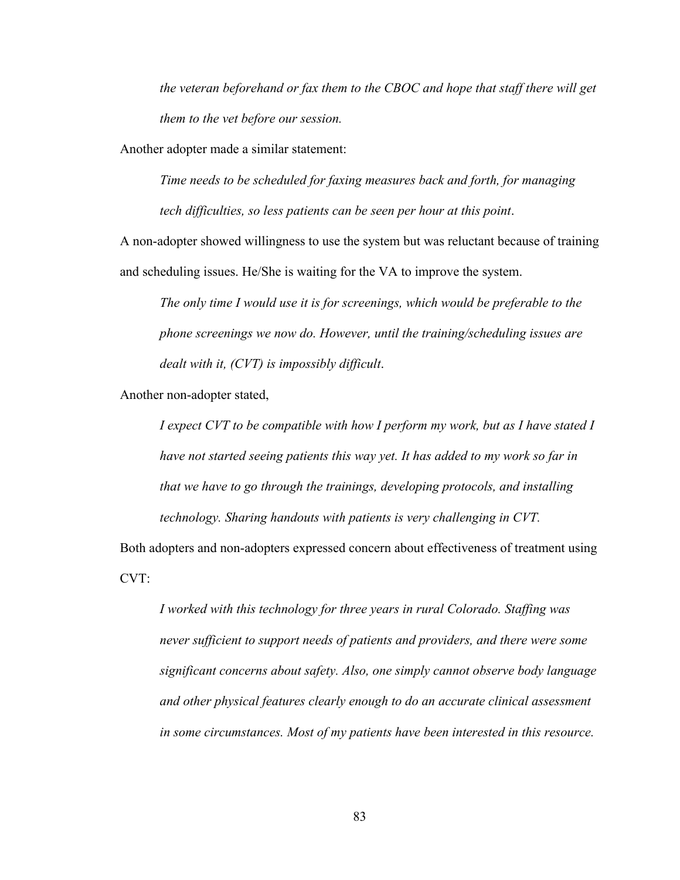*the veteran beforehand or fax them to the CBOC and hope that staff there will get them to the vet before our session.*

Another adopter made a similar statement:

*Time needs to be scheduled for faxing measures back and forth, for managing tech difficulties, so less patients can be seen per hour at this point*.

A non-adopter showed willingness to use the system but was reluctant because of training and scheduling issues. He/She is waiting for the VA to improve the system.

*The only time I would use it is for screenings, which would be preferable to the phone screenings we now do. However, until the training/scheduling issues are dealt with it, (CVT) is impossibly difficult*.

Another non-adopter stated,

*I expect CVT to be compatible with how I perform my work, but as I have stated I have not started seeing patients this way yet. It has added to my work so far in that we have to go through the trainings, developing protocols, and installing technology. Sharing handouts with patients is very challenging in CVT.*

Both adopters and non-adopters expressed concern about effectiveness of treatment using CVT:

*I worked with this technology for three years in rural Colorado. Staffing was never sufficient to support needs of patients and providers, and there were some significant concerns about safety. Also, one simply cannot observe body language and other physical features clearly enough to do an accurate clinical assessment in some circumstances. Most of my patients have been interested in this resource.*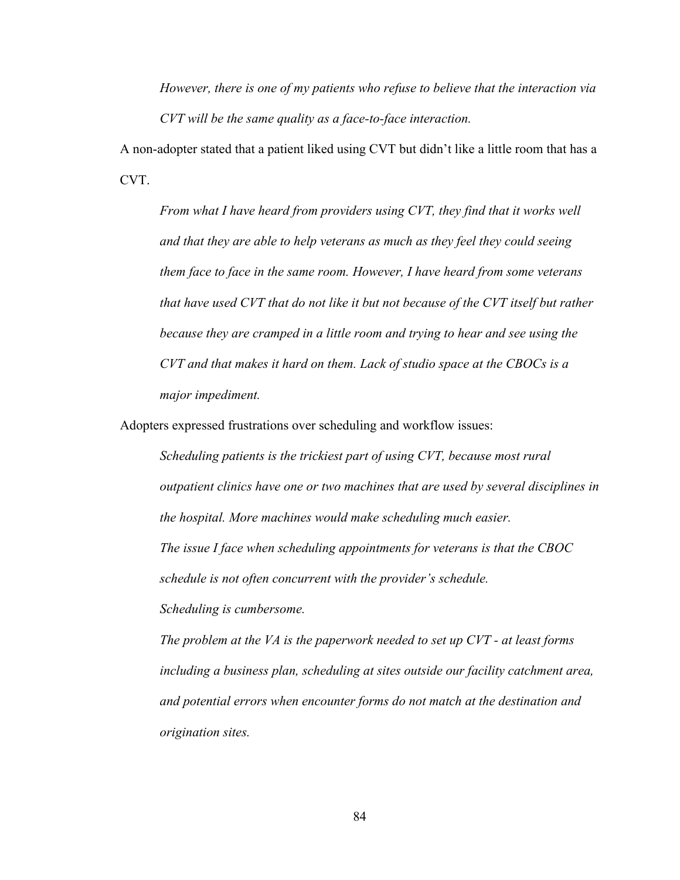*However, there is one of my patients who refuse to believe that the interaction via CVT will be the same quality as a face-to-face interaction.*

A non-adopter stated that a patient liked using CVT but didn't like a little room that has a CVT.

*From what I have heard from providers using CVT, they find that it works well and that they are able to help veterans as much as they feel they could seeing them face to face in the same room. However, I have heard from some veterans that have used CVT that do not like it but not because of the CVT itself but rather because they are cramped in a little room and trying to hear and see using the CVT and that makes it hard on them. Lack of studio space at the CBOCs is a major impediment.*

Adopters expressed frustrations over scheduling and workflow issues:

*Scheduling patients is the trickiest part of using CVT, because most rural outpatient clinics have one or two machines that are used by several disciplines in the hospital. More machines would make scheduling much easier. The issue I face when scheduling appointments for veterans is that the CBOC schedule is not often concurrent with the provider's schedule. Scheduling is cumbersome.*

*The problem at the VA is the paperwork needed to set up CVT - at least forms including a business plan, scheduling at sites outside our facility catchment area, and potential errors when encounter forms do not match at the destination and origination sites.*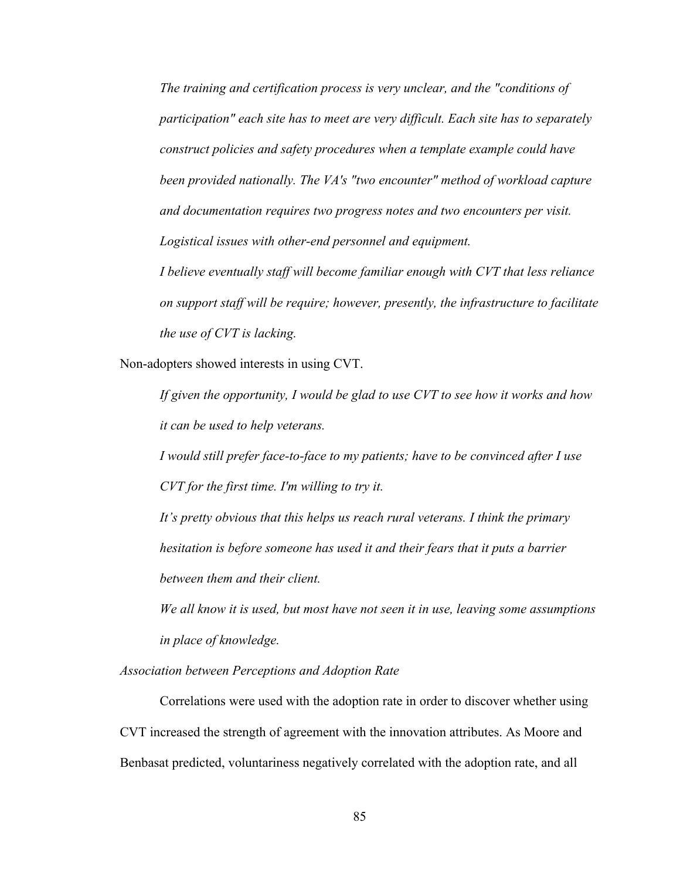*The training and certification process is very unclear, and the "conditions of participation" each site has to meet are very difficult. Each site has to separately construct policies and safety procedures when a template example could have been provided nationally. The VA's "two encounter" method of workload capture and documentation requires two progress notes and two encounters per visit. Logistical issues with other-end personnel and equipment.*

*I believe eventually staff will become familiar enough with CVT that less reliance on support staff will be require; however, presently, the infrastructure to facilitate the use of CVT is lacking.*

Non-adopters showed interests in using CVT.

*If given the opportunity, I would be glad to use CVT to see how it works and how it can be used to help veterans.*

*I would still prefer face-to-face to my patients; have to be convinced after I use CVT for the first time. I'm willing to try it.*

*It's pretty obvious that this helps us reach rural veterans. I think the primary hesitation is before someone has used it and their fears that it puts a barrier between them and their client.*

*We all know it is used, but most have not seen it in use, leaving some assumptions in place of knowledge.*

*Association between Perceptions and Adoption Rate* 

Correlations were used with the adoption rate in order to discover whether using CVT increased the strength of agreement with the innovation attributes. As Moore and Benbasat predicted, voluntariness negatively correlated with the adoption rate, and all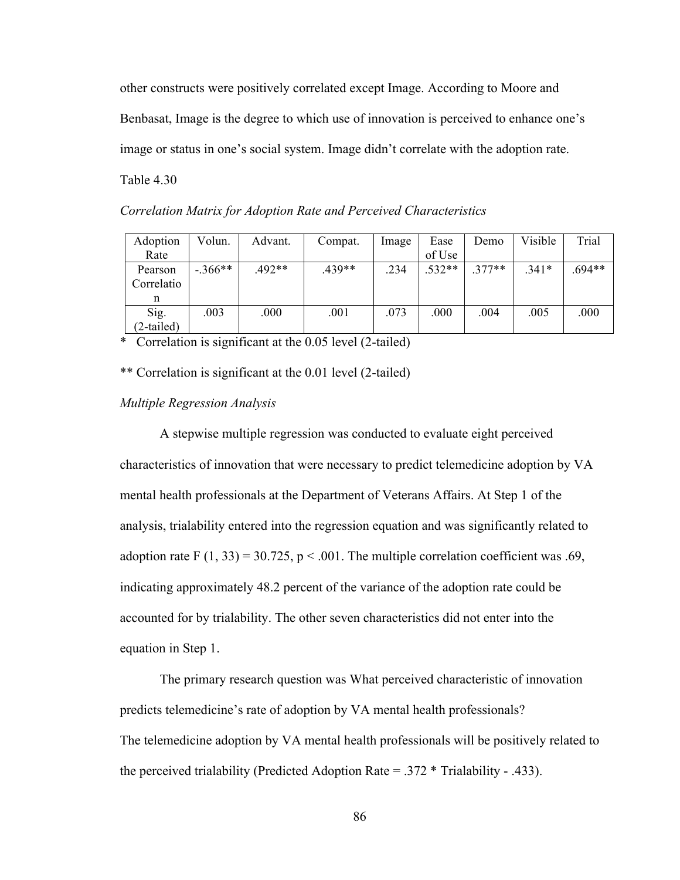other constructs were positively correlated except Image. According to Moore and Benbasat, Image is the degree to which use of innovation is perceived to enhance one's image or status in one's social system. Image didn't correlate with the adoption rate.

Table 4.30

*Correlation Matrix for Adoption Rate and Perceived Characteristics* 

| Adoption   | Volun.    | Advant. | Compat. | Image | Ease     | Demo     | Visible | Trial  |
|------------|-----------|---------|---------|-------|----------|----------|---------|--------|
| Rate       |           |         |         |       | of Use   |          |         |        |
| Pearson    | $-.366**$ | .492**  | .439**  | .234  | $.532**$ | $.377**$ | $.341*$ | .694** |
| Correlatio |           |         |         |       |          |          |         |        |
| n          |           |         |         |       |          |          |         |        |
| Sig.       | .003      | .000    | .001    | .073  | .000     | .004     | .005    | .000   |
| (2-tailed) |           |         |         |       |          |          |         |        |

\* Correlation is significant at the 0.05 level (2-tailed)

\*\* Correlation is significant at the 0.01 level (2-tailed)

## *Multiple Regression Analysis*

A stepwise multiple regression was conducted to evaluate eight perceived characteristics of innovation that were necessary to predict telemedicine adoption by VA mental health professionals at the Department of Veterans Affairs. At Step 1 of the analysis, trialability entered into the regression equation and was significantly related to adoption rate F (1, 33) = 30.725, p < .001. The multiple correlation coefficient was .69, indicating approximately 48.2 percent of the variance of the adoption rate could be accounted for by trialability. The other seven characteristics did not enter into the equation in Step 1.

The primary research question was What perceived characteristic of innovation predicts telemedicine's rate of adoption by VA mental health professionals? The telemedicine adoption by VA mental health professionals will be positively related to the perceived trialability (Predicted Adoption Rate  $= .372 *$  Trialability - .433).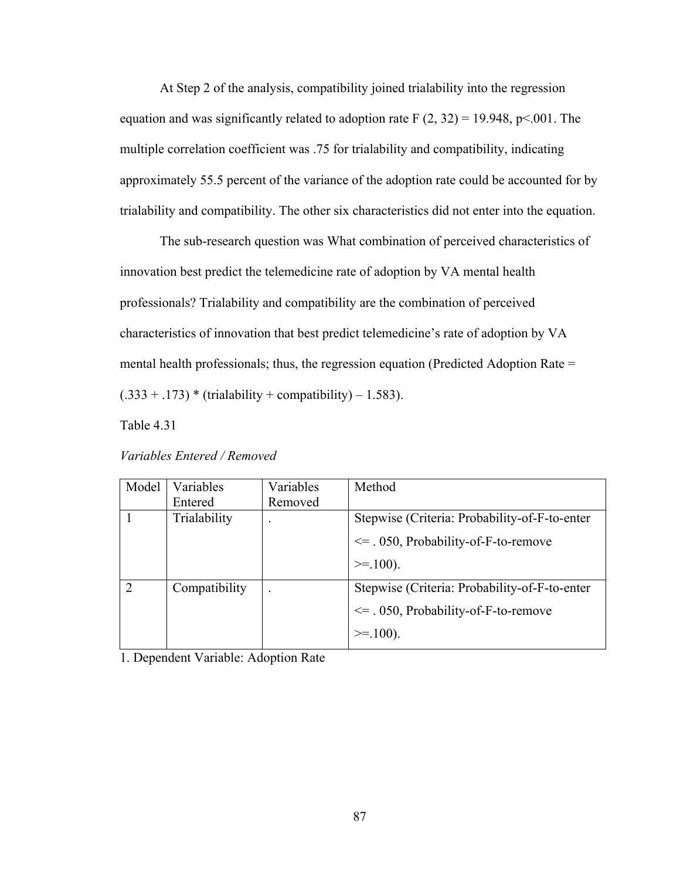At Step 2 of the analysis, compatibility joined trialability into the regression equation and was significantly related to adoption rate  $F(2, 32) = 19.948$ , p<.001. The multiple correlation coefficient was .75 for trialability and compatibility, indicating approximately 55.5 percent of the variance of the adoption rate could be accounted for by trialability and compatibility. The other six characteristics did not enter into the equation.

The sub-research question was What combination of perceived characteristics of innovation best predict the telemedicine rate of adoption by VA mental health professionals? Trialability and compatibility are the combination of perceived characteristics of innovation that best predict telemedicine's rate of adoption by VA mental health professionals; thus, the regression equation (Predicted Adoption Rate =  $(.333 + .173) * (trialability + compatibility) - 1.583).$ 

Table 4.31

| Model | Variables     | Variables | Method                                        |
|-------|---------------|-----------|-----------------------------------------------|
|       | Entered       | Removed   |                                               |
|       | Trialability  |           | Stepwise (Criteria: Probability-of-F-to-enter |
|       |               |           | $\leq$ . 050, Probability-of-F-to-remove      |
|       |               |           | $\geq 100$ ).                                 |
|       | Compatibility |           | Stepwise (Criteria: Probability-of-F-to-enter |
|       |               |           | $\leq$ 0.50, Probability-of-F-to-remove       |
|       |               |           | $\geq 100$ ).                                 |

1. Dependent Variable: Adoption Rate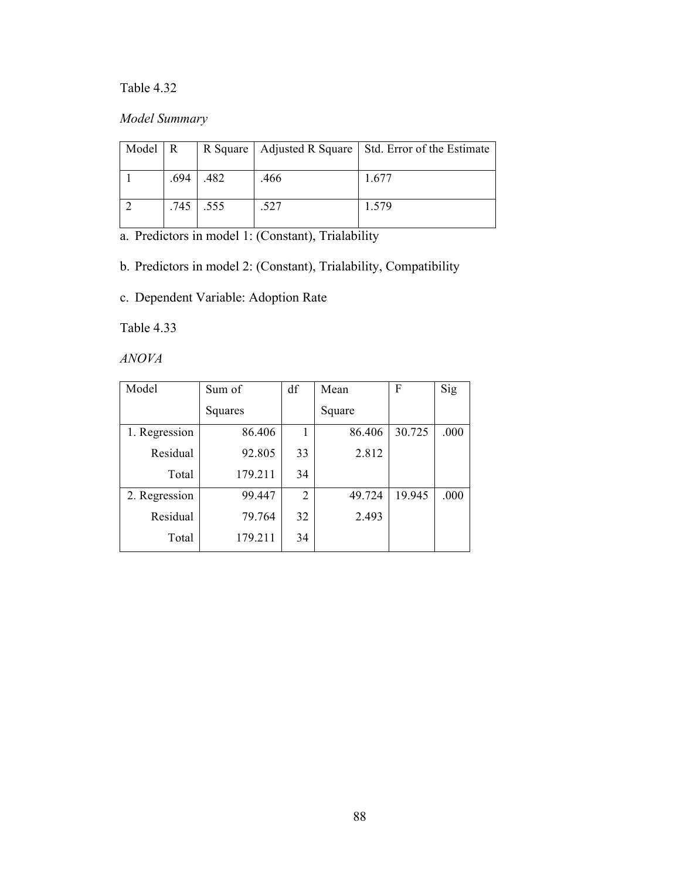## *Model Summary*

| Model R |      |      |      | R Square   Adjusted R Square   Std. Error of the Estimate |
|---------|------|------|------|-----------------------------------------------------------|
|         | .694 | .482 | .466 | 1.677                                                     |
|         | .745 | .555 | .527 | 1.579                                                     |

a. Predictors in model 1: (Constant), Trialability

b. Predictors in model 2: (Constant), Trialability, Compatibility

c. Dependent Variable: Adoption Rate

Table 4.33

*ANOVA*

| Model         | Sum of  | df | Mean   | F      | Sig  |
|---------------|---------|----|--------|--------|------|
|               | Squares |    | Square |        |      |
| 1. Regression | 86.406  |    | 86.406 | 30.725 | .000 |
| Residual      | 92.805  | 33 | 2.812  |        |      |
| Total         | 179.211 | 34 |        |        |      |
| 2. Regression | 99.447  | 2  | 49.724 | 19.945 | .000 |
| Residual      | 79.764  | 32 | 2.493  |        |      |
| Total         | 179.211 | 34 |        |        |      |
|               |         |    |        |        |      |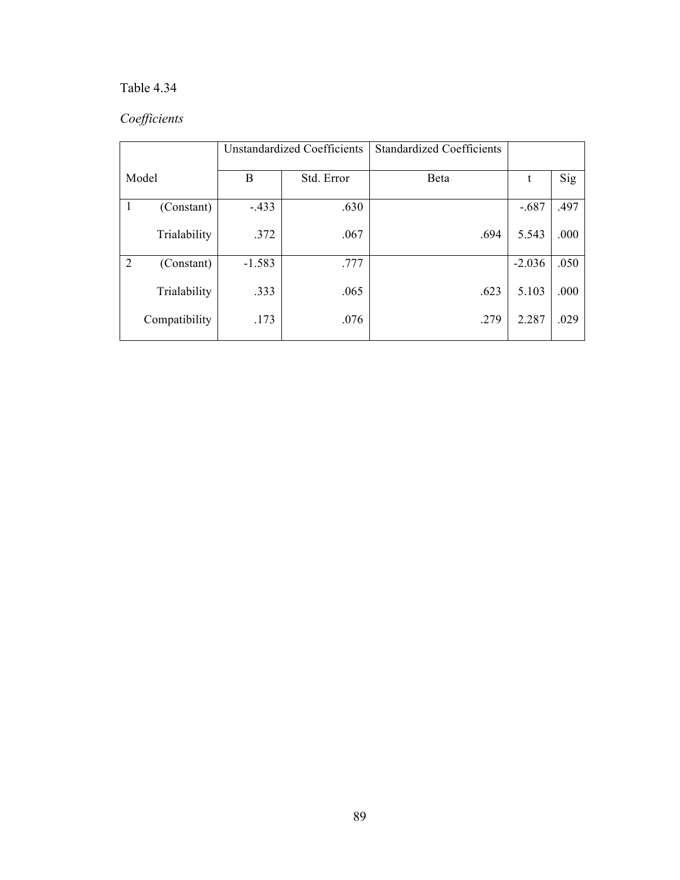# *Coefficients*

|                |               | <b>Unstandardized Coefficients</b> |            | <b>Standardized Coefficients</b> |          |      |
|----------------|---------------|------------------------------------|------------|----------------------------------|----------|------|
| Model          |               | B                                  | Std. Error | Beta                             | t        | Sig  |
|                | (Constant)    | $-.433$                            | .630       |                                  | $-.687$  | .497 |
|                | Trialability  | .372                               | .067       | .694                             | 5.543    | .000 |
| $\overline{2}$ | (Constant)    | $-1.583$                           | .777       |                                  | $-2.036$ | .050 |
|                | Trialability  | .333                               | .065       | .623                             | 5.103    | .000 |
|                | Compatibility | .173                               | .076       | .279                             | 2.287    | .029 |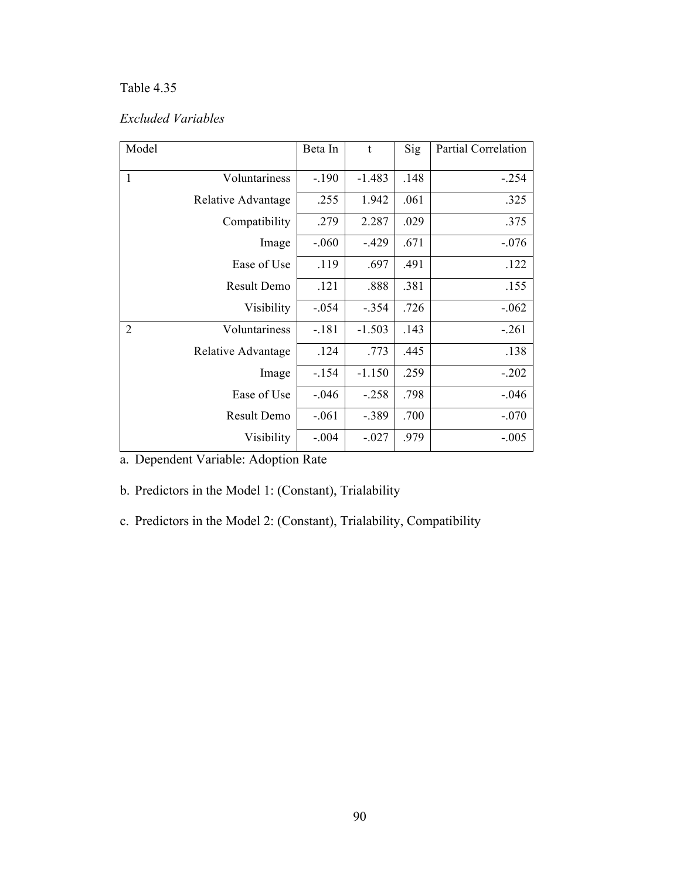## *Excluded Variables*

| Model          |                    | Beta In | $\mathbf t$ | Sig  | Partial Correlation |
|----------------|--------------------|---------|-------------|------|---------------------|
|                |                    | $-.190$ |             |      |                     |
| $\mathbf{1}$   | Voluntariness      |         | $-1.483$    | .148 | $-.254$             |
|                | Relative Advantage | .255    | 1.942       | .061 | .325                |
|                | Compatibility      | .279    | 2.287       | .029 | .375                |
|                | Image              | $-.060$ | $-.429$     | .671 | $-.076$             |
|                | Ease of Use        | .119    | .697        | .491 | .122                |
|                | Result Demo        | .121    | .888        | .381 | .155                |
|                | Visibility         | $-.054$ | $-.354$     | .726 | $-.062$             |
| $\overline{2}$ | Voluntariness      | $-.181$ | $-1.503$    | .143 | $-.261$             |
|                | Relative Advantage | .124    | .773        | .445 | .138                |
|                | Image              | $-.154$ | $-1.150$    | .259 | $-.202$             |
|                | Ease of Use        | $-.046$ | $-.258$     | .798 | $-.046$             |
|                | Result Demo        | $-.061$ | $-.389$     | .700 | $-.070$             |
|                | Visibility         | $-.004$ | $-.027$     | .979 | $-.005$             |

a. Dependent Variable: Adoption Rate

- b. Predictors in the Model 1: (Constant), Trialability
- c. Predictors in the Model 2: (Constant), Trialability, Compatibility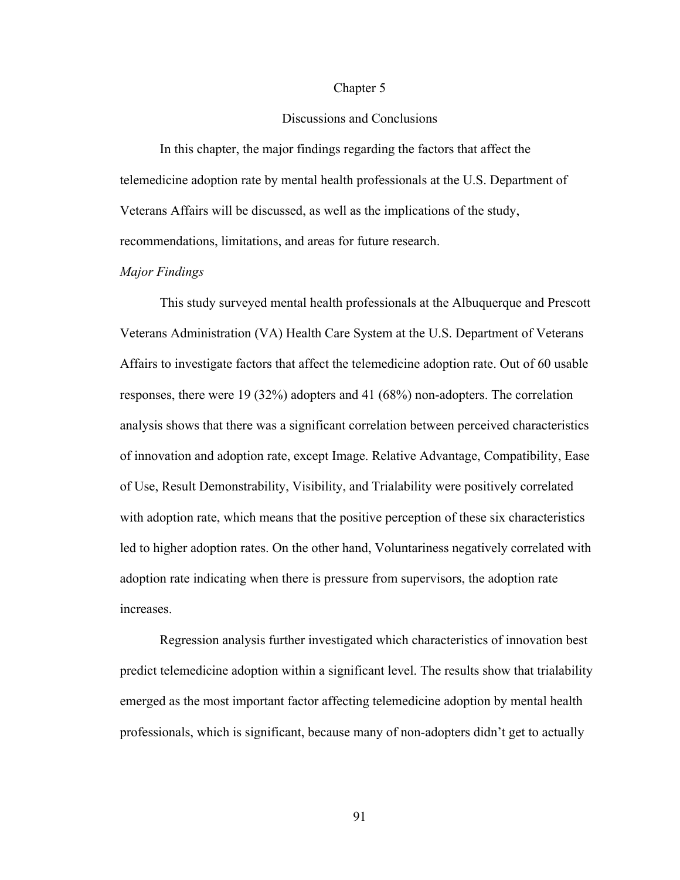#### Chapter 5

## Discussions and Conclusions

In this chapter, the major findings regarding the factors that affect the telemedicine adoption rate by mental health professionals at the U.S. Department of Veterans Affairs will be discussed, as well as the implications of the study, recommendations, limitations, and areas for future research.

### *Major Findings*

This study surveyed mental health professionals at the Albuquerque and Prescott Veterans Administration (VA) Health Care System at the U.S. Department of Veterans Affairs to investigate factors that affect the telemedicine adoption rate. Out of 60 usable responses, there were 19 (32%) adopters and 41 (68%) non-adopters. The correlation analysis shows that there was a significant correlation between perceived characteristics of innovation and adoption rate, except Image. Relative Advantage, Compatibility, Ease of Use, Result Demonstrability, Visibility, and Trialability were positively correlated with adoption rate, which means that the positive perception of these six characteristics led to higher adoption rates. On the other hand, Voluntariness negatively correlated with adoption rate indicating when there is pressure from supervisors, the adoption rate increases.

Regression analysis further investigated which characteristics of innovation best predict telemedicine adoption within a significant level. The results show that trialability emerged as the most important factor affecting telemedicine adoption by mental health professionals, which is significant, because many of non-adopters didn't get to actually

91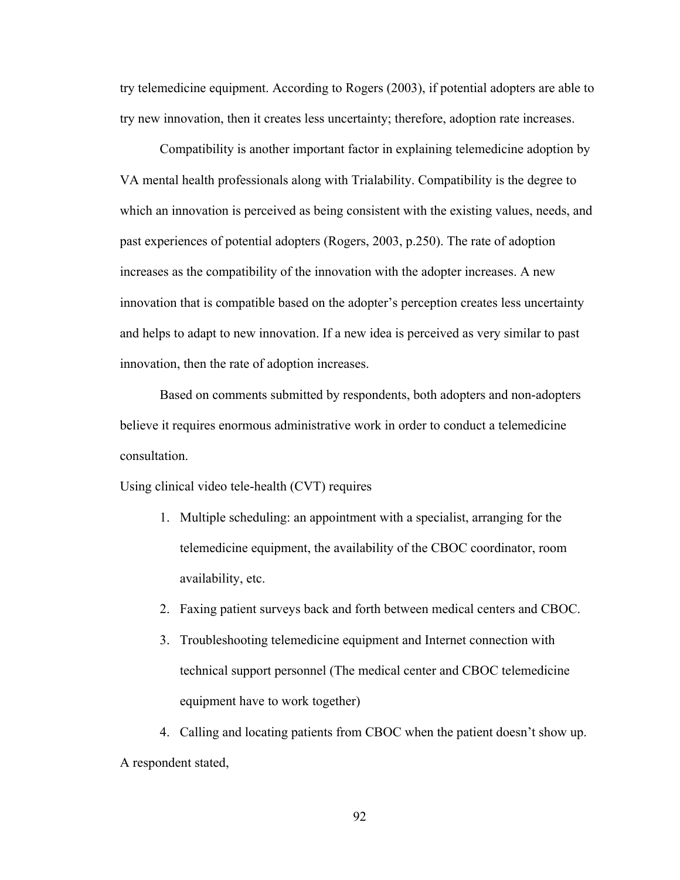try telemedicine equipment. According to Rogers (2003), if potential adopters are able to try new innovation, then it creates less uncertainty; therefore, adoption rate increases.

Compatibility is another important factor in explaining telemedicine adoption by VA mental health professionals along with Trialability. Compatibility is the degree to which an innovation is perceived as being consistent with the existing values, needs, and past experiences of potential adopters (Rogers, 2003, p.250). The rate of adoption increases as the compatibility of the innovation with the adopter increases. A new innovation that is compatible based on the adopter's perception creates less uncertainty and helps to adapt to new innovation. If a new idea is perceived as very similar to past innovation, then the rate of adoption increases.

Based on comments submitted by respondents, both adopters and non-adopters believe it requires enormous administrative work in order to conduct a telemedicine consultation.

Using clinical video tele-health (CVT) requires

- 1. Multiple scheduling: an appointment with a specialist, arranging for the telemedicine equipment, the availability of the CBOC coordinator, room availability, etc.
- 2. Faxing patient surveys back and forth between medical centers and CBOC.
- 3. Troubleshooting telemedicine equipment and Internet connection with technical support personnel (The medical center and CBOC telemedicine equipment have to work together)

4. Calling and locating patients from CBOC when the patient doesn't show up. A respondent stated,

92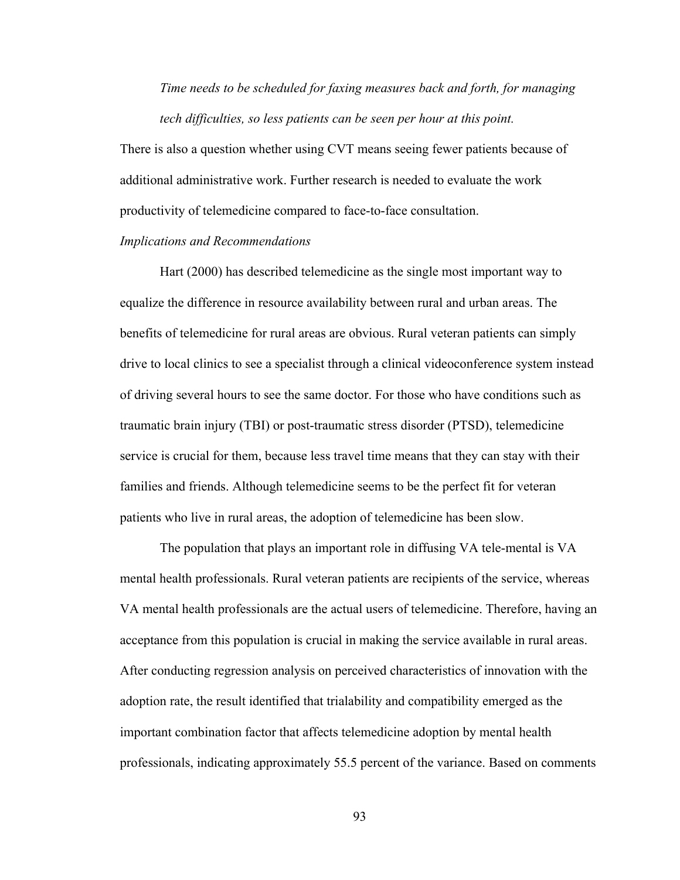*Time needs to be scheduled for faxing measures back and forth, for managing tech difficulties, so less patients can be seen per hour at this point.*

There is also a question whether using CVT means seeing fewer patients because of additional administrative work. Further research is needed to evaluate the work productivity of telemedicine compared to face-to-face consultation.

#### *Implications and Recommendations*

Hart (2000) has described telemedicine as the single most important way to equalize the difference in resource availability between rural and urban areas. The benefits of telemedicine for rural areas are obvious. Rural veteran patients can simply drive to local clinics to see a specialist through a clinical videoconference system instead of driving several hours to see the same doctor. For those who have conditions such as traumatic brain injury (TBI) or post-traumatic stress disorder (PTSD), telemedicine service is crucial for them, because less travel time means that they can stay with their families and friends. Although telemedicine seems to be the perfect fit for veteran patients who live in rural areas, the adoption of telemedicine has been slow.

The population that plays an important role in diffusing VA tele-mental is VA mental health professionals. Rural veteran patients are recipients of the service, whereas VA mental health professionals are the actual users of telemedicine. Therefore, having an acceptance from this population is crucial in making the service available in rural areas. After conducting regression analysis on perceived characteristics of innovation with the adoption rate, the result identified that trialability and compatibility emerged as the important combination factor that affects telemedicine adoption by mental health professionals, indicating approximately 55.5 percent of the variance. Based on comments

93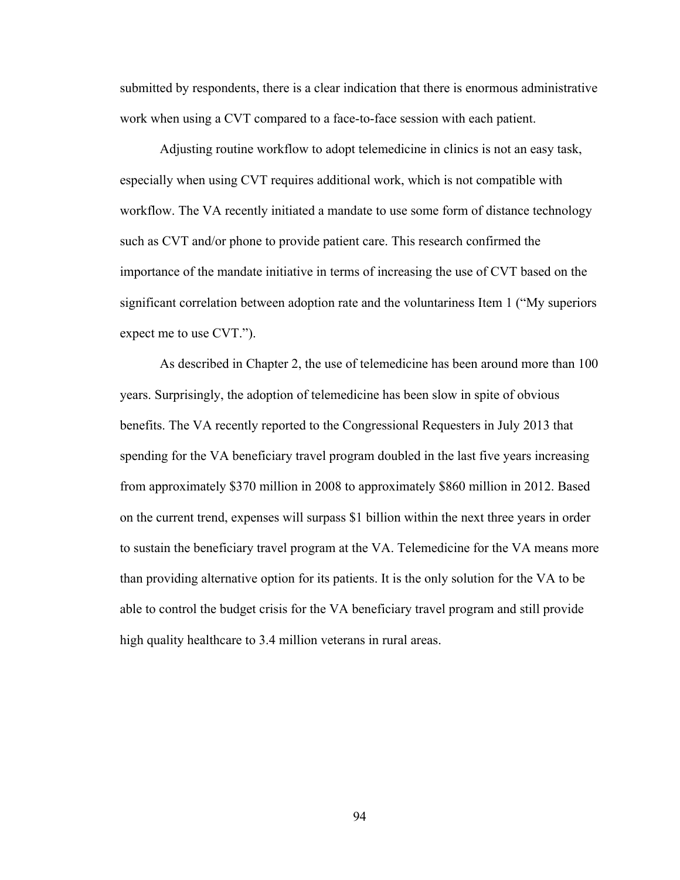submitted by respondents, there is a clear indication that there is enormous administrative work when using a CVT compared to a face-to-face session with each patient.

Adjusting routine workflow to adopt telemedicine in clinics is not an easy task, especially when using CVT requires additional work, which is not compatible with workflow. The VA recently initiated a mandate to use some form of distance technology such as CVT and/or phone to provide patient care. This research confirmed the importance of the mandate initiative in terms of increasing the use of CVT based on the significant correlation between adoption rate and the voluntariness Item 1 ("My superiors expect me to use CVT.").

As described in Chapter 2, the use of telemedicine has been around more than 100 years. Surprisingly, the adoption of telemedicine has been slow in spite of obvious benefits. The VA recently reported to the Congressional Requesters in July 2013 that spending for the VA beneficiary travel program doubled in the last five years increasing from approximately \$370 million in 2008 to approximately \$860 million in 2012. Based on the current trend, expenses will surpass \$1 billion within the next three years in order to sustain the beneficiary travel program at the VA. Telemedicine for the VA means more than providing alternative option for its patients. It is the only solution for the VA to be able to control the budget crisis for the VA beneficiary travel program and still provide high quality healthcare to 3.4 million veterans in rural areas.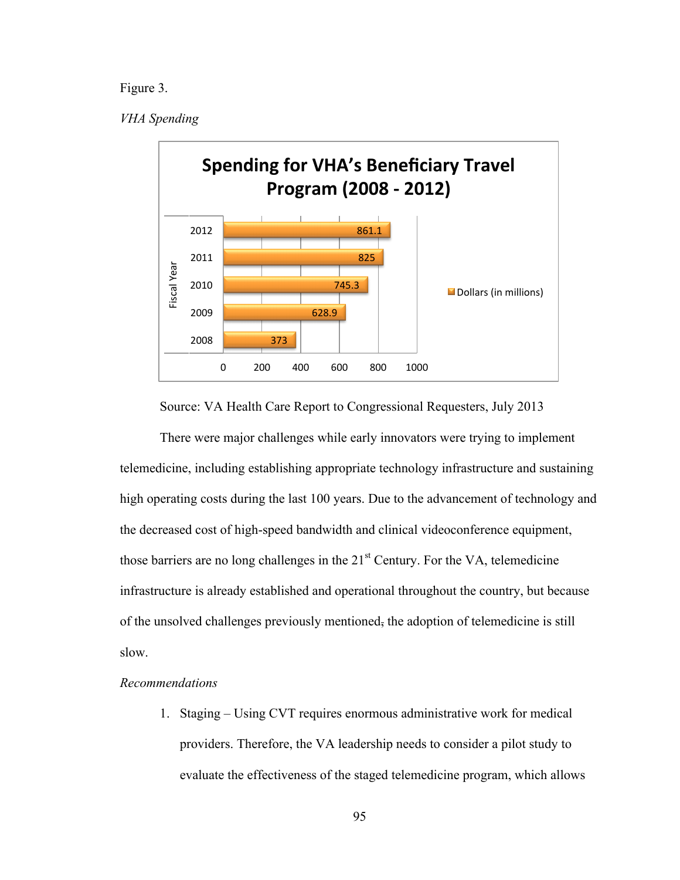### Figure 3.

### *VHA Spending*



Source: VA Health Care Report to Congressional Requesters, July 2013

There were major challenges while early innovators were trying to implement telemedicine, including establishing appropriate technology infrastructure and sustaining high operating costs during the last 100 years. Due to the advancement of technology and the decreased cost of high-speed bandwidth and clinical videoconference equipment, those barriers are no long challenges in the  $21<sup>st</sup>$  Century. For the VA, telemedicine infrastructure is already established and operational throughout the country, but because of the unsolved challenges previously mentioned, the adoption of telemedicine is still slow.

## *Recommendations*

1. Staging – Using CVT requires enormous administrative work for medical providers. Therefore, the VA leadership needs to consider a pilot study to evaluate the effectiveness of the staged telemedicine program, which allows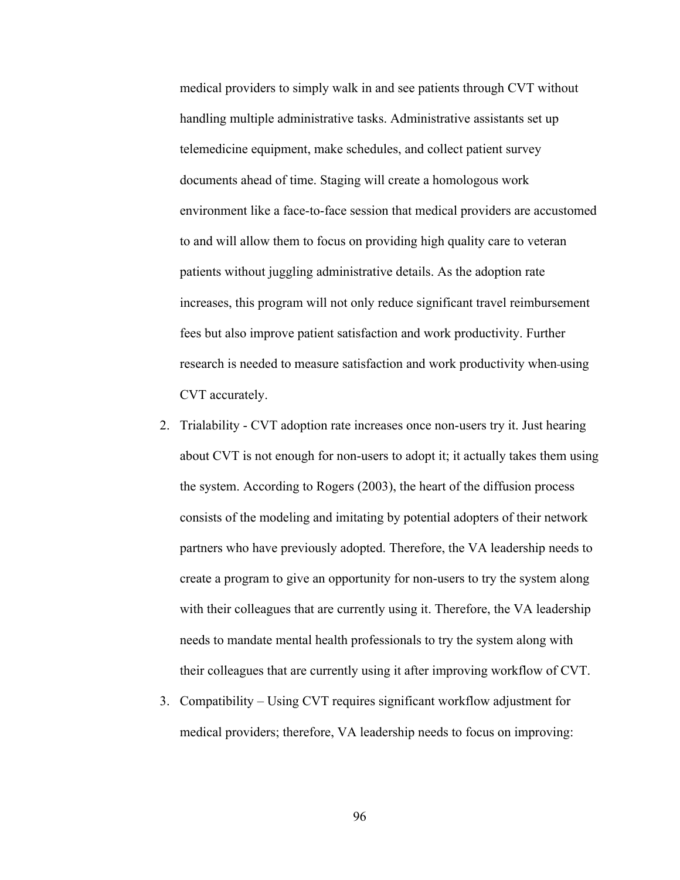medical providers to simply walk in and see patients through CVT without handling multiple administrative tasks. Administrative assistants set up telemedicine equipment, make schedules, and collect patient survey documents ahead of time. Staging will create a homologous work environment like a face-to-face session that medical providers are accustomed to and will allow them to focus on providing high quality care to veteran patients without juggling administrative details. As the adoption rate increases, this program will not only reduce significant travel reimbursement fees but also improve patient satisfaction and work productivity. Further research is needed to measure satisfaction and work productivity when using CVT accurately.

- 2. Trialability CVT adoption rate increases once non-users try it. Just hearing about CVT is not enough for non-users to adopt it; it actually takes them using the system. According to Rogers (2003), the heart of the diffusion process consists of the modeling and imitating by potential adopters of their network partners who have previously adopted. Therefore, the VA leadership needs to create a program to give an opportunity for non-users to try the system along with their colleagues that are currently using it. Therefore, the VA leadership needs to mandate mental health professionals to try the system along with their colleagues that are currently using it after improving workflow of CVT.
- 3. Compatibility Using CVT requires significant workflow adjustment for medical providers; therefore, VA leadership needs to focus on improving:

96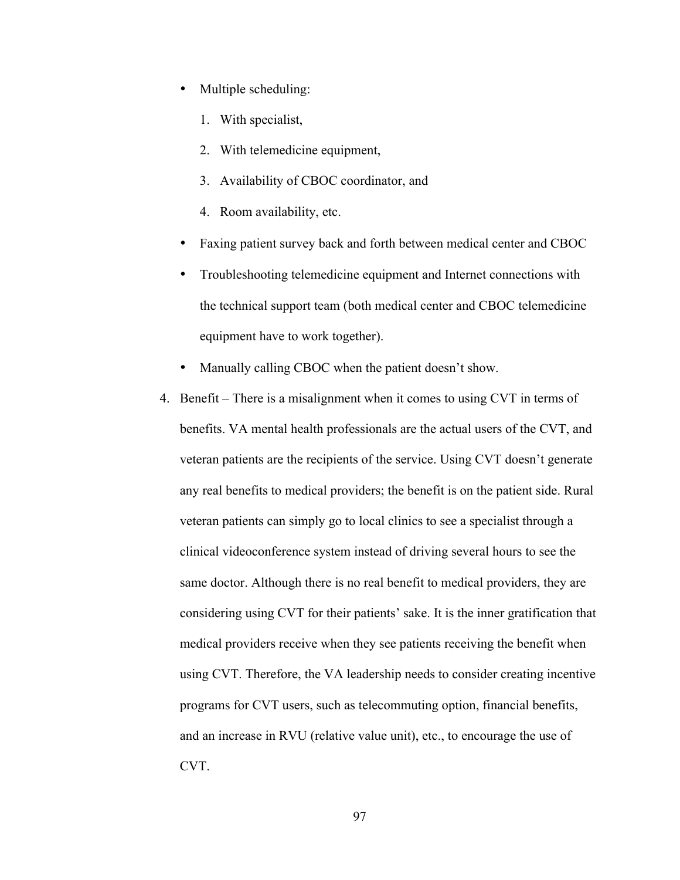- Multiple scheduling:
	- 1. With specialist,
	- 2. With telemedicine equipment,
	- 3. Availability of CBOC coordinator, and
	- 4. Room availability, etc.
- Faxing patient survey back and forth between medical center and CBOC
- Troubleshooting telemedicine equipment and Internet connections with the technical support team (both medical center and CBOC telemedicine equipment have to work together).
- Manually calling CBOC when the patient doesn't show.
- 4. Benefit There is a misalignment when it comes to using CVT in terms of benefits. VA mental health professionals are the actual users of the CVT, and veteran patients are the recipients of the service. Using CVT doesn't generate any real benefits to medical providers; the benefit is on the patient side. Rural veteran patients can simply go to local clinics to see a specialist through a clinical videoconference system instead of driving several hours to see the same doctor. Although there is no real benefit to medical providers, they are considering using CVT for their patients' sake. It is the inner gratification that medical providers receive when they see patients receiving the benefit when using CVT. Therefore, the VA leadership needs to consider creating incentive programs for CVT users, such as telecommuting option, financial benefits, and an increase in RVU (relative value unit), etc., to encourage the use of CVT.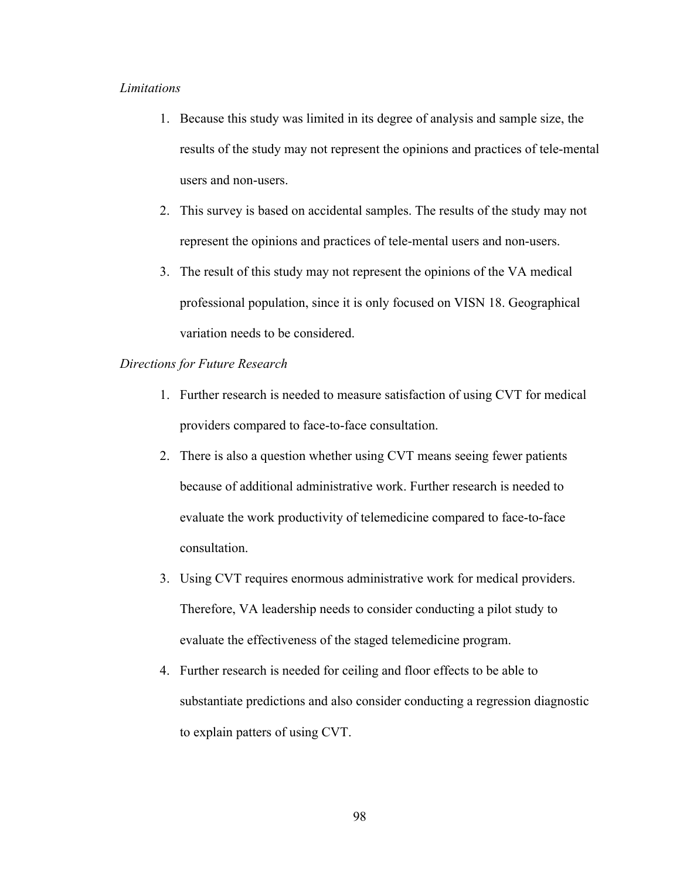## *Limitations*

- 1. Because this study was limited in its degree of analysis and sample size, the results of the study may not represent the opinions and practices of tele-mental users and non-users.
- 2. This survey is based on accidental samples. The results of the study may not represent the opinions and practices of tele-mental users and non-users.
- 3. The result of this study may not represent the opinions of the VA medical professional population, since it is only focused on VISN 18. Geographical variation needs to be considered.

## *Directions for Future Research*

- 1. Further research is needed to measure satisfaction of using CVT for medical providers compared to face-to-face consultation.
- 2. There is also a question whether using CVT means seeing fewer patients because of additional administrative work. Further research is needed to evaluate the work productivity of telemedicine compared to face-to-face consultation.
- 3. Using CVT requires enormous administrative work for medical providers. Therefore, VA leadership needs to consider conducting a pilot study to evaluate the effectiveness of the staged telemedicine program.
- 4. Further research is needed for ceiling and floor effects to be able to substantiate predictions and also consider conducting a regression diagnostic to explain patters of using CVT.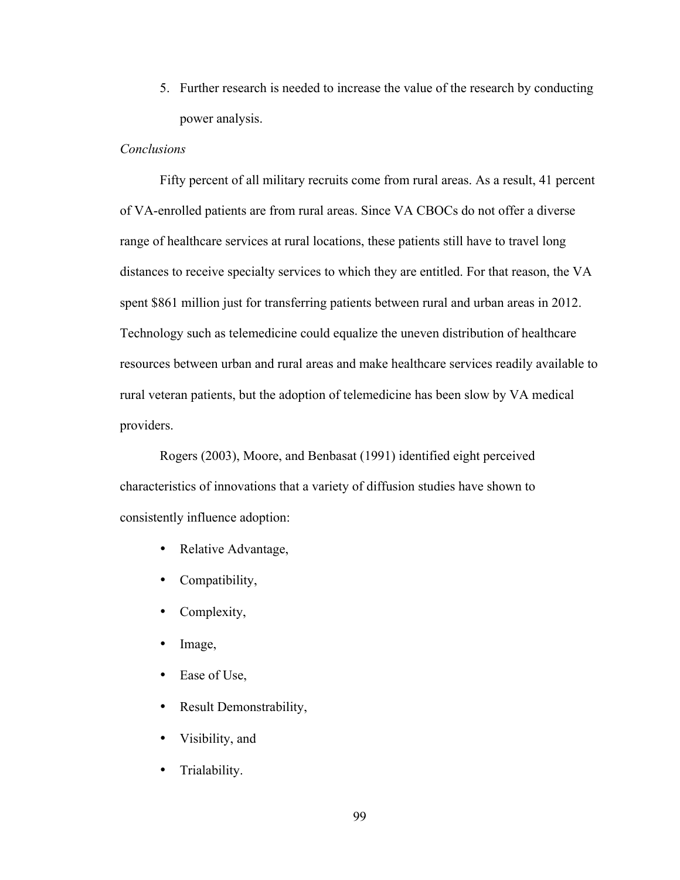5. Further research is needed to increase the value of the research by conducting power analysis.

## *Conclusions*

Fifty percent of all military recruits come from rural areas. As a result, 41 percent of VA-enrolled patients are from rural areas. Since VA CBOCs do not offer a diverse range of healthcare services at rural locations, these patients still have to travel long distances to receive specialty services to which they are entitled. For that reason, the VA spent \$861 million just for transferring patients between rural and urban areas in 2012. Technology such as telemedicine could equalize the uneven distribution of healthcare resources between urban and rural areas and make healthcare services readily available to rural veteran patients, but the adoption of telemedicine has been slow by VA medical providers.

Rogers (2003), Moore, and Benbasat (1991) identified eight perceived characteristics of innovations that a variety of diffusion studies have shown to consistently influence adoption:

- Relative Advantage,
- Compatibility,
- Complexity,
- Image,
- Ease of Use,
- Result Demonstrability,
- Visibility, and
- Trialability.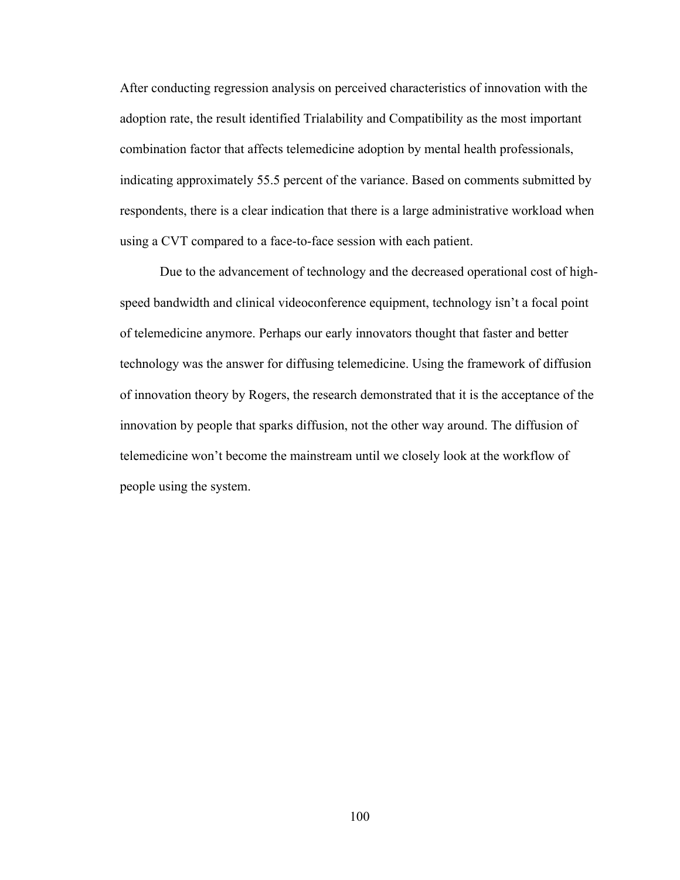After conducting regression analysis on perceived characteristics of innovation with the adoption rate, the result identified Trialability and Compatibility as the most important combination factor that affects telemedicine adoption by mental health professionals, indicating approximately 55.5 percent of the variance. Based on comments submitted by respondents, there is a clear indication that there is a large administrative workload when using a CVT compared to a face-to-face session with each patient.

Due to the advancement of technology and the decreased operational cost of highspeed bandwidth and clinical videoconference equipment, technology isn't a focal point of telemedicine anymore. Perhaps our early innovators thought that faster and better technology was the answer for diffusing telemedicine. Using the framework of diffusion of innovation theory by Rogers, the research demonstrated that it is the acceptance of the innovation by people that sparks diffusion, not the other way around. The diffusion of telemedicine won't become the mainstream until we closely look at the workflow of people using the system.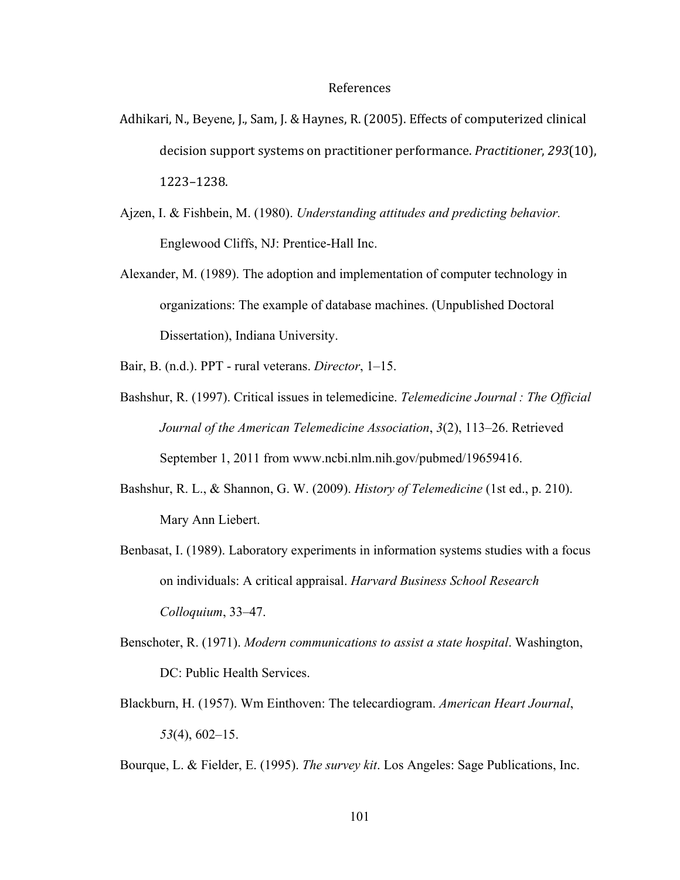## References

- Adhikari, N., Beyene, J., Sam, J. & Haynes, R. (2005). Effects of computerized clinical decision support systems on practitioner performance. *Practitioner*, 293(10), 1223–1238.
- Ajzen, I. & Fishbein, M. (1980). *Understanding attitudes and predicting behavior.* Englewood Cliffs, NJ: Prentice-Hall Inc.
- Alexander, M. (1989). The adoption and implementation of computer technology in organizations: The example of database machines. (Unpublished Doctoral Dissertation), Indiana University.
- Bair, B. (n.d.). PPT rural veterans. *Director*, 1–15.
- Bashshur, R. (1997). Critical issues in telemedicine. *Telemedicine Journal : The Official Journal of the American Telemedicine Association*, *3*(2), 113–26. Retrieved September 1, 2011 from www.ncbi.nlm.nih.gov/pubmed/19659416.
- Bashshur, R. L., & Shannon, G. W. (2009). *History of Telemedicine* (1st ed., p. 210). Mary Ann Liebert.
- Benbasat, I. (1989). Laboratory experiments in information systems studies with a focus on individuals: A critical appraisal. *Harvard Business School Research Colloquium*, 33–47.
- Benschoter, R. (1971). *Modern communications to assist a state hospital*. Washington, DC: Public Health Services.
- Blackburn, H. (1957). Wm Einthoven: The telecardiogram. *American Heart Journal*, *53*(4), 602–15.

Bourque, L. & Fielder, E. (1995). *The survey kit*. Los Angeles: Sage Publications, Inc.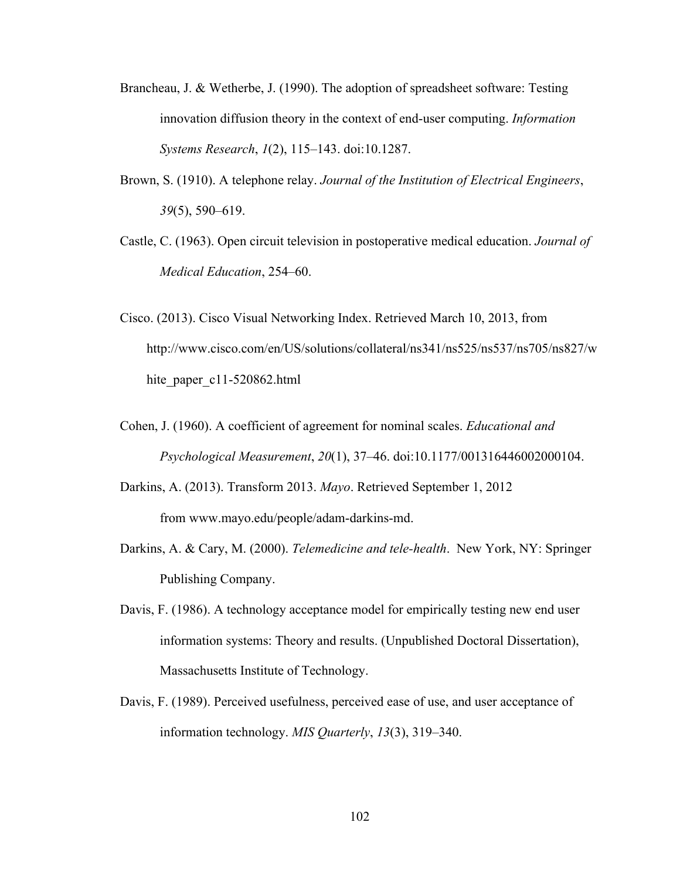- Brancheau, J. & Wetherbe, J. (1990). The adoption of spreadsheet software: Testing innovation diffusion theory in the context of end-user computing. *Information Systems Research*, *1*(2), 115–143. doi:10.1287.
- Brown, S. (1910). A telephone relay. *Journal of the Institution of Electrical Engineers*, *39*(5), 590–619.
- Castle, C. (1963). Open circuit television in postoperative medical education. *Journal of Medical Education*, 254–60.
- Cisco. (2013). Cisco Visual Networking Index. Retrieved March 10, 2013, from http://www.cisco.com/en/US/solutions/collateral/ns341/ns525/ns537/ns705/ns827/w hite paper c11-520862.html
- Cohen, J. (1960). A coefficient of agreement for nominal scales. *Educational and Psychological Measurement*, *20*(1), 37–46. doi:10.1177/001316446002000104.
- Darkins, A. (2013). Transform 2013. *Mayo*. Retrieved September 1, 2012 from www.mayo.edu/people/adam-darkins-md.
- Darkins, A. & Cary, M. (2000). *Telemedicine and tele-health*. New York, NY: Springer Publishing Company.
- Davis, F. (1986). A technology acceptance model for empirically testing new end user information systems: Theory and results. (Unpublished Doctoral Dissertation), Massachusetts Institute of Technology.
- Davis, F. (1989). Perceived usefulness, perceived ease of use, and user acceptance of information technology. *MIS Quarterly*, *13*(3), 319–340.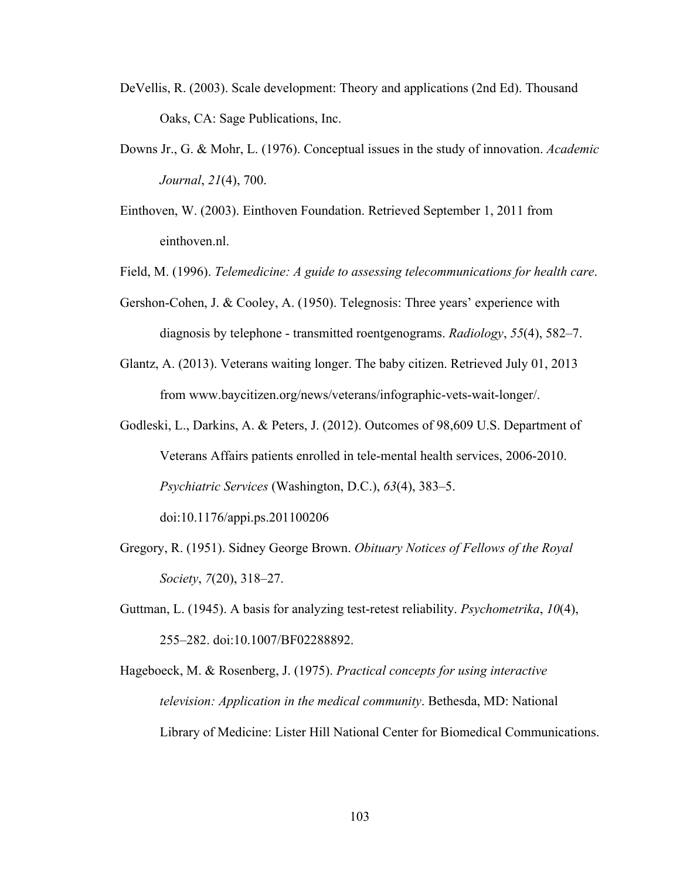- DeVellis, R. (2003). Scale development: Theory and applications (2nd Ed). Thousand Oaks, CA: Sage Publications, Inc.
- Downs Jr., G. & Mohr, L. (1976). Conceptual issues in the study of innovation. *Academic Journal*, *21*(4), 700.
- Einthoven, W. (2003). Einthoven Foundation. Retrieved September 1, 2011 from einthoven.nl.
- Field, M. (1996). *Telemedicine: A guide to assessing telecommunications for health care*.
- Gershon-Cohen, J. & Cooley, A. (1950). Telegnosis: Three years' experience with diagnosis by telephone - transmitted roentgenograms. *Radiology*, *55*(4), 582–7.
- Glantz, A. (2013). Veterans waiting longer. The baby citizen. Retrieved July 01, 2013 from www.baycitizen.org/news/veterans/infographic-vets-wait-longer/.
- Godleski, L., Darkins, A. & Peters, J. (2012). Outcomes of 98,609 U.S. Department of Veterans Affairs patients enrolled in tele-mental health services, 2006-2010. *Psychiatric Services* (Washington, D.C.), *63*(4), 383–5. doi:10.1176/appi.ps.201100206
- Gregory, R. (1951). Sidney George Brown. *Obituary Notices of Fellows of the Royal Society*, *7*(20), 318–27.
- Guttman, L. (1945). A basis for analyzing test-retest reliability. *Psychometrika*, *10*(4), 255–282. doi:10.1007/BF02288892.
- Hageboeck, M. & Rosenberg, J. (1975). *Practical concepts for using interactive television: Application in the medical community*. Bethesda, MD: National Library of Medicine: Lister Hill National Center for Biomedical Communications.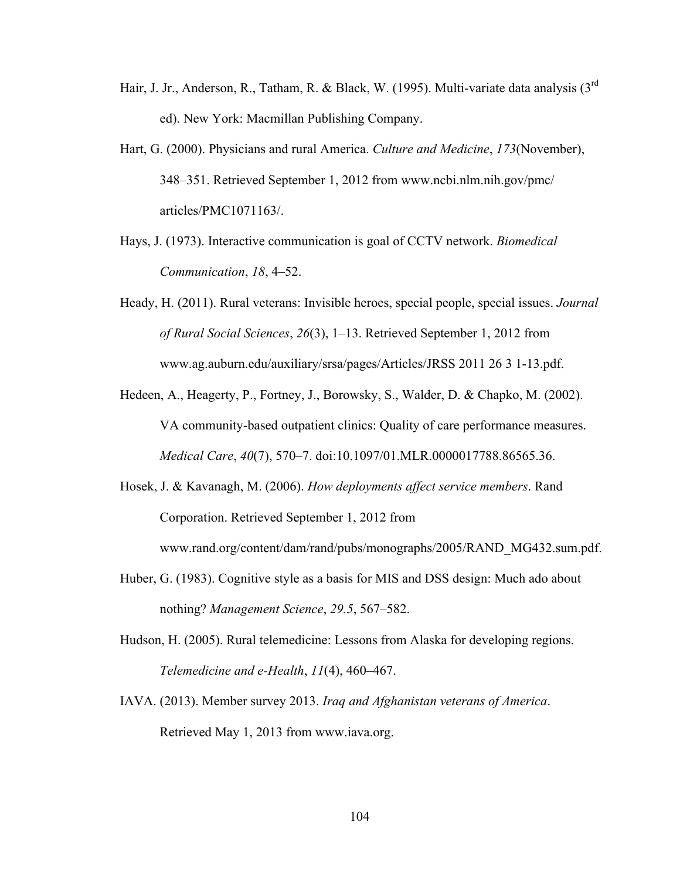- Hair, J. Jr., Anderson, R., Tatham, R. & Black, W. (1995). Multi-variate data analysis (3<sup>rd</sup> ed). New York: Macmillan Publishing Company.
- Hart, G. (2000). Physicians and rural America. *Culture and Medicine*, *173*(November), 348–351. Retrieved September 1, 2012 from www.ncbi.nlm.nih.gov/pmc/ articles/PMC1071163/.
- Hays, J. (1973). Interactive communication is goal of CCTV network. *Biomedical Communication*, *18*, 4–52.
- Heady, H. (2011). Rural veterans: Invisible heroes, special people, special issues. *Journal of Rural Social Sciences*, *26*(3), 1–13. Retrieved September 1, 2012 from www.ag.auburn.edu/auxiliary/srsa/pages/Articles/JRSS 2011 26 3 1-13.pdf.
- Hedeen, A., Heagerty, P., Fortney, J., Borowsky, S., Walder, D. & Chapko, M. (2002). VA community-based outpatient clinics: Quality of care performance measures. *Medical Care*, *40*(7), 570–7. doi:10.1097/01.MLR.0000017788.86565.36.
- Hosek, J. & Kavanagh, M. (2006). *How deployments affect service members*. Rand Corporation. Retrieved September 1, 2012 from www.rand.org/content/dam/rand/pubs/monographs/2005/RAND\_MG432.sum.pdf.
- Huber, G. (1983). Cognitive style as a basis for MIS and DSS design: Much ado about nothing? *Management Science*, *29.5*, 567–582.
- Hudson, H. (2005). Rural telemedicine: Lessons from Alaska for developing regions. *Telemedicine and e-Health*, *11*(4), 460–467.
- IAVA. (2013). Member survey 2013. *Iraq and Afghanistan veterans of America*. Retrieved May 1, 2013 from www.iava.org.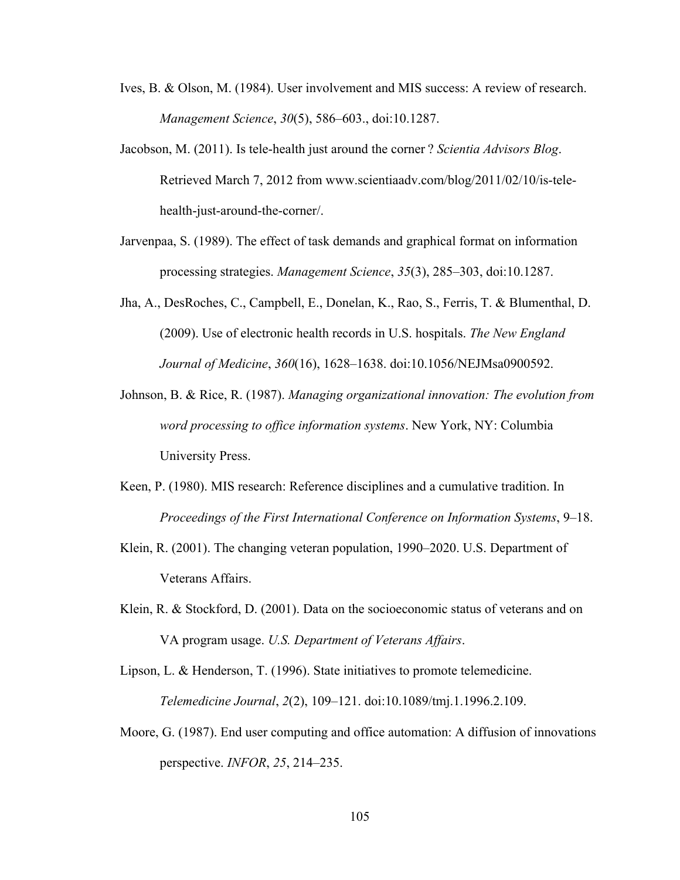- Ives, B. & Olson, M. (1984). User involvement and MIS success: A review of research. *Management Science*, *30*(5), 586–603., doi:10.1287.
- Jacobson, M. (2011). Is tele-health just around the corner ? *Scientia Advisors Blog*. Retrieved March 7, 2012 from www.scientiaadv.com/blog/2011/02/10/is-telehealth-just-around-the-corner/.
- Jarvenpaa, S. (1989). The effect of task demands and graphical format on information processing strategies. *Management Science*, *35*(3), 285–303, doi:10.1287.
- Jha, A., DesRoches, C., Campbell, E., Donelan, K., Rao, S., Ferris, T. & Blumenthal, D. (2009). Use of electronic health records in U.S. hospitals. *The New England Journal of Medicine*, *360*(16), 1628–1638. doi:10.1056/NEJMsa0900592.
- Johnson, B. & Rice, R. (1987). *Managing organizational innovation: The evolution from word processing to office information systems*. New York, NY: Columbia University Press.
- Keen, P. (1980). MIS research: Reference disciplines and a cumulative tradition. In *Proceedings of the First International Conference on Information Systems*, 9–18.
- Klein, R. (2001). The changing veteran population, 1990–2020. U.S. Department of Veterans Affairs.
- Klein, R. & Stockford, D. (2001). Data on the socioeconomic status of veterans and on VA program usage. *U.S. Department of Veterans Affairs*.

Lipson, L. & Henderson, T. (1996). State initiatives to promote telemedicine. *Telemedicine Journal*, *2*(2), 109–121. doi:10.1089/tmj.1.1996.2.109.

Moore, G. (1987). End user computing and office automation: A diffusion of innovations perspective. *INFOR*, *25*, 214–235.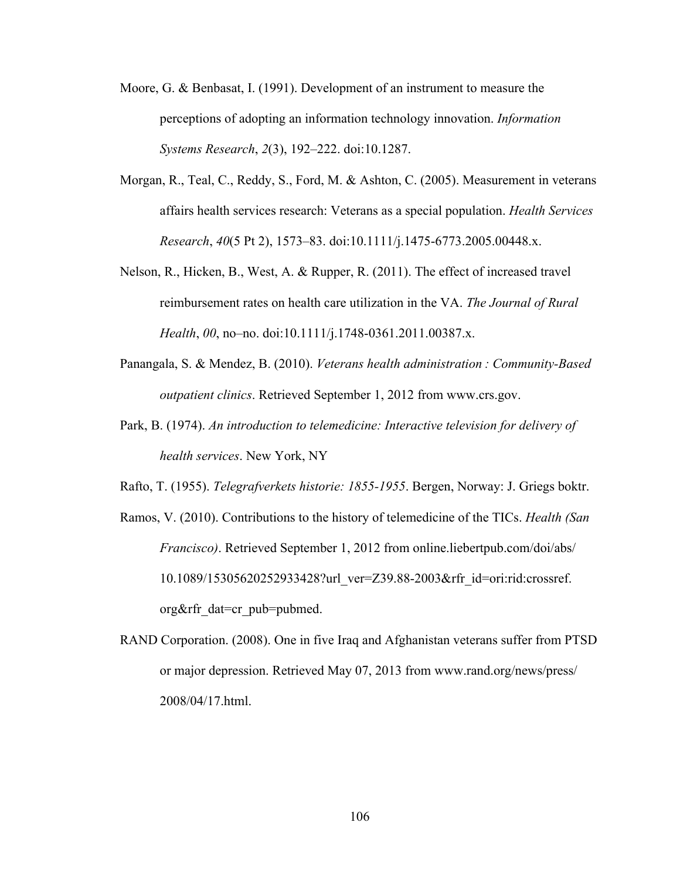- Moore, G. & Benbasat, I. (1991). Development of an instrument to measure the perceptions of adopting an information technology innovation. *Information Systems Research*, *2*(3), 192–222. doi:10.1287.
- Morgan, R., Teal, C., Reddy, S., Ford, M. & Ashton, C. (2005). Measurement in veterans affairs health services research: Veterans as a special population. *Health Services Research*, *40*(5 Pt 2), 1573–83. doi:10.1111/j.1475-6773.2005.00448.x.
- Nelson, R., Hicken, B., West, A. & Rupper, R. (2011). The effect of increased travel reimbursement rates on health care utilization in the VA. *The Journal of Rural Health*, *00*, no–no. doi:10.1111/j.1748-0361.2011.00387.x.
- Panangala, S. & Mendez, B. (2010). *Veterans health administration : Community-Based outpatient clinics*. Retrieved September 1, 2012 from www.crs.gov.
- Park, B. (1974). *An introduction to telemedicine: Interactive television for delivery of health services*. New York, NY

Rafto, T. (1955). *Telegrafverkets historie: 1855-1955*. Bergen, Norway: J. Griegs boktr.

- Ramos, V. (2010). Contributions to the history of telemedicine of the TICs. *Health (San Francisco)*. Retrieved September 1, 2012 from online.liebertpub.com/doi/abs/ 10.1089/15305620252933428?url\_ver=Z39.88-2003&rfr\_id=ori:rid:crossref. org&rfr\_dat=cr\_pub=pubmed.
- RAND Corporation. (2008). One in five Iraq and Afghanistan veterans suffer from PTSD or major depression. Retrieved May 07, 2013 from www.rand.org/news/press/ 2008/04/17.html.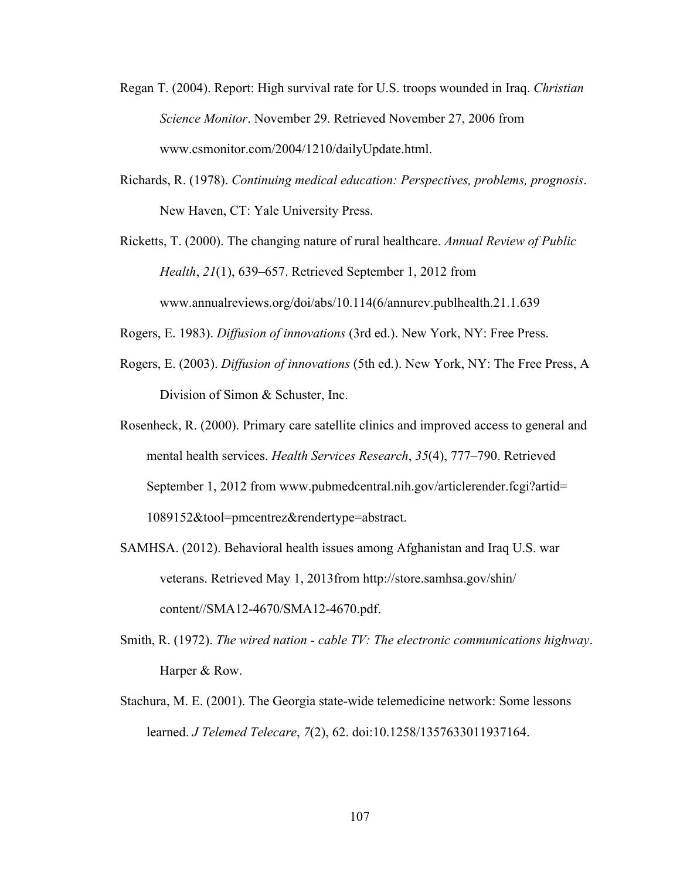- Regan T. (2004). Report: High survival rate for U.S. troops wounded in Iraq. *Christian Science Monitor*. November 29. Retrieved November 27, 2006 from www.csmonitor.com/2004/1210/dailyUpdate.html.
- Richards, R. (1978). *Continuing medical education: Perspectives, problems, prognosis*. New Haven, CT: Yale University Press.
- Ricketts, T. (2000). The changing nature of rural healthcare. *Annual Review of Public Health*, *21*(1), 639–657. Retrieved September 1, 2012 from www.annualreviews.org/doi/abs/10.114(6/annurev.publhealth.21.1.639

Rogers, E. 1983). *Diffusion of innovations* (3rd ed.). New York, NY: Free Press.

- Rogers, E. (2003). *Diffusion of innovations* (5th ed.). New York, NY: The Free Press, A Division of Simon & Schuster, Inc.
- Rosenheck, R. (2000). Primary care satellite clinics and improved access to general and mental health services. *Health Services Research*, *35*(4), 777–790. Retrieved September 1, 2012 from www.pubmedcentral.nih.gov/articlerender.fcgi?artid= 1089152&tool=pmcentrez&rendertype=abstract.
- SAMHSA. (2012). Behavioral health issues among Afghanistan and Iraq U.S. war veterans. Retrieved May 1, 2013from http://store.samhsa.gov/shin/ content//SMA12-4670/SMA12-4670.pdf.
- Smith, R. (1972). *The wired nation - cable TV: The electronic communications highway*. Harper & Row.
- Stachura, M. E. (2001). The Georgia state-wide telemedicine network: Some lessons learned. *J Telemed Telecare*, *7*(2), 62. doi:10.1258/1357633011937164.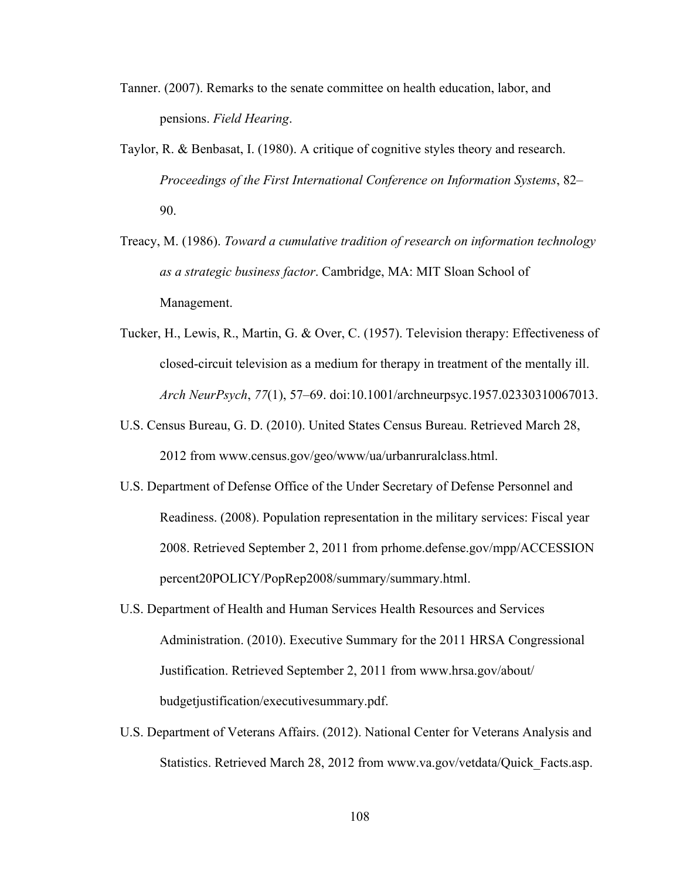- Tanner. (2007). Remarks to the senate committee on health education, labor, and pensions. *Field Hearing*.
- Taylor, R. & Benbasat, I. (1980). A critique of cognitive styles theory and research. *Proceedings of the First International Conference on Information Systems*, 82– 90.
- Treacy, M. (1986). *Toward a cumulative tradition of research on information technology as a strategic business factor*. Cambridge, MA: MIT Sloan School of Management.
- Tucker, H., Lewis, R., Martin, G. & Over, C. (1957). Television therapy: Effectiveness of closed-circuit television as a medium for therapy in treatment of the mentally ill. *Arch NeurPsych*, *77*(1), 57–69. doi:10.1001/archneurpsyc.1957.02330310067013.
- U.S. Census Bureau, G. D. (2010). United States Census Bureau. Retrieved March 28, 2012 from www.census.gov/geo/www/ua/urbanruralclass.html.
- U.S. Department of Defense Office of the Under Secretary of Defense Personnel and Readiness. (2008). Population representation in the military services: Fiscal year 2008. Retrieved September 2, 2011 from prhome.defense.gov/mpp/ACCESSION percent20POLICY/PopRep2008/summary/summary.html.
- U.S. Department of Health and Human Services Health Resources and Services Administration. (2010). Executive Summary for the 2011 HRSA Congressional Justification. Retrieved September 2, 2011 from www.hrsa.gov/about/ budgetjustification/executivesummary.pdf.
- U.S. Department of Veterans Affairs. (2012). National Center for Veterans Analysis and Statistics. Retrieved March 28, 2012 from www.va.gov/vetdata/Quick\_Facts.asp.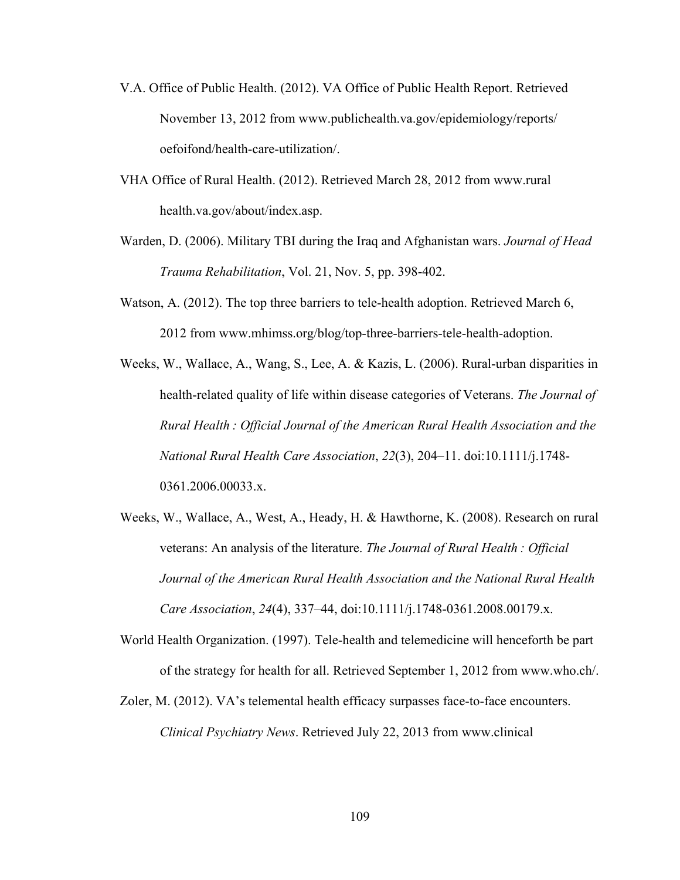- V.A. Office of Public Health. (2012). VA Office of Public Health Report. Retrieved November 13, 2012 from www.publichealth.va.gov/epidemiology/reports/ oefoifond/health-care-utilization/.
- VHA Office of Rural Health. (2012). Retrieved March 28, 2012 from www.rural health.va.gov/about/index.asp.
- Warden, D. (2006). Military TBI during the Iraq and Afghanistan wars. *Journal of Head Trauma Rehabilitation*, Vol. 21, Nov. 5, pp. 398-402.
- Watson, A. (2012). The top three barriers to tele-health adoption. Retrieved March 6, 2012 from www.mhimss.org/blog/top-three-barriers-tele-health-adoption.
- Weeks, W., Wallace, A., Wang, S., Lee, A. & Kazis, L. (2006). Rural-urban disparities in health-related quality of life within disease categories of Veterans. *The Journal of Rural Health : Official Journal of the American Rural Health Association and the National Rural Health Care Association*, *22*(3), 204–11. doi:10.1111/j.1748- 0361.2006.00033.x.
- Weeks, W., Wallace, A., West, A., Heady, H. & Hawthorne, K. (2008). Research on rural veterans: An analysis of the literature. *The Journal of Rural Health : Official Journal of the American Rural Health Association and the National Rural Health Care Association*, *24*(4), 337–44, doi:10.1111/j.1748-0361.2008.00179.x.
- World Health Organization. (1997). Tele-health and telemedicine will henceforth be part of the strategy for health for all. Retrieved September 1, 2012 from www.who.ch/.
- Zoler, M. (2012). VA's telemental health efficacy surpasses face-to-face encounters. *Clinical Psychiatry News*. Retrieved July 22, 2013 from www.clinical